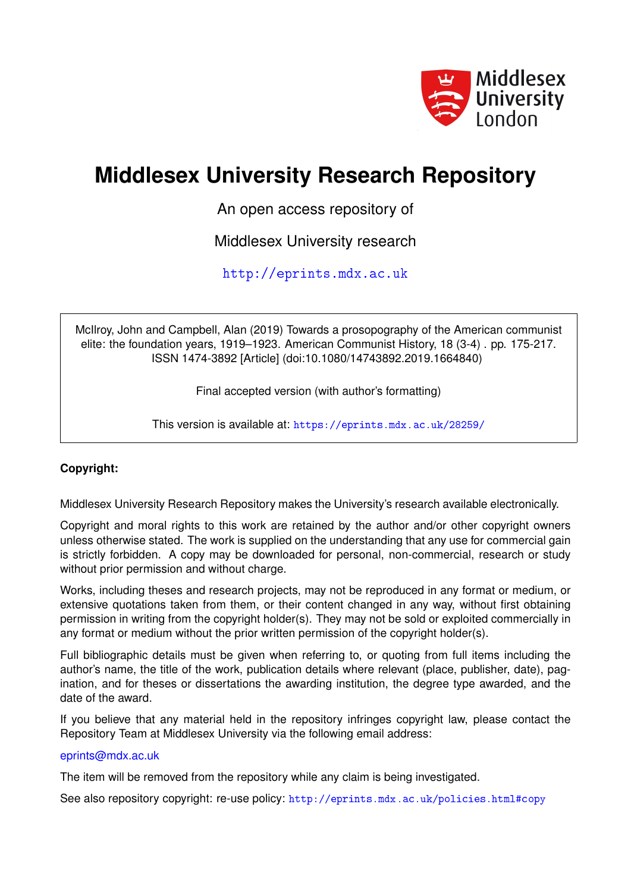

# **Middlesex University Research Repository**

An open access repository of

Middlesex University research

<http://eprints.mdx.ac.uk>

McIlroy, John and Campbell, Alan (2019) Towards a prosopography of the American communist elite: the foundation years, 1919–1923. American Communist History, 18 (3-4) . pp. 175-217. ISSN 1474-3892 [Article] (doi:10.1080/14743892.2019.1664840)

Final accepted version (with author's formatting)

This version is available at: <https://eprints.mdx.ac.uk/28259/>

## **Copyright:**

Middlesex University Research Repository makes the University's research available electronically.

Copyright and moral rights to this work are retained by the author and/or other copyright owners unless otherwise stated. The work is supplied on the understanding that any use for commercial gain is strictly forbidden. A copy may be downloaded for personal, non-commercial, research or study without prior permission and without charge.

Works, including theses and research projects, may not be reproduced in any format or medium, or extensive quotations taken from them, or their content changed in any way, without first obtaining permission in writing from the copyright holder(s). They may not be sold or exploited commercially in any format or medium without the prior written permission of the copyright holder(s).

Full bibliographic details must be given when referring to, or quoting from full items including the author's name, the title of the work, publication details where relevant (place, publisher, date), pagination, and for theses or dissertations the awarding institution, the degree type awarded, and the date of the award.

If you believe that any material held in the repository infringes copyright law, please contact the Repository Team at Middlesex University via the following email address:

#### [eprints@mdx.ac.uk](mailto:eprints@mdx.ac.uk)

The item will be removed from the repository while any claim is being investigated.

See also repository copyright: re-use policy: <http://eprints.mdx.ac.uk/policies.html#copy>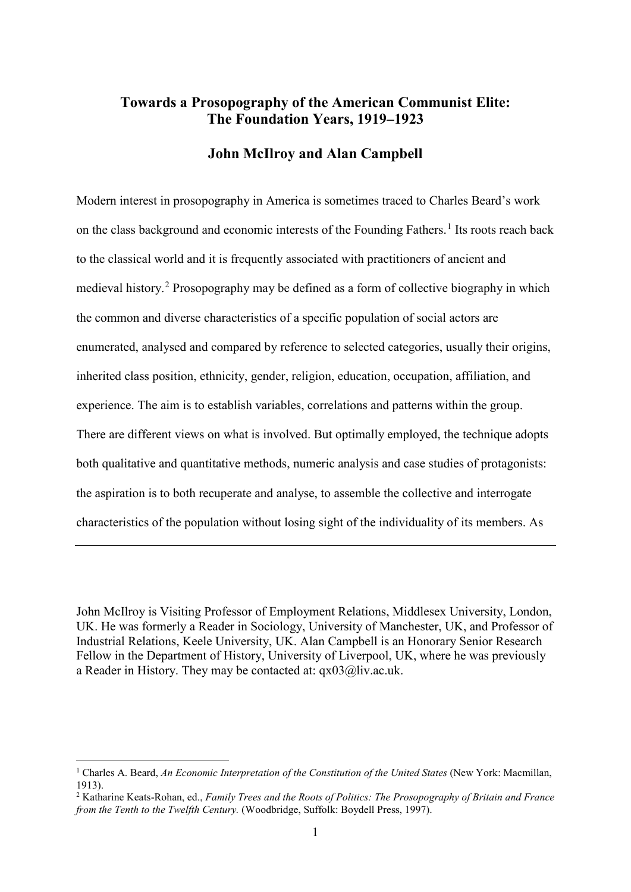# **Towards a Prosopography of the American Communist Elite: The Foundation Years, 1919–1923**

#### **John McIlroy and Alan Campbell**

Modern interest in prosopography in America is sometimes traced to Charles Beard's work on the class background and economic interests of the Founding Fathers.<sup>[1](#page-1-0)</sup> Its roots reach back to the classical world and it is frequently associated with practitioners of ancient and medieval history.[2](#page-1-1) Prosopography may be defined as a form of collective biography in which the common and diverse characteristics of a specific population of social actors are enumerated, analysed and compared by reference to selected categories, usually their origins, inherited class position, ethnicity, gender, religion, education, occupation, affiliation, and experience. The aim is to establish variables, correlations and patterns within the group. There are different views on what is involved. But optimally employed, the technique adopts both qualitative and quantitative methods, numeric analysis and case studies of protagonists: the aspiration is to both recuperate and analyse, to assemble the collective and interrogate characteristics of the population without losing sight of the individuality of its members. As

John McIlroy is Visiting Professor of Employment Relations, Middlesex University, London, UK. He was formerly a Reader in Sociology, University of Manchester, UK, and Professor of Industrial Relations, Keele University, UK. Alan Campbell is an Honorary Senior Research Fellow in the Department of History, University of Liverpool, UK, where he was previously a Reader in History. They may be contacted at: qx03@liv.ac.uk.

<span id="page-1-0"></span> <sup>1</sup> Charles A. Beard, *An Economic Interpretation of the Constitution of the United States* (New York: Macmillan, 1913).

<span id="page-1-1"></span><sup>2</sup> Katharine Keats-Rohan, ed., *Family Trees and the Roots of Politics: The Prosopography of Britain and France from the Tenth to the Twelfth Century.* (Woodbridge, Suffolk: Boydell Press, 1997).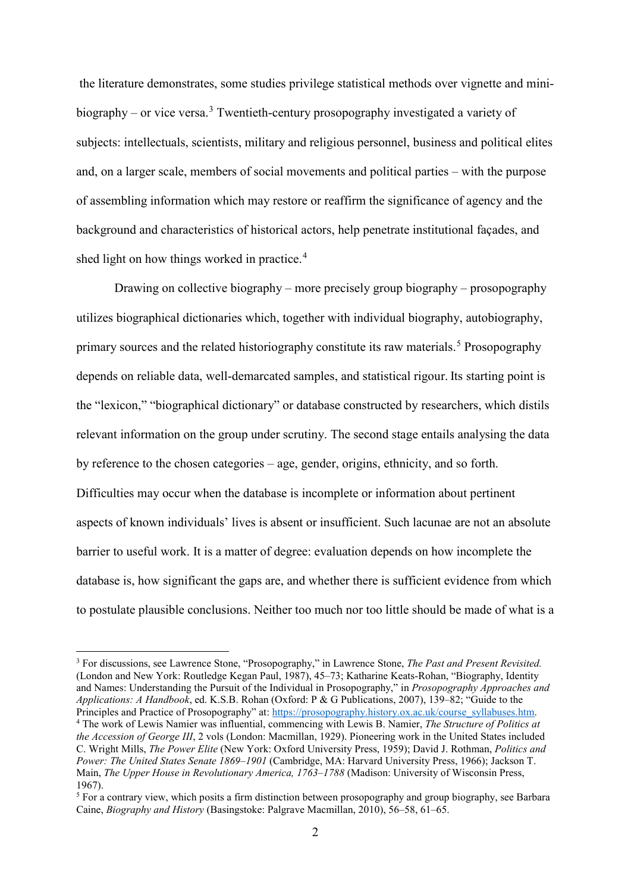the literature demonstrates, some studies privilege statistical methods over vignette and mini-biography – or vice versa.<sup>[3](#page-2-0)</sup> Twentieth-century prosopography investigated a variety of subjects: intellectuals, scientists, military and religious personnel, business and political elites and, on a larger scale, members of social movements and political parties – with the purpose of assembling information which may restore or reaffirm the significance of agency and the background and characteristics of historical actors, help penetrate institutional façades, and shed light on how things worked in practice. [4](#page-2-1)

Drawing on collective biography – more precisely group biography – prosopography utilizes biographical dictionaries which, together with individual biography, autobiography, primary sources and the related historiography constitute its raw materials.<sup>[5](#page-2-2)</sup> Prosopography depends on reliable data, well-demarcated samples, and statistical rigour. Its starting point is the "lexicon," "biographical dictionary" or database constructed by researchers, which distils relevant information on the group under scrutiny. The second stage entails analysing the data by reference to the chosen categories – age, gender, origins, ethnicity, and so forth. Difficulties may occur when the database is incomplete or information about pertinent aspects of known individuals' lives is absent or insufficient. Such lacunae are not an absolute barrier to useful work. It is a matter of degree: evaluation depends on how incomplete the database is, how significant the gaps are, and whether there is sufficient evidence from which to postulate plausible conclusions. Neither too much nor too little should be made of what is a

<span id="page-2-0"></span> <sup>3</sup> For discussions, see Lawrence Stone, "Prosopography," in Lawrence Stone, *The Past and Present Revisited.*  (London and New York: Routledge Kegan Paul, 1987), 45–73; Katharine Keats-Rohan, "Biography, Identity and Names: Understanding the Pursuit of the Individual in Prosopography," in *Prosopography Approaches and Applications: A Handbook*, ed. K.S.B. Rohan (Oxford: P & G Publications, 2007), 139–82; "Guide to the Principles and Practice of Prosopography" at: [https://prosopography.history.ox.ac.uk/course\\_syllabuses.htm.](https://prosopography.history.ox.ac.uk/course_syllabuses.htm)

<span id="page-2-1"></span><sup>4</sup> The work of Lewis Namier was influential, commencing with Lewis B. Namier, *The Structure of Politics at the Accession of George III*, 2 vols (London: Macmillan, 1929). Pioneering work in the United States included C. Wright Mills, *The Power Elite* (New York: Oxford University Press, 1959); David J. Rothman, *Politics and Power: The United States Senate 1869–1901* (Cambridge, MA: Harvard University Press, 1966); Jackson T. Main, *The Upper House in Revolutionary America, 1763–1788* (Madison: University of Wisconsin Press, 1967).

<span id="page-2-2"></span><sup>5</sup> For a contrary view, which posits a firm distinction between prosopography and group biography, see Barbara Caine, *Biography and History* (Basingstoke: Palgrave Macmillan, 2010), 56–58, 61–65.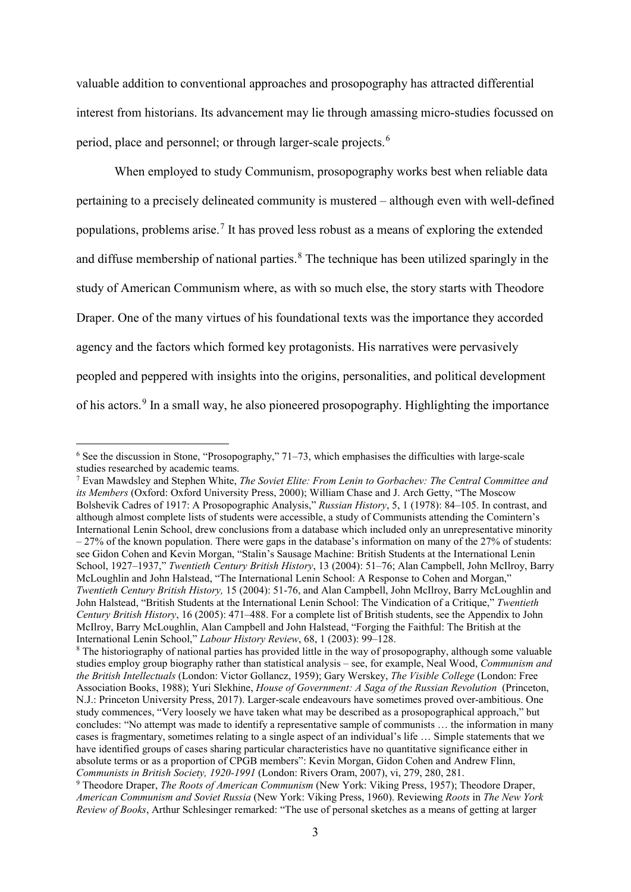valuable addition to conventional approaches and prosopography has attracted differential interest from historians. Its advancement may lie through amassing micro-studies focussed on period, place and personnel; or through larger-scale projects.[6](#page-3-0)

When employed to study Communism, prosopography works best when reliable data pertaining to a precisely delineated community is mustered – although even with well-defined populations, problems arise.[7](#page-3-1) It has proved less robust as a means of exploring the extended and diffuse membership of national parties.<sup>[8](#page-3-2)</sup> The technique has been utilized sparingly in the study of American Communism where, as with so much else, the story starts with Theodore Draper. One of the many virtues of his foundational texts was the importance they accorded agency and the factors which formed key protagonists. His narratives were pervasively peopled and peppered with insights into the origins, personalities, and political development of his actors.<sup>[9](#page-3-3)</sup> In a small way, he also pioneered prosopography. Highlighting the importance

<span id="page-3-0"></span> $6$  See the discussion in Stone, "Prosopography," 71–73, which emphasises the difficulties with large-scale studies researched by academic teams.

<span id="page-3-1"></span><sup>7</sup> Evan Mawdsley and Stephen White, *The Soviet Elite: From Lenin to Gorbachev: The Central Committee and its Members* (Oxford: Oxford University Press, 2000); William Chase and J. Arch Getty, "The Moscow Bolshevik Cadres of 1917: A Prosopographic Analysis," *Russian History*, 5, 1 (1978): 84–105. In contrast, and although almost complete lists of students were accessible, a study of Communists attending the Comintern's International Lenin School, drew conclusions from a database which included only an unrepresentative minority  $-27%$  of the known population. There were gaps in the database's information on many of the 27% of students: see Gidon Cohen and Kevin Morgan, "Stalin's Sausage Machine: British Students at the International Lenin School, 1927–1937," *Twentieth Century British History*, 13 (2004): 51–76; Alan Campbell, John McIlroy, Barry McLoughlin and John Halstead, "The International Lenin School: A Response to Cohen and Morgan," *Twentieth Century British History,* 15 (2004): 51-76, and Alan Campbell, John McIlroy, Barry McLoughlin and John Halstead, "British Students at the International Lenin School: The Vindication of a Critique," *Twentieth Century British History*, 16 (2005): 471–488. For a complete list of British students, see the Appendix to John McIlroy, Barry McLoughlin, Alan Campbell and John Halstead, "Forging the Faithful: The British at the International Lenin School," *Labour History Review*, 68, 1 (2003): 99–128.

<span id="page-3-2"></span><sup>&</sup>lt;sup>8</sup> The historiography of national parties has provided little in the way of prosopography, although some valuable studies employ group biography rather than statistical analysis – see, for example, Neal Wood, *Communism and the British Intellectuals* (London: Victor Gollancz, 1959); Gary Werskey, *The Visible College* (London: Free Association Books, 1988); Yuri Slekhine, *House of Government: A Saga of the Russian Revolution* (Princeton, N.J.: Princeton University Press, 2017). Larger-scale endeavours have sometimes proved over-ambitious. One study commences, "Very loosely we have taken what may be described as a prosopographical approach," but concludes: "No attempt was made to identify a representative sample of communists … the information in many cases is fragmentary, sometimes relating to a single aspect of an individual's life … Simple statements that we have identified groups of cases sharing particular characteristics have no quantitative significance either in absolute terms or as a proportion of CPGB members": Kevin Morgan, Gidon Cohen and Andrew Flinn, *Communists in British Society, 1920-1991* (London: Rivers Oram, 2007), vi, 279, 280, 281.

<span id="page-3-3"></span><sup>9</sup> Theodore Draper, *The Roots of American Communism* (New York: Viking Press, 1957); Theodore Draper, *American Communism and Soviet Russia* (New York: Viking Press, 1960). Reviewing *Roots* in *The New York Review of Books*, Arthur Schlesinger remarked: "The use of personal sketches as a means of getting at larger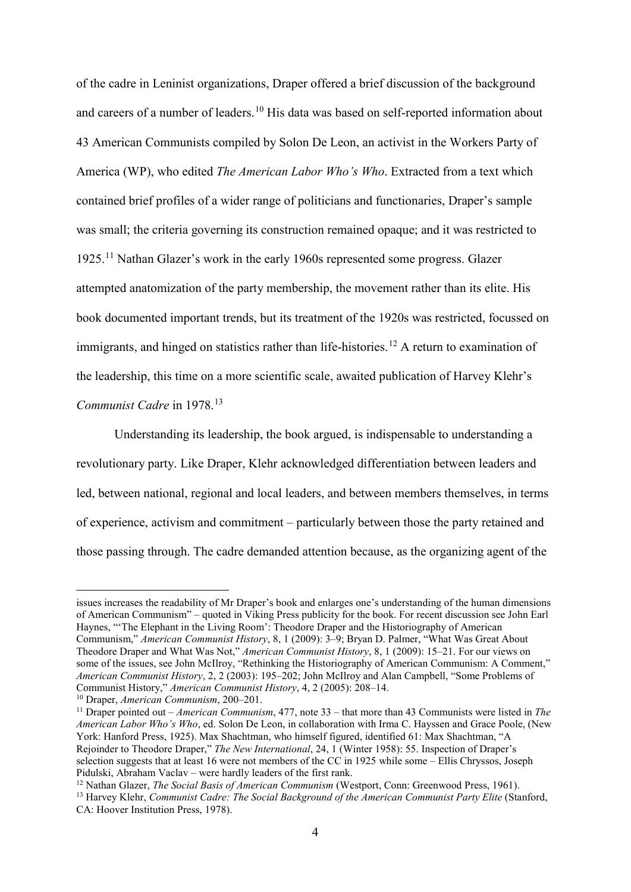of the cadre in Leninist organizations, Draper offered a brief discussion of the background and careers of a number of leaders.<sup>[10](#page-4-0)</sup> His data was based on self-reported information about 43 American Communists compiled by Solon De Leon, an activist in the Workers Party of America (WP), who edited *The American Labor Who's Who*. Extracted from a text which contained brief profiles of a wider range of politicians and functionaries, Draper's sample was small; the criteria governing its construction remained opaque; and it was restricted to 1925.[11](#page-4-1) Nathan Glazer's work in the early 1960s represented some progress. Glazer attempted anatomization of the party membership, the movement rather than its elite. His book documented important trends, but its treatment of the 1920s was restricted, focussed on immigrants, and hinged on statistics rather than life-histories.<sup>[12](#page-4-2)</sup> A return to examination of the leadership, this time on a more scientific scale, awaited publication of Harvey Klehr's *Communist Cadre* in 1978.<sup>[13](#page-4-3)</sup>

Understanding its leadership, the book argued, is indispensable to understanding a revolutionary party. Like Draper, Klehr acknowledged differentiation between leaders and led, between national, regional and local leaders, and between members themselves, in terms of experience, activism and commitment – particularly between those the party retained and those passing through. The cadre demanded attention because, as the organizing agent of the

<u>.</u>

<span id="page-4-2"></span><sup>12</sup> Nathan Glazer, *The Social Basis of American Communism* (Westport, Conn: Greenwood Press, 1961).

issues increases the readability of Mr Draper's book and enlarges one's understanding of the human dimensions of American Communism" – quoted in Viking Press publicity for the book. For recent discussion see John Earl Haynes, "'The Elephant in the Living Room': Theodore Draper and the Historiography of American Communism," *American Communist History*, 8, 1 (2009): 3–9; Bryan D. Palmer, "What Was Great About Theodore Draper and What Was Not," *American Communist History*, 8, 1 (2009): 15–21. For our views on some of the issues, see John McIlroy, "Rethinking the Historiography of American Communism: A Comment," *American Communist History*, 2, 2 (2003): 195–202; John McIlroy and Alan Campbell, "Some Problems of Communist History," *American Communist History*, 4, 2 (2005): 208–14. 10 Draper, *American Communism*, 200–201.

<span id="page-4-0"></span>

<span id="page-4-1"></span><sup>11</sup> Draper pointed out – *American Communism*, 477, note 33 – that more than 43 Communists were listed in *The American Labor Who's Who*, ed. Solon De Leon, in collaboration with Irma C. Hayssen and Grace Poole, (New York: Hanford Press, 1925). Max Shachtman, who himself figured, identified 61: Max Shachtman, "A Rejoinder to Theodore Draper," *The New International*, 24, 1 (Winter 1958): 55. Inspection of Draper's selection suggests that at least 16 were not members of the CC in 1925 while some – Ellis Chryssos, Joseph Pidulski, Abraham Vaclav – were hardly leaders of the first rank.

<span id="page-4-3"></span><sup>13</sup> Harvey Klehr, *Communist Cadre: The Social Background of the American Communist Party Elite* (Stanford, CA: Hoover Institution Press, 1978).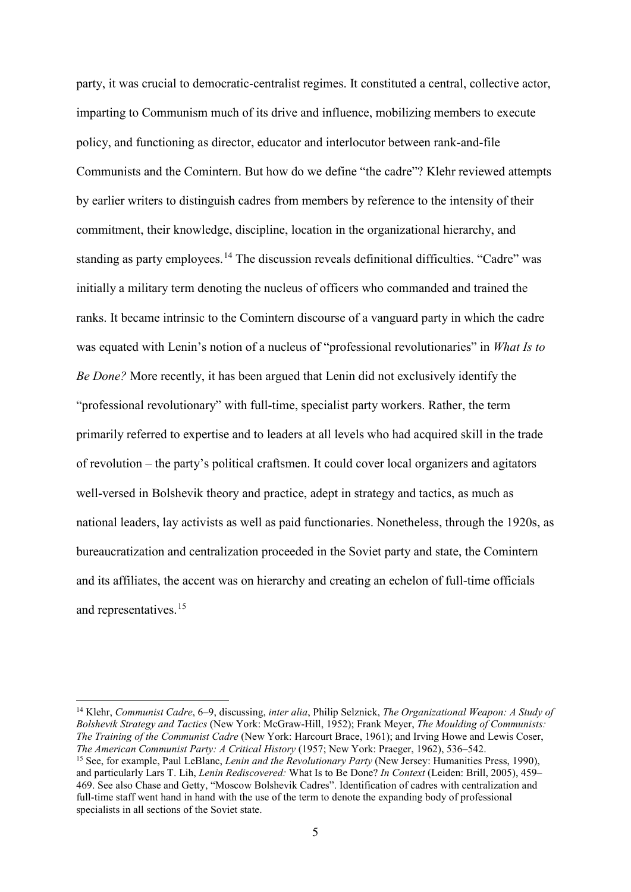party, it was crucial to democratic-centralist regimes. It constituted a central, collective actor, imparting to Communism much of its drive and influence, mobilizing members to execute policy, and functioning as director, educator and interlocutor between rank-and-file Communists and the Comintern. But how do we define "the cadre"? Klehr reviewed attempts by earlier writers to distinguish cadres from members by reference to the intensity of their commitment, their knowledge, discipline, location in the organizational hierarchy, and standing as party employees.<sup>[14](#page-5-0)</sup> The discussion reveals definitional difficulties. "Cadre" was initially a military term denoting the nucleus of officers who commanded and trained the ranks. It became intrinsic to the Comintern discourse of a vanguard party in which the cadre was equated with Lenin's notion of a nucleus of "professional revolutionaries" in *What Is to Be Done?* More recently, it has been argued that Lenin did not exclusively identify the "professional revolutionary" with full-time, specialist party workers. Rather, the term primarily referred to expertise and to leaders at all levels who had acquired skill in the trade of revolution – the party's political craftsmen. It could cover local organizers and agitators well-versed in Bolshevik theory and practice, adept in strategy and tactics, as much as national leaders, lay activists as well as paid functionaries. Nonetheless, through the 1920s, as bureaucratization and centralization proceeded in the Soviet party and state, the Comintern and its affiliates, the accent was on hierarchy and creating an echelon of full-time officials and representatives.<sup>[15](#page-5-1)</sup>

<span id="page-5-1"></span><span id="page-5-0"></span> <sup>14</sup> Klehr, *Communist Cadre*, 6–9, discussing, *inter alia*, Philip Selznick, *The Organizational Weapon: A Study of Bolshevik Strategy and Tactics* (New York: McGraw-Hill, 1952); Frank Meyer, *The Moulding of Communists: The Training of the Communist Cadre* (New York: Harcourt Brace, 1961); and Irving Howe and Lewis Coser, <sup>15</sup> See, for example, Paul LeBlanc, *Lenin and the Revolutionary Party* (New Jersey: Humanities Press, 1990), and particularly Lars T. Lih, *Lenin Rediscovered:* What Is to Be Done? *In Context* (Leiden: Brill, 2005), 459– 469. See also Chase and Getty, "Moscow Bolshevik Cadres". Identification of cadres with centralization and full-time staff went hand in hand with the use of the term to denote the expanding body of professional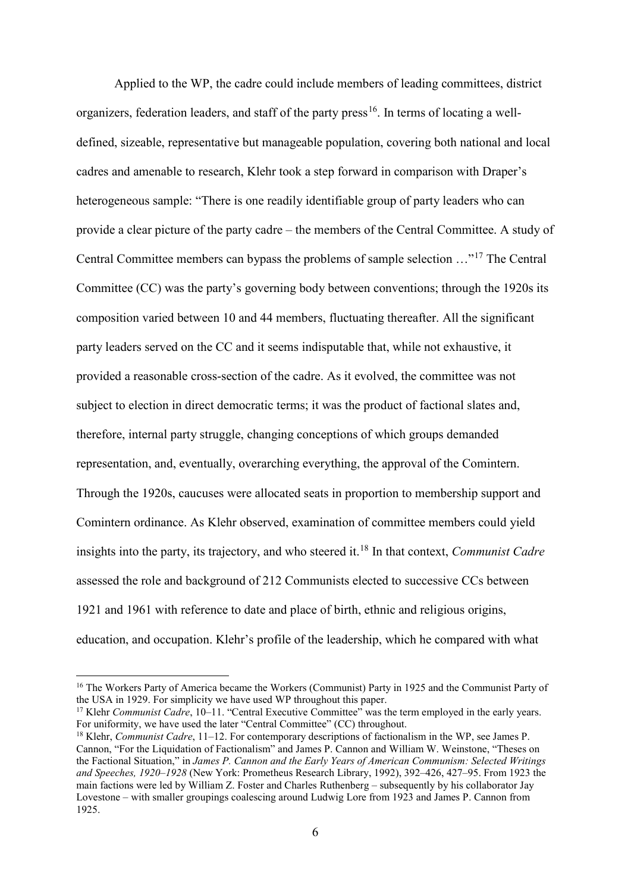Applied to the WP, the cadre could include members of leading committees, district organizers, federation leaders, and staff of the party press<sup>16</sup>. In terms of locating a welldefined, sizeable, representative but manageable population, covering both national and local cadres and amenable to research, Klehr took a step forward in comparison with Draper's heterogeneous sample: "There is one readily identifiable group of party leaders who can provide a clear picture of the party cadre – the members of the Central Committee. A study of Central Committee members can bypass the problems of sample selection …"[17](#page-6-1) The Central Committee (CC) was the party's governing body between conventions; through the 1920s its composition varied between 10 and 44 members, fluctuating thereafter. All the significant party leaders served on the CC and it seems indisputable that, while not exhaustive, it provided a reasonable cross-section of the cadre. As it evolved, the committee was not subject to election in direct democratic terms; it was the product of factional slates and, therefore, internal party struggle, changing conceptions of which groups demanded representation, and, eventually, overarching everything, the approval of the Comintern. Through the 1920s, caucuses were allocated seats in proportion to membership support and Comintern ordinance. As Klehr observed, examination of committee members could yield insights into the party, its trajectory, and who steered it.[18](#page-6-2) In that context, *Communist Cadre* assessed the role and background of 212 Communists elected to successive CCs between 1921 and 1961 with reference to date and place of birth, ethnic and religious origins, education, and occupation. Klehr's profile of the leadership, which he compared with what

<span id="page-6-0"></span><sup>&</sup>lt;sup>16</sup> The Workers Party of America became the Workers (Communist) Party in 1925 and the Communist Party of the USA in 1929. For simplicity we have used WP throughout this paper.

<span id="page-6-1"></span><sup>&</sup>lt;sup>17</sup> Klehr *Communist Cadre*, 10–11. "Central Executive Committee" was the term employed in the early years. For uniformity, we have used the later "Central Committee" (CC) throughout.

<span id="page-6-2"></span><sup>18</sup> Klehr, *Communist Cadre*, 11–12. For contemporary descriptions of factionalism in the WP, see James P. Cannon, "For the Liquidation of Factionalism" and James P. Cannon and William W. Weinstone, "Theses on the Factional Situation," in *James P. Cannon and the Early Years of American Communism: Selected Writings and Speeches, 1920–1928* (New York: Prometheus Research Library, 1992), 392–426, 427–95. From 1923 the main factions were led by William Z. Foster and Charles Ruthenberg – subsequently by his collaborator Jay Lovestone – with smaller groupings coalescing around Ludwig Lore from 1923 and James P. Cannon from 1925.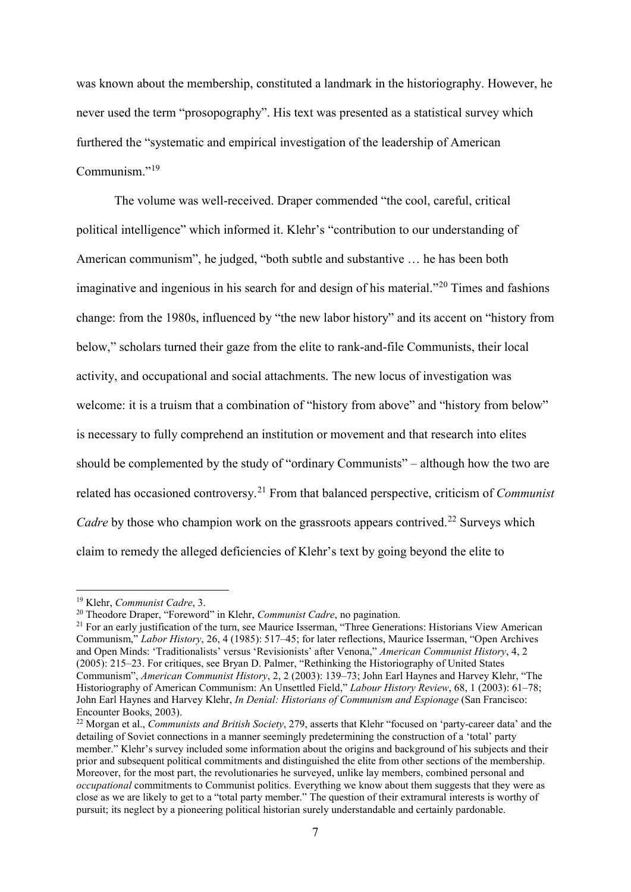was known about the membership, constituted a landmark in the historiography. However, he never used the term "prosopography". His text was presented as a statistical survey which furthered the "systematic and empirical investigation of the leadership of American Communism."<sup>[19](#page-7-0)</sup>

The volume was well-received. Draper commended "the cool, careful, critical political intelligence" which informed it. Klehr's "contribution to our understanding of American communism", he judged, "both subtle and substantive … he has been both imaginative and ingenious in his search for and design of his material.<sup>"[20](#page-7-1)</sup> Times and fashions change: from the 1980s, influenced by "the new labor history" and its accent on "history from below," scholars turned their gaze from the elite to rank-and-file Communists, their local activity, and occupational and social attachments. The new locus of investigation was welcome: it is a truism that a combination of "history from above" and "history from below" is necessary to fully comprehend an institution or movement and that research into elites should be complemented by the study of "ordinary Communists" – although how the two are related has occasioned controversy.[21](#page-7-2) From that balanced perspective, criticism of *Communist*  Cadre by those who champion work on the grassroots appears contrived.<sup>[22](#page-7-3)</sup> Surveys which claim to remedy the alleged deficiencies of Klehr's text by going beyond the elite to

<span id="page-7-0"></span> <sup>19</sup> Klehr, *Communist Cadre*, 3.

<span id="page-7-1"></span><sup>20</sup> Theodore Draper, "Foreword" in Klehr, *Communist Cadre*, no pagination.

<span id="page-7-2"></span><sup>&</sup>lt;sup>21</sup> For an early justification of the turn, see Maurice Isserman, "Three Generations: Historians View American Communism," *Labor History*, 26, 4 (1985): 517–45; for later reflections, Maurice Isserman, "Open Archives and Open Minds: 'Traditionalists' versus 'Revisionists' after Venona," *American Communist History*, 4, 2 (2005): 215–23. For critiques, see Bryan D. Palmer, "Rethinking the Historiography of United States Communism", *American Communist History*, 2, 2 (2003): 139–73; John Earl Haynes and Harvey Klehr, "The Historiography of American Communism: An Unsettled Field," *Labour History Review*, 68, 1 (2003): 61–78; John Earl Haynes and Harvey Klehr, *In Denial: Historians of Communism and Espionage* (San Francisco: Encounter Books, 2003).

<span id="page-7-3"></span><sup>22</sup> Morgan et al., *Communists and British Society*, 279, asserts that Klehr "focused on 'party-career data' and the detailing of Soviet connections in a manner seemingly predetermining the construction of a 'total' party member." Klehr's survey included some information about the origins and background of his subjects and their prior and subsequent political commitments and distinguished the elite from other sections of the membership. Moreover, for the most part, the revolutionaries he surveyed, unlike lay members, combined personal and *occupational* commitments to Communist politics. Everything we know about them suggests that they were as close as we are likely to get to a "total party member." The question of their extramural interests is worthy of pursuit; its neglect by a pioneering political historian surely understandable and certainly pardonable.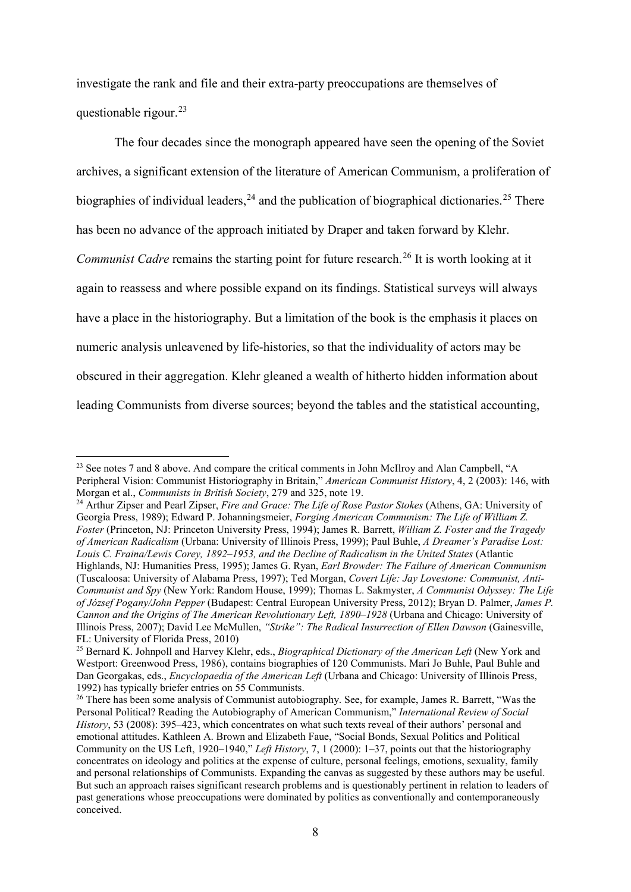investigate the rank and file and their extra-party preoccupations are themselves of questionable rigour. $^{23}$  $^{23}$  $^{23}$ 

The four decades since the monograph appeared have seen the opening of the Soviet archives, a significant extension of the literature of American Communism, a proliferation of biographies of individual leaders,  $24$  and the publication of biographical dictionaries.  $25$  There has been no advance of the approach initiated by Draper and taken forward by Klehr. *Communist Cadre* remains the starting point for future research. [26](#page-8-3) It is worth looking at it again to reassess and where possible expand on its findings. Statistical surveys will always have a place in the historiography. But a limitation of the book is the emphasis it places on numeric analysis unleavened by life-histories, so that the individuality of actors may be obscured in their aggregation. Klehr gleaned a wealth of hitherto hidden information about leading Communists from diverse sources; beyond the tables and the statistical accounting,

<span id="page-8-0"></span><sup>&</sup>lt;sup>23</sup> See notes 7 and 8 above. And compare the critical comments in John McIlroy and Alan Campbell, "A Peripheral Vision: Communist Historiography in Britain," *American Communist History*, 4, 2 (2003): 146, with Morgan et al., *Communists in British Society*, 279 and 325, note 19.

<span id="page-8-1"></span><sup>24</sup> Arthur Zipser and Pearl Zipser, *Fire and Grace: The Life of Rose Pastor Stokes* (Athens, GA: University of Georgia Press, 1989); Edward P. Johanningsmeier, *Forging American Communism: The Life of William Z. Foster* (Princeton, NJ: Princeton University Press, 1994); James R. Barrett, *William Z. Foster and the Tragedy of American Radicalism* (Urbana: University of Illinois Press, 1999); Paul Buhle, *A Dreamer's Paradise Lost: Louis C. Fraina/Lewis Corey, 1892–1953, and the Decline of Radicalism in the United States* (Atlantic

Highlands, NJ: Humanities Press, 1995); James G. Ryan, *Earl Browder: The Failure of American Communism* (Tuscaloosa: University of Alabama Press, 1997); Ted Morgan, *Covert Life: Jay Lovestone: Communist, Anti-Communist and Spy* (New York: Random House, 1999); Thomas L. Sakmyster, *A Communist Odyssey: The Life of József Pogany/John Pepper* (Budapest: Central European University Press, 2012); Bryan D. Palmer, *James P. Cannon and the Origins of The American Revolutionary Left, 1890–1928* (Urbana and Chicago: University of Illinois Press, 2007); David Lee McMullen, *"Strike": The Radical Insurrection of Ellen Dawson* (Gainesville, FL: University of Florida Press, 2010)

<span id="page-8-2"></span><sup>25</sup> Bernard K. Johnpoll and Harvey Klehr, eds., *Biographical Dictionary of the American Left* (New York and Westport: Greenwood Press, 1986), contains biographies of 120 Communists. Mari Jo Buhle, Paul Buhle and Dan Georgakas, eds., *Encyclopaedia of the American Left* (Urbana and Chicago: University of Illinois Press, 1992) has typically briefer entries on 55 Communists.

<span id="page-8-3"></span><sup>&</sup>lt;sup>26</sup> There has been some analysis of Communist autobiography. See, for example, James R. Barrett, "Was the Personal Political? Reading the Autobiography of American Communism," *International Review of Social History*, 53 (2008): 395–423, which concentrates on what such texts reveal of their authors' personal and emotional attitudes. Kathleen A. Brown and Elizabeth Faue, "Social Bonds, Sexual Politics and Political Community on the US Left, 1920–1940," *Left History*, 7, 1 (2000): 1–37, points out that the historiography concentrates on ideology and politics at the expense of culture, personal feelings, emotions, sexuality, family and personal relationships of Communists. Expanding the canvas as suggested by these authors may be useful. But such an approach raises significant research problems and is questionably pertinent in relation to leaders of past generations whose preoccupations were dominated by politics as conventionally and contemporaneously conceived.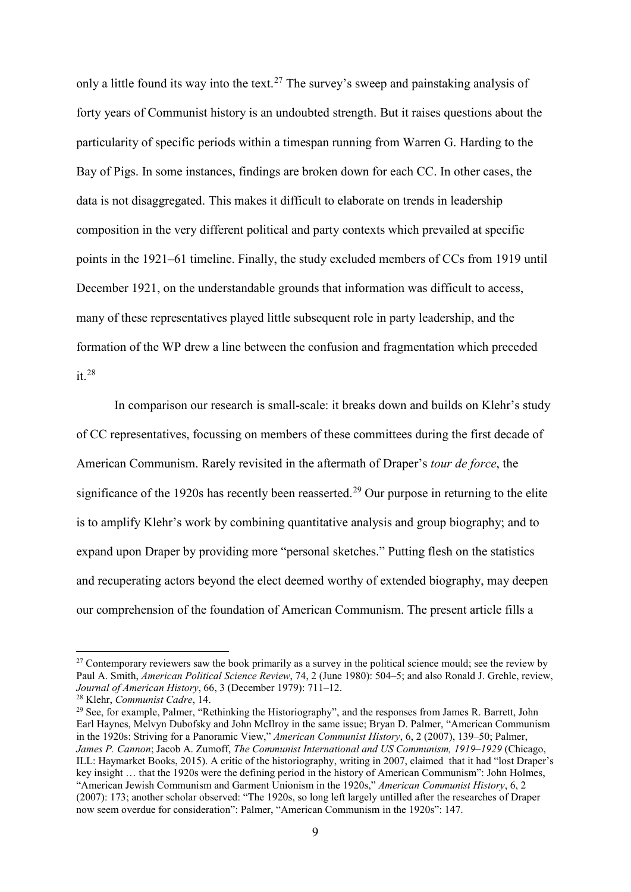only a little found its way into the text.<sup>[27](#page-9-0)</sup> The survey's sweep and painstaking analysis of forty years of Communist history is an undoubted strength. But it raises questions about the particularity of specific periods within a timespan running from Warren G. Harding to the Bay of Pigs. In some instances, findings are broken down for each CC. In other cases, the data is not disaggregated. This makes it difficult to elaborate on trends in leadership composition in the very different political and party contexts which prevailed at specific points in the 1921–61 timeline. Finally, the study excluded members of CCs from 1919 until December 1921, on the understandable grounds that information was difficult to access, many of these representatives played little subsequent role in party leadership, and the formation of the WP drew a line between the confusion and fragmentation which preceded  $it.<sup>28</sup>$  $it.<sup>28</sup>$  $it.<sup>28</sup>$ 

In comparison our research is small-scale: it breaks down and builds on Klehr's study of CC representatives, focussing on members of these committees during the first decade of American Communism. Rarely revisited in the aftermath of Draper's *tour de force*, the significance of the 1920s has recently been reasserted.<sup>[29](#page-9-2)</sup> Our purpose in returning to the elite is to amplify Klehr's work by combining quantitative analysis and group biography; and to expand upon Draper by providing more "personal sketches." Putting flesh on the statistics and recuperating actors beyond the elect deemed worthy of extended biography, may deepen our comprehension of the foundation of American Communism. The present article fills a

<span id="page-9-0"></span><sup>&</sup>lt;sup>27</sup> Contemporary reviewers saw the book primarily as a survey in the political science mould; see the review by Paul A. Smith, *American Political Science Review*, 74, 2 (June 1980): 504–5; and also Ronald J. Grehle, review, *Journal of American History*, 66, 3 (December 1979): 711–12.

<span id="page-9-1"></span><sup>28</sup> Klehr, *Communist Cadre*, 14.

<span id="page-9-2"></span><sup>&</sup>lt;sup>29</sup> See, for example, Palmer, "Rethinking the Historiography", and the responses from James R. Barrett, John Earl Haynes, Melvyn Dubofsky and John McIlroy in the same issue; Bryan D. Palmer, "American Communism in the 1920s: Striving for a Panoramic View," *American Communist History*, 6, 2 (2007), 139–50; Palmer, *James P. Cannon*; Jacob A. Zumoff, *The Communist International and US Communism, 1919–1929* (Chicago, ILL: Haymarket Books, 2015). A critic of the historiography, writing in 2007, claimed that it had "lost Draper's key insight … that the 1920s were the defining period in the history of American Communism": John Holmes, "American Jewish Communism and Garment Unionism in the 1920s," *American Communist History*, 6, 2 (2007): 173; another scholar observed: "The 1920s, so long left largely untilled after the researches of Draper now seem overdue for consideration": Palmer, "American Communism in the 1920s": 147.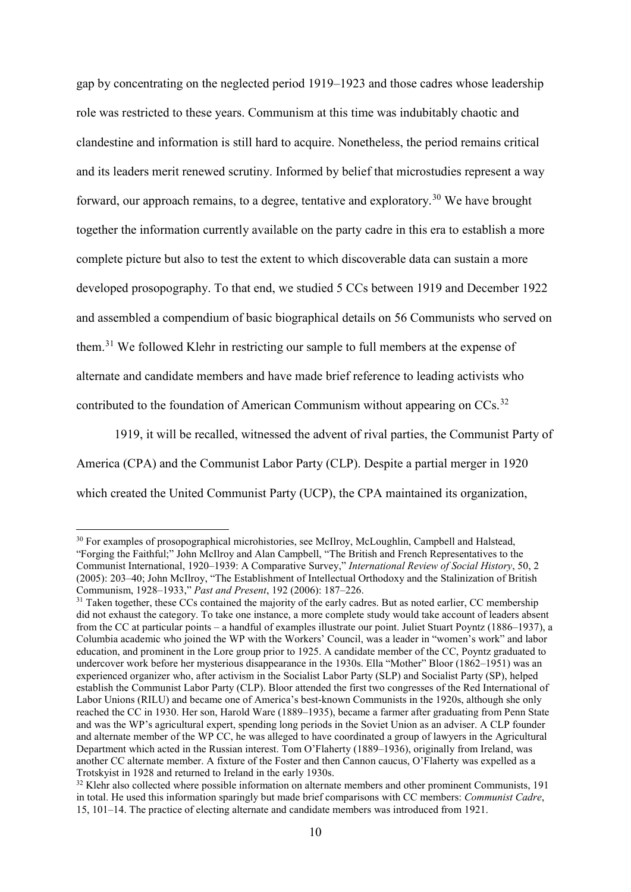gap by concentrating on the neglected period 1919–1923 and those cadres whose leadership role was restricted to these years. Communism at this time was indubitably chaotic and clandestine and information is still hard to acquire. Nonetheless, the period remains critical and its leaders merit renewed scrutiny. Informed by belief that microstudies represent a way forward, our approach remains, to a degree, tentative and exploratory.<sup>[30](#page-10-0)</sup> We have brought together the information currently available on the party cadre in this era to establish a more complete picture but also to test the extent to which discoverable data can sustain a more developed prosopography. To that end, we studied 5 CCs between 1919 and December 1922 and assembled a compendium of basic biographical details on 56 Communists who served on them.[31](#page-10-1) We followed Klehr in restricting our sample to full members at the expense of alternate and candidate members and have made brief reference to leading activists who contributed to the foundation of American Communism without appearing on  $CCs$ .<sup>[32](#page-10-2)</sup>

1919, it will be recalled, witnessed the advent of rival parties, the Communist Party of America (CPA) and the Communist Labor Party (CLP). Despite a partial merger in 1920 which created the United Communist Party (UCP), the CPA maintained its organization,

<span id="page-10-0"></span><sup>&</sup>lt;sup>30</sup> For examples of prosopographical microhistories, see McIlroy, McLoughlin, Campbell and Halstead, "Forging the Faithful;" John McIlroy and Alan Campbell, "The British and French Representatives to the Communist International, 1920–1939: A Comparative Survey," *International Review of Social History*, 50, 2 (2005): 203–40; John McIlroy, "The Establishment of Intellectual Orthodoxy and the Stalinization of British Communism, 1928–1933," *Past and Present*, 192 (2006): 187–226.

<span id="page-10-1"></span><sup>&</sup>lt;sup>31</sup> Taken together, these CCs contained the majority of the early cadres. But as noted earlier, CC membership did not exhaust the category. To take one instance, a more complete study would take account of leaders absent from the CC at particular points – a handful of examples illustrate our point. Juliet Stuart Poyntz (1886–1937), a Columbia academic who joined the WP with the Workers' Council, was a leader in "women's work" and labor education, and prominent in the Lore group prior to 1925. A candidate member of the CC, Poyntz graduated to undercover work before her mysterious disappearance in the 1930s. Ella "Mother" Bloor (1862–1951) was an experienced organizer who, after activism in the Socialist Labor Party (SLP) and Socialist Party (SP), helped establish the Communist Labor Party (CLP). Bloor attended the first two congresses of the Red International of Labor Unions (RILU) and became one of America's best-known Communists in the 1920s, although she only reached the CC in 1930. Her son, Harold Ware (1889–1935), became a farmer after graduating from Penn State and was the WP's agricultural expert, spending long periods in the Soviet Union as an adviser. A CLP founder and alternate member of the WP CC, he was alleged to have coordinated a group of lawyers in the Agricultural Department which acted in the Russian interest. Tom O'Flaherty (1889–1936), originally from Ireland, was another CC alternate member. A fixture of the Foster and then Cannon caucus, O'Flaherty was expelled as a Trotskyist in 1928 and returned to Ireland in the early 1930s.

<span id="page-10-2"></span><sup>&</sup>lt;sup>32</sup> Klehr also collected where possible information on alternate members and other prominent Communists, 191 in total. He used this information sparingly but made brief comparisons with CC members: *Communist Cadre*, 15, 101–14. The practice of electing alternate and candidate members was introduced from 1921.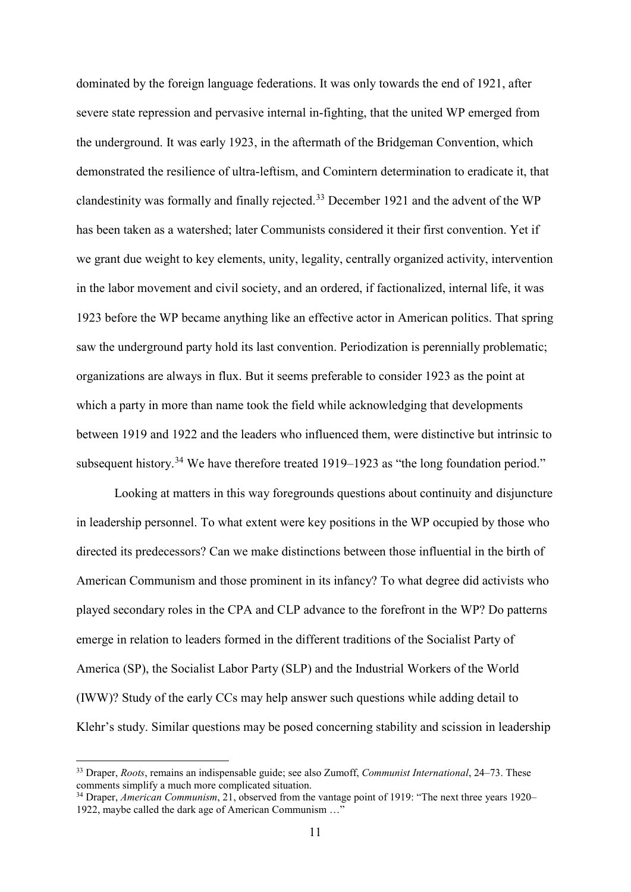dominated by the foreign language federations. It was only towards the end of 1921, after severe state repression and pervasive internal in-fighting, that the united WP emerged from the underground. It was early 1923, in the aftermath of the Bridgeman Convention, which demonstrated the resilience of ultra-leftism, and Comintern determination to eradicate it, that clandestinity was formally and finally rejected. [33](#page-11-0) December 1921 and the advent of the WP has been taken as a watershed; later Communists considered it their first convention. Yet if we grant due weight to key elements, unity, legality, centrally organized activity, intervention in the labor movement and civil society, and an ordered, if factionalized, internal life, it was 1923 before the WP became anything like an effective actor in American politics. That spring saw the underground party hold its last convention. Periodization is perennially problematic; organizations are always in flux. But it seems preferable to consider 1923 as the point at which a party in more than name took the field while acknowledging that developments between 1919 and 1922 and the leaders who influenced them, were distinctive but intrinsic to subsequent history.<sup>[34](#page-11-1)</sup> We have therefore treated 1919–1923 as "the long foundation period."

Looking at matters in this way foregrounds questions about continuity and disjuncture in leadership personnel. To what extent were key positions in the WP occupied by those who directed its predecessors? Can we make distinctions between those influential in the birth of American Communism and those prominent in its infancy? To what degree did activists who played secondary roles in the CPA and CLP advance to the forefront in the WP? Do patterns emerge in relation to leaders formed in the different traditions of the Socialist Party of America (SP), the Socialist Labor Party (SLP) and the Industrial Workers of the World (IWW)? Study of the early CCs may help answer such questions while adding detail to Klehr's study. Similar questions may be posed concerning stability and scission in leadership

<span id="page-11-0"></span> <sup>33</sup> Draper, *Roots*, remains an indispensable guide; see also Zumoff, *Communist International*, 24–73. These comments simplify a much more complicated situation.

<span id="page-11-1"></span><sup>34</sup> Draper, *American Communism*, 21, observed from the vantage point of 1919: "The next three years 1920– 1922, maybe called the dark age of American Communism …"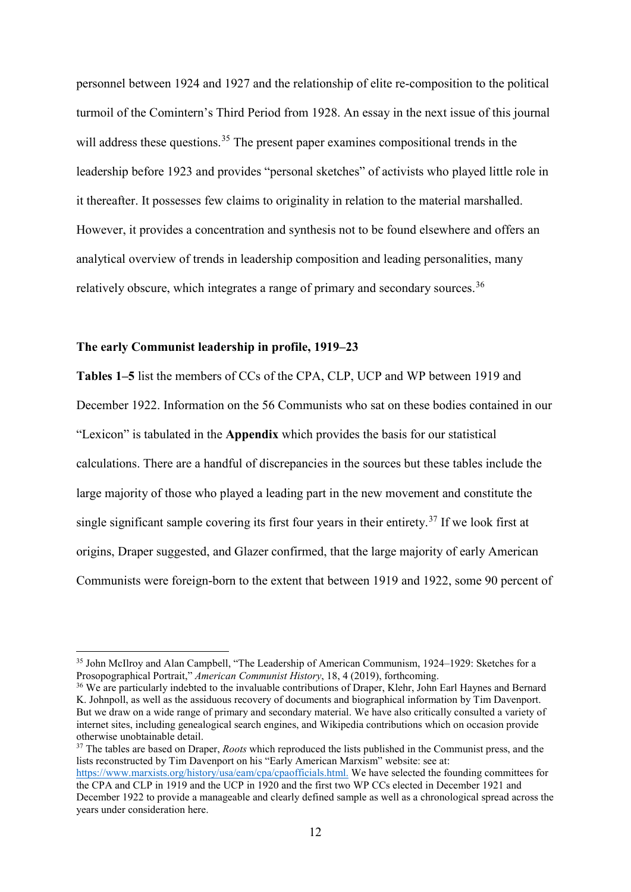personnel between 1924 and 1927 and the relationship of elite re-composition to the political turmoil of the Comintern's Third Period from 1928. An essay in the next issue of this journal will address these questions.<sup>[35](#page-12-0)</sup> The present paper examines compositional trends in the leadership before 1923 and provides "personal sketches" of activists who played little role in it thereafter. It possesses few claims to originality in relation to the material marshalled. However, it provides a concentration and synthesis not to be found elsewhere and offers an analytical overview of trends in leadership composition and leading personalities, many relatively obscure, which integrates a range of primary and secondary sources.<sup>[36](#page-12-1)</sup>

#### **The early Communist leadership in profile, 1919–23**

**Tables 1–5** list the members of CCs of the CPA, CLP, UCP and WP between 1919 and December 1922. Information on the 56 Communists who sat on these bodies contained in our "Lexicon" is tabulated in the **Appendix** which provides the basis for our statistical calculations. There are a handful of discrepancies in the sources but these tables include the large majority of those who played a leading part in the new movement and constitute the single significant sample covering its first four years in their entirety.<sup>[37](#page-12-2)</sup> If we look first at origins, Draper suggested, and Glazer confirmed, that the large majority of early American Communists were foreign-born to the extent that between 1919 and 1922, some 90 percent of

<span id="page-12-2"></span><sup>37</sup> The tables are based on Draper, *Roots* which reproduced the lists published in the Communist press, and the lists reconstructed by Tim Davenport on his "Early American Marxism" website: see at:

<span id="page-12-0"></span><sup>&</sup>lt;sup>35</sup> John McIlroy and Alan Campbell, "The Leadership of American Communism, 1924–1929: Sketches for a Prosopographical Portrait," *American Communist History*, 18, 4 (2019), forthcoming.

<span id="page-12-1"></span><sup>&</sup>lt;sup>36</sup> We are particularly indebted to the invaluable contributions of Draper, Klehr, John Earl Haynes and Bernard K. Johnpoll, as well as the assiduous recovery of documents and biographical information by Tim Davenport. But we draw on a wide range of primary and secondary material. We have also critically consulted a variety of internet sites, including genealogical search engines, and Wikipedia contributions which on occasion provide otherwise unobtainable detail.

[https://www.marxists.org/history/usa/eam/cpa/cpaofficials.html.](https://www.marxists.org/history/usa/eam/cpa/cpaofficials.html) We have selected the founding committees for the CPA and CLP in 1919 and the UCP in 1920 and the first two WP CCs elected in December 1921 and December 1922 to provide a manageable and clearly defined sample as well as a chronological spread across the years under consideration here.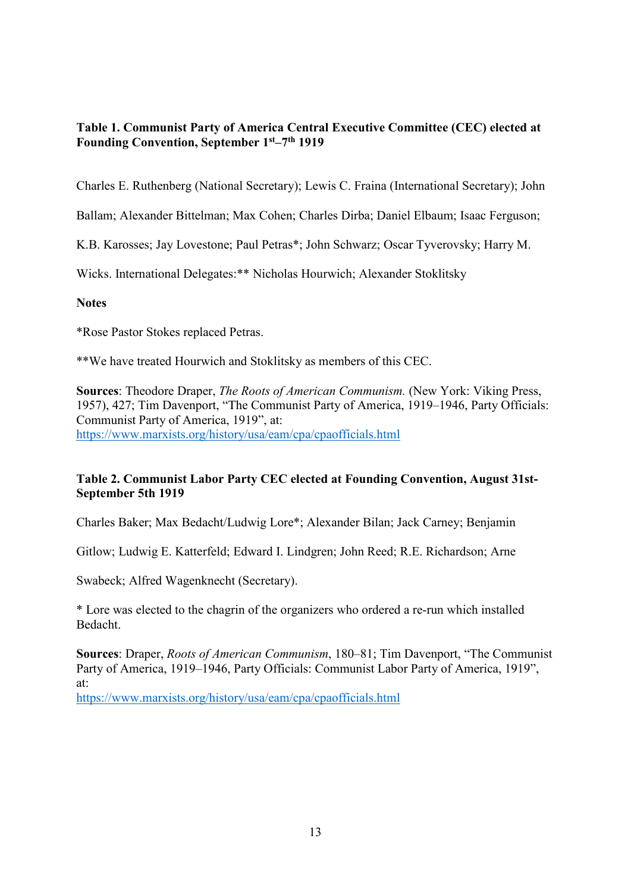# **Table 1. Communist Party of America Central Executive Committee (CEC) elected at Founding Convention, September 1st–7th 1919**

Charles E. Ruthenberg (National Secretary); Lewis C. Fraina (International Secretary); John

Ballam; Alexander Bittelman; Max Cohen; Charles Dirba; Daniel Elbaum; Isaac Ferguson;

K.B. Karosses; Jay Lovestone; Paul Petras\*; John Schwarz; Oscar Tyverovsky; Harry M.

Wicks. International Delegates:\*\* Nicholas Hourwich; Alexander Stoklitsky

## **Notes**

\*Rose Pastor Stokes replaced Petras.

\*\*We have treated Hourwich and Stoklitsky as members of this CEC.

**Sources**: Theodore Draper, *The Roots of American Communism.* (New York: Viking Press, 1957), 427; Tim Davenport, "The Communist Party of America, 1919–1946, Party Officials: Communist Party of America, 1919", at: <https://www.marxists.org/history/usa/eam/cpa/cpaofficials.html>

## **Table 2. Communist Labor Party CEC elected at Founding Convention, August 31st-September 5th 1919**

Charles Baker; Max Bedacht/Ludwig Lore\*; Alexander Bilan; Jack Carney; Benjamin

Gitlow; Ludwig E. Katterfeld; Edward I. Lindgren; John Reed; R.E. Richardson; Arne

Swabeck; Alfred Wagenknecht (Secretary).

\* Lore was elected to the chagrin of the organizers who ordered a re-run which installed Bedacht.

**Sources**: Draper, *Roots of American Communism*, 180–81; Tim Davenport, "The Communist Party of America, 1919–1946, Party Officials: Communist Labor Party of America, 1919", at:

<https://www.marxists.org/history/usa/eam/cpa/cpaofficials.html>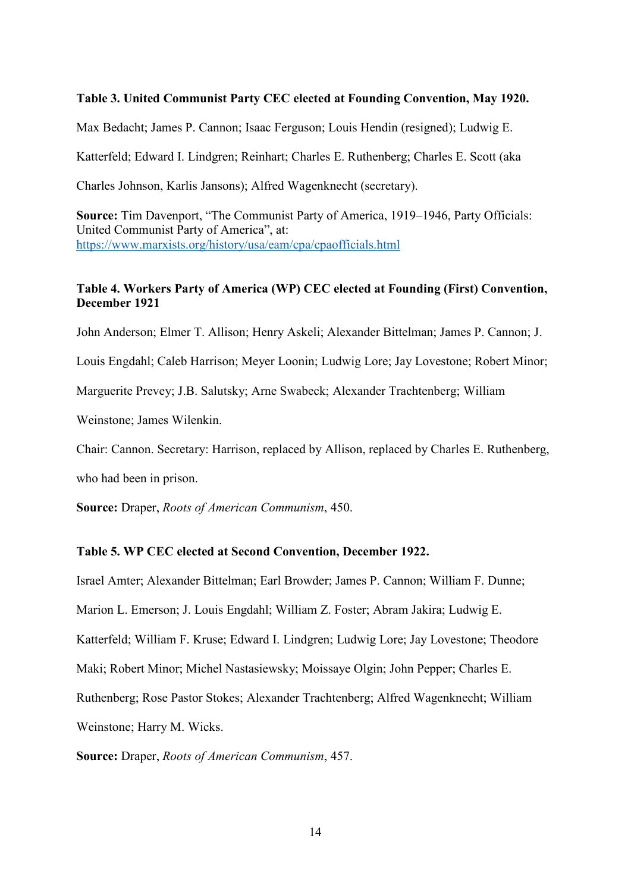#### **Table 3. United Communist Party CEC elected at Founding Convention, May 1920.**

Max Bedacht; James P. Cannon; Isaac Ferguson; Louis Hendin (resigned); Ludwig E.

Katterfeld; Edward I. Lindgren; Reinhart; Charles E. Ruthenberg; Charles E. Scott (aka

Charles Johnson, Karlis Jansons); Alfred Wagenknecht (secretary).

**Source:** Tim Davenport, "The Communist Party of America, 1919–1946, Party Officials: United Communist Party of America", at: <https://www.marxists.org/history/usa/eam/cpa/cpaofficials.html>

### **Table 4. Workers Party of America (WP) CEC elected at Founding (First) Convention, December 1921**

John Anderson; Elmer T. Allison; Henry Askeli; Alexander Bittelman; James P. Cannon; J.

Louis Engdahl; Caleb Harrison; Meyer Loonin; Ludwig Lore; Jay Lovestone; Robert Minor;

Marguerite Prevey; J.B. Salutsky; Arne Swabeck; Alexander Trachtenberg; William

Weinstone; James Wilenkin.

Chair: Cannon. Secretary: Harrison, replaced by Allison, replaced by Charles E. Ruthenberg,

who had been in prison.

**Source:** Draper, *Roots of American Communism*, 450.

#### **Table 5. WP CEC elected at Second Convention, December 1922.**

Israel Amter; Alexander Bittelman; Earl Browder; James P. Cannon; William F. Dunne;

Marion L. Emerson; J. Louis Engdahl; William Z. Foster; Abram Jakira; Ludwig E.

Katterfeld; William F. Kruse; Edward I. Lindgren; Ludwig Lore; Jay Lovestone; Theodore

Maki; Robert Minor; Michel Nastasiewsky; Moissaye Olgin; John Pepper; Charles E.

Ruthenberg; Rose Pastor Stokes; Alexander Trachtenberg; Alfred Wagenknecht; William

Weinstone; Harry M. Wicks.

**Source:** Draper, *Roots of American Communism*, 457.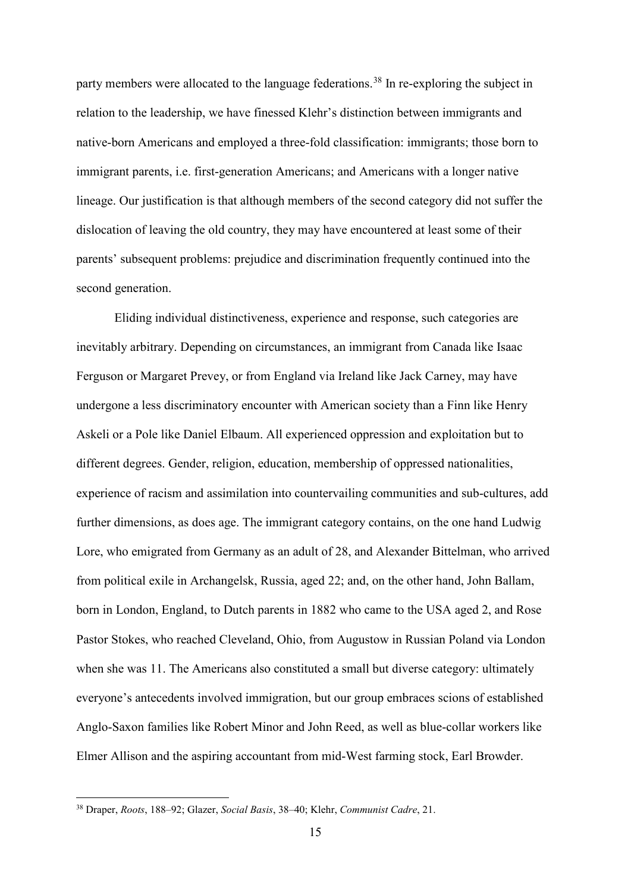party members were allocated to the language federations.<sup>[38](#page-15-0)</sup> In re-exploring the subject in relation to the leadership, we have finessed Klehr's distinction between immigrants and native-born Americans and employed a three-fold classification: immigrants; those born to immigrant parents, i.e. first-generation Americans; and Americans with a longer native lineage. Our justification is that although members of the second category did not suffer the dislocation of leaving the old country, they may have encountered at least some of their parents' subsequent problems: prejudice and discrimination frequently continued into the second generation.

Eliding individual distinctiveness, experience and response, such categories are inevitably arbitrary. Depending on circumstances, an immigrant from Canada like Isaac Ferguson or Margaret Prevey, or from England via Ireland like Jack Carney, may have undergone a less discriminatory encounter with American society than a Finn like Henry Askeli or a Pole like Daniel Elbaum. All experienced oppression and exploitation but to different degrees. Gender, religion, education, membership of oppressed nationalities, experience of racism and assimilation into countervailing communities and sub-cultures, add further dimensions, as does age. The immigrant category contains, on the one hand Ludwig Lore, who emigrated from Germany as an adult of 28, and Alexander Bittelman, who arrived from political exile in Archangelsk, Russia, aged 22; and, on the other hand, John Ballam, born in London, England, to Dutch parents in 1882 who came to the USA aged 2, and Rose Pastor Stokes, who reached Cleveland, Ohio, from Augustow in Russian Poland via London when she was 11. The Americans also constituted a small but diverse category: ultimately everyone's antecedents involved immigration, but our group embraces scions of established Anglo-Saxon families like Robert Minor and John Reed, as well as blue-collar workers like Elmer Allison and the aspiring accountant from mid-West farming stock, Earl Browder.

<span id="page-15-0"></span> <sup>38</sup> Draper, *Roots*, 188–92; Glazer, *Social Basis*, 38–40; Klehr, *Communist Cadre*, 21.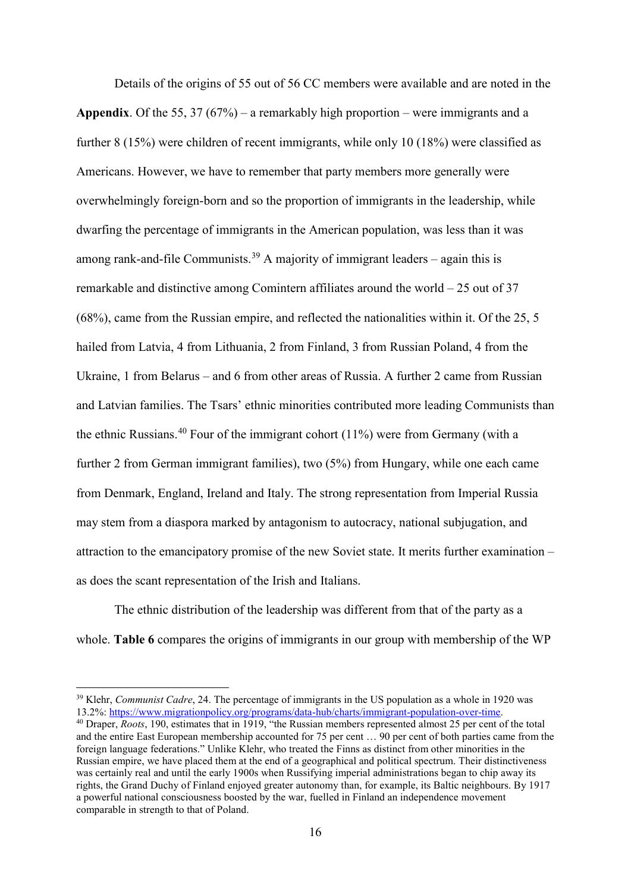Details of the origins of 55 out of 56 CC members were available and are noted in the **Appendix**. Of the 55, 37 (67%) – a remarkably high proportion – were immigrants and a further 8 (15%) were children of recent immigrants, while only 10 (18%) were classified as Americans. However, we have to remember that party members more generally were overwhelmingly foreign-born and so the proportion of immigrants in the leadership, while dwarfing the percentage of immigrants in the American population, was less than it was among rank-and-file Communists.<sup>[39](#page-16-0)</sup> A majority of immigrant leaders – again this is remarkable and distinctive among Comintern affiliates around the world – 25 out of 37 (68%), came from the Russian empire, and reflected the nationalities within it. Of the 25, 5 hailed from Latvia, 4 from Lithuania, 2 from Finland, 3 from Russian Poland, 4 from the Ukraine, 1 from Belarus – and 6 from other areas of Russia. A further 2 came from Russian and Latvian families. The Tsars' ethnic minorities contributed more leading Communists than the ethnic Russians.[40](#page-16-1) Four of the immigrant cohort (11%) were from Germany (with a further 2 from German immigrant families), two (5%) from Hungary, while one each came from Denmark, England, Ireland and Italy. The strong representation from Imperial Russia may stem from a diaspora marked by antagonism to autocracy, national subjugation, and attraction to the emancipatory promise of the new Soviet state. It merits further examination – as does the scant representation of the Irish and Italians.

The ethnic distribution of the leadership was different from that of the party as a whole. **Table 6** compares the origins of immigrants in our group with membership of the WP

<span id="page-16-0"></span> <sup>39</sup> Klehr, *Communist Cadre*, 24. The percentage of immigrants in the US population as a whole in 1920 was 13.2%: [https://www.migrationpolicy.org/programs/data-hub/charts/immigrant-population-over-time.](https://www.migrationpolicy.org/programs/data-hub/charts/immigrant-population-over-time)

<span id="page-16-1"></span><sup>40</sup> Draper, *Roots*, 190, estimates that in 1919, "the Russian members represented almost 25 per cent of the total and the entire East European membership accounted for 75 per cent … 90 per cent of both parties came from the foreign language federations." Unlike Klehr, who treated the Finns as distinct from other minorities in the Russian empire, we have placed them at the end of a geographical and political spectrum. Their distinctiveness was certainly real and until the early 1900s when Russifying imperial administrations began to chip away its rights, the Grand Duchy of Finland enjoyed greater autonomy than, for example, its Baltic neighbours. By 1917 a powerful national consciousness boosted by the war, fuelled in Finland an independence movement comparable in strength to that of Poland.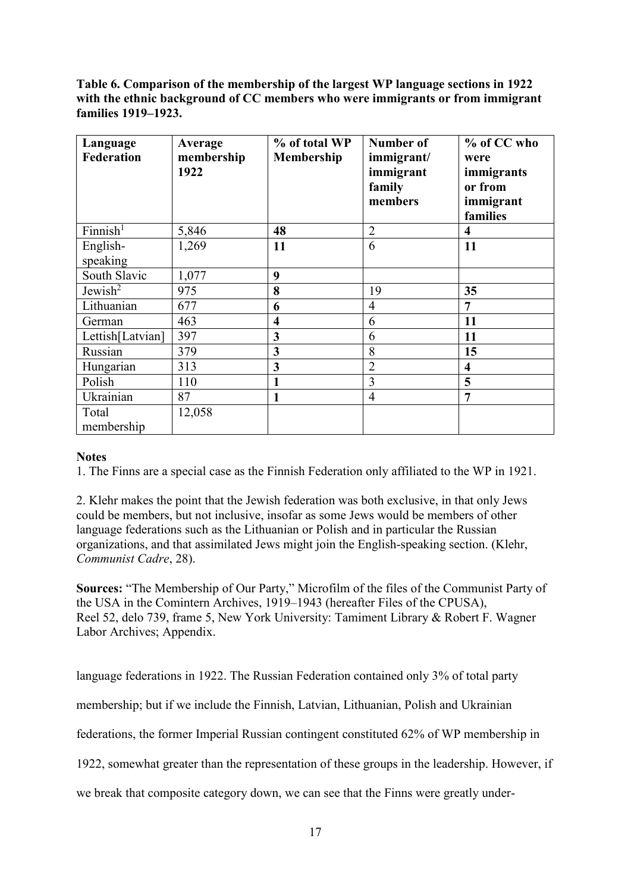**Table 6. Comparison of the membership of the largest WP language sections in 1922 with the ethnic background of CC members who were immigrants or from immigrant families 1919–1923.**

| Language<br><b>Federation</b> | Average<br>membership<br>1922 | % of total WP<br>Membership | Number of<br>immigrant/<br>immigrant<br>family<br>members | % of CC who<br>were<br>immigrants<br>or from<br>immigrant<br>families |
|-------------------------------|-------------------------------|-----------------------------|-----------------------------------------------------------|-----------------------------------------------------------------------|
| Finnish <sup>1</sup>          | 5,846                         | 48                          | $\overline{2}$                                            | $\overline{\mathbf{4}}$                                               |
| English-<br>speaking          | 1,269                         | 11                          | 6                                                         | 11                                                                    |
| South Slavic                  | 1,077                         | 9                           |                                                           |                                                                       |
| Jewish <sup>2</sup>           | 975                           | 8                           | 19                                                        | 35                                                                    |
| Lithuanian                    | 677                           | 6                           | $\overline{4}$                                            | 7                                                                     |
| German                        | 463                           | $\overline{\mathbf{4}}$     | 6                                                         | 11                                                                    |
| Lettish[Latvian]              | 397                           | 3                           | 6                                                         | 11                                                                    |
| Russian                       | 379                           | 3                           | 8                                                         | 15                                                                    |
| Hungarian                     | 313                           | 3                           | $\overline{2}$                                            | $\overline{\mathbf{4}}$                                               |
| Polish                        | 110                           | 1                           | 3                                                         | 5                                                                     |
| Ukrainian                     | 87                            | 1                           | $\overline{4}$                                            | 7                                                                     |
| Total                         | 12,058                        |                             |                                                           |                                                                       |
| membership                    |                               |                             |                                                           |                                                                       |

## **Notes**

1. The Finns are a special case as the Finnish Federation only affiliated to the WP in 1921.

2. Klehr makes the point that the Jewish federation was both exclusive, in that only Jews could be members, but not inclusive, insofar as some Jews would be members of other language federations such as the Lithuanian or Polish and in particular the Russian organizations, and that assimilated Jews might join the English-speaking section. (Klehr, *Communist Cadre*, 28).

**Sources:** "The Membership of Our Party," Microfilm of the files of the Communist Party of the USA in the Comintern Archives, 1919–1943 (hereafter Files of the CPUSA), Reel 52, delo 739, frame 5, New York University: Tamiment Library & Robert F. Wagner Labor Archives; Appendix.

language federations in 1922. The Russian Federation contained only 3% of total party

membership; but if we include the Finnish, Latvian, Lithuanian, Polish and Ukrainian

federations, the former Imperial Russian contingent constituted 62% of WP membership in

1922, somewhat greater than the representation of these groups in the leadership. However, if

we break that composite category down, we can see that the Finns were greatly under-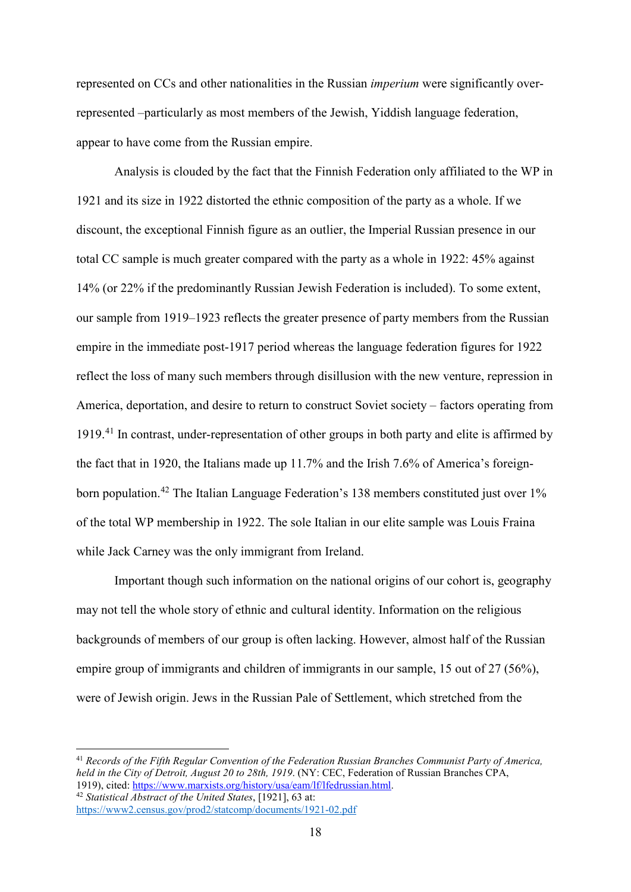represented on CCs and other nationalities in the Russian *imperium* were significantly overrepresented –particularly as most members of the Jewish, Yiddish language federation, appear to have come from the Russian empire.

Analysis is clouded by the fact that the Finnish Federation only affiliated to the WP in 1921 and its size in 1922 distorted the ethnic composition of the party as a whole. If we discount, the exceptional Finnish figure as an outlier, the Imperial Russian presence in our total CC sample is much greater compared with the party as a whole in 1922: 45% against 14% (or 22% if the predominantly Russian Jewish Federation is included). To some extent, our sample from 1919–1923 reflects the greater presence of party members from the Russian empire in the immediate post-1917 period whereas the language federation figures for 1922 reflect the loss of many such members through disillusion with the new venture, repression in America, deportation, and desire to return to construct Soviet society – factors operating from 1919. [41](#page-18-0) In contrast, under-representation of other groups in both party and elite is affirmed by the fact that in 1920, the Italians made up 11.7% and the Irish 7.6% of America's foreign-born population.<sup>[42](#page-18-1)</sup> The Italian Language Federation's 138 members constituted just over 1% of the total WP membership in 1922. The sole Italian in our elite sample was Louis Fraina while Jack Carney was the only immigrant from Ireland.

Important though such information on the national origins of our cohort is, geography may not tell the whole story of ethnic and cultural identity. Information on the religious backgrounds of members of our group is often lacking. However, almost half of the Russian empire group of immigrants and children of immigrants in our sample, 15 out of 27 (56%), were of Jewish origin. Jews in the Russian Pale of Settlement, which stretched from the

<span id="page-18-1"></span><span id="page-18-0"></span> 41 *Records of the Fifth Regular Convention of the Federation Russian Branches Communist Party of America, held in the City of Detroit, August 20 to 28th, 1919*. (NY: CEC, Federation of Russian Branches CPA, 1919), cited: [https://www.marxists.org/history/usa/eam/lf/lfedrussian.html.](https://www.marxists.org/history/usa/eam/lf/lfedrussian.html) <sup>42</sup> *Statistical Abstract of the United States*, [1921], 63 at: <https://www2.census.gov/prod2/statcomp/documents/1921-02.pdf>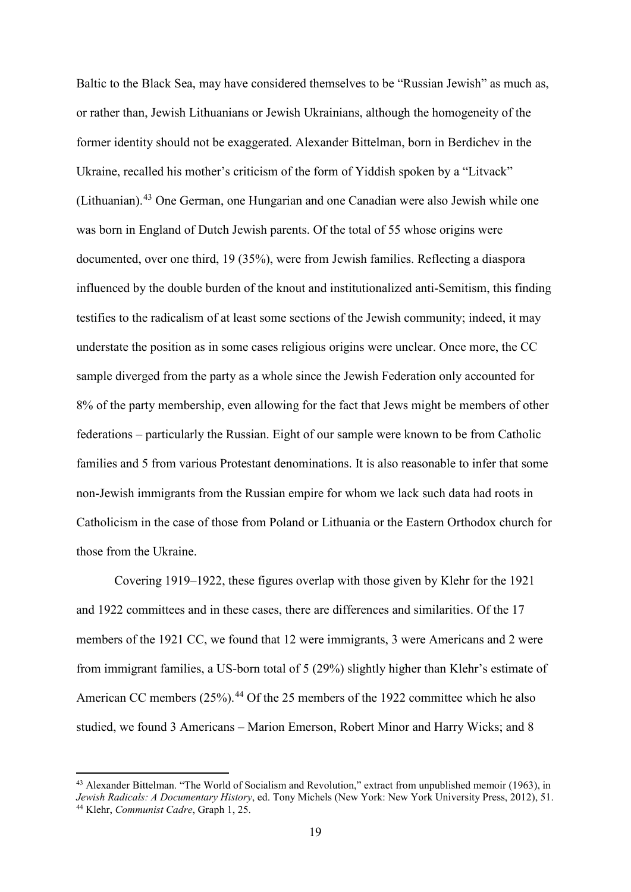Baltic to the Black Sea, may have considered themselves to be "Russian Jewish" as much as, or rather than, Jewish Lithuanians or Jewish Ukrainians, although the homogeneity of the former identity should not be exaggerated. Alexander Bittelman, born in Berdichev in the Ukraine, recalled his mother's criticism of the form of Yiddish spoken by a "Litvack" (Lithuanian).[43](#page-19-0) One German, one Hungarian and one Canadian were also Jewish while one was born in England of Dutch Jewish parents. Of the total of 55 whose origins were documented, over one third, 19 (35%), were from Jewish families. Reflecting a diaspora influenced by the double burden of the knout and institutionalized anti-Semitism, this finding testifies to the radicalism of at least some sections of the Jewish community; indeed, it may understate the position as in some cases religious origins were unclear. Once more, the CC sample diverged from the party as a whole since the Jewish Federation only accounted for 8% of the party membership, even allowing for the fact that Jews might be members of other federations – particularly the Russian. Eight of our sample were known to be from Catholic families and 5 from various Protestant denominations. It is also reasonable to infer that some non-Jewish immigrants from the Russian empire for whom we lack such data had roots in Catholicism in the case of those from Poland or Lithuania or the Eastern Orthodox church for those from the Ukraine.

Covering 1919–1922, these figures overlap with those given by Klehr for the 1921 and 1922 committees and in these cases, there are differences and similarities. Of the 17 members of the 1921 CC, we found that 12 were immigrants, 3 were Americans and 2 were from immigrant families, a US-born total of 5 (29%) slightly higher than Klehr's estimate of American CC members (25%).<sup>[44](#page-19-1)</sup> Of the 25 members of the 1922 committee which he also studied, we found 3 Americans – Marion Emerson, Robert Minor and Harry Wicks; and 8

<span id="page-19-1"></span><span id="page-19-0"></span><sup>43</sup> Alexander Bittelman. "The World of Socialism and Revolution," extract from unpublished memoir (1963), in *Jewish Radicals: A Documentary History*, ed. Tony Michels (New York: New York University Press, 2012), 51. 44 Klehr, *Communist Cadre*, Graph 1, 25.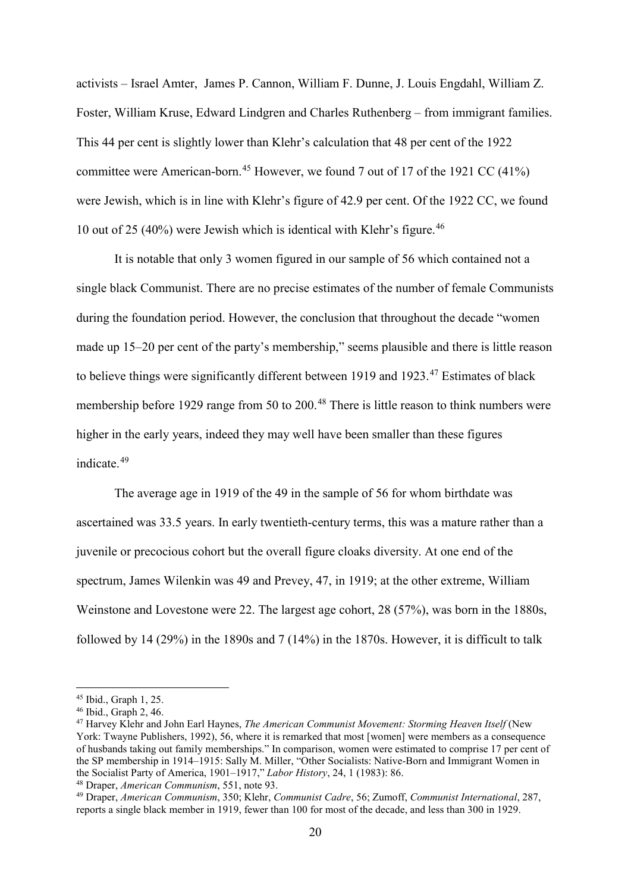activists – Israel Amter, James P. Cannon, William F. Dunne, J. Louis Engdahl, William Z. Foster, William Kruse, Edward Lindgren and Charles Ruthenberg – from immigrant families. This 44 per cent is slightly lower than Klehr's calculation that 48 per cent of the 1922 committee were American-born.<sup>[45](#page-20-0)</sup> However, we found 7 out of 17 of the 1921 CC (41%) were Jewish, which is in line with Klehr's figure of 42.9 per cent. Of the 1922 CC, we found 10 out of 25 (40%) were Jewish which is identical with Klehr's figure.<sup>[46](#page-20-1)</sup>

It is notable that only 3 women figured in our sample of 56 which contained not a single black Communist. There are no precise estimates of the number of female Communists during the foundation period. However, the conclusion that throughout the decade "women made up 15–20 per cent of the party's membership," seems plausible and there is little reason to believe things were significantly different between 1919 and 1923.<sup>[47](#page-20-2)</sup> Estimates of black membership before 1929 range from 50 to 200.<sup>[48](#page-20-3)</sup> There is little reason to think numbers were higher in the early years, indeed they may well have been smaller than these figures indicate. [49](#page-20-4)

The average age in 1919 of the 49 in the sample of 56 for whom birthdate was ascertained was 33.5 years. In early twentieth-century terms, this was a mature rather than a juvenile or precocious cohort but the overall figure cloaks diversity. At one end of the spectrum, James Wilenkin was 49 and Prevey, 47, in 1919; at the other extreme, William Weinstone and Lovestone were 22. The largest age cohort, 28 (57%), was born in the 1880s, followed by 14 (29%) in the 1890s and 7 (14%) in the 1870s. However, it is difficult to talk

<span id="page-20-0"></span> <sup>45</sup> Ibid., Graph 1, 25.

<span id="page-20-1"></span><sup>46</sup> Ibid., Graph 2, 46.

<span id="page-20-2"></span><sup>47</sup> Harvey Klehr and John Earl Haynes, *The American Communist Movement: Storming Heaven Itself* (New York: Twayne Publishers, 1992), 56, where it is remarked that most [women] were members as a consequence of husbands taking out family memberships." In comparison, women were estimated to comprise 17 per cent of the SP membership in 1914–1915: Sally M. Miller, "Other Socialists: Native-Born and Immigrant Women in the Socialist Party of America, 1901–1917," *Labor History*, 24, 1 (1983): 86. 48 Draper, *American Communism*, 551, note 93.

<span id="page-20-4"></span><span id="page-20-3"></span><sup>49</sup> Draper, *American Communism*, 350; Klehr, *Communist Cadre*, 56; Zumoff, *Communist International*, 287, reports a single black member in 1919, fewer than 100 for most of the decade, and less than 300 in 1929.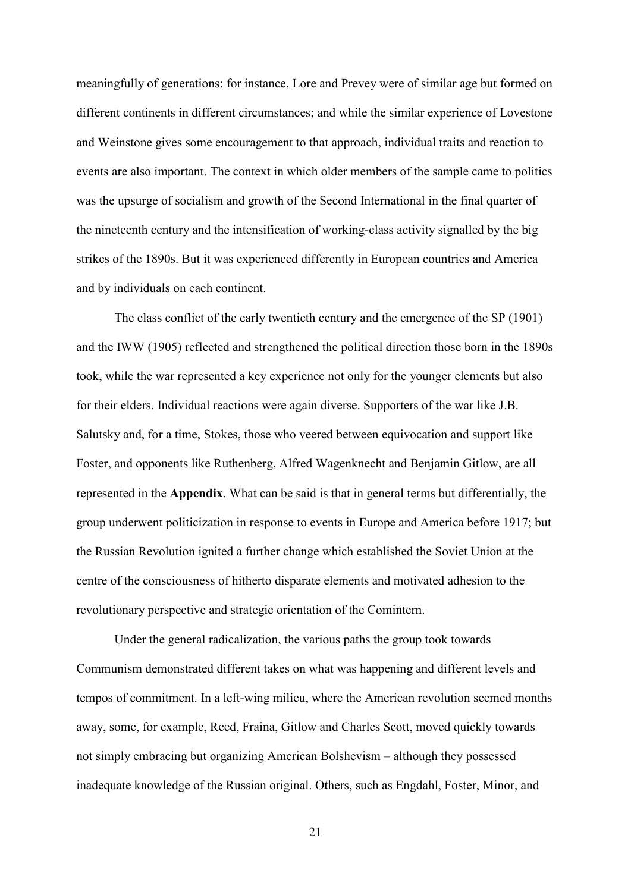meaningfully of generations: for instance, Lore and Prevey were of similar age but formed on different continents in different circumstances; and while the similar experience of Lovestone and Weinstone gives some encouragement to that approach, individual traits and reaction to events are also important. The context in which older members of the sample came to politics was the upsurge of socialism and growth of the Second International in the final quarter of the nineteenth century and the intensification of working-class activity signalled by the big strikes of the 1890s. But it was experienced differently in European countries and America and by individuals on each continent.

The class conflict of the early twentieth century and the emergence of the SP (1901) and the IWW (1905) reflected and strengthened the political direction those born in the 1890s took, while the war represented a key experience not only for the younger elements but also for their elders. Individual reactions were again diverse. Supporters of the war like J.B. Salutsky and, for a time, Stokes, those who veered between equivocation and support like Foster, and opponents like Ruthenberg, Alfred Wagenknecht and Benjamin Gitlow, are all represented in the **Appendix**. What can be said is that in general terms but differentially, the group underwent politicization in response to events in Europe and America before 1917; but the Russian Revolution ignited a further change which established the Soviet Union at the centre of the consciousness of hitherto disparate elements and motivated adhesion to the revolutionary perspective and strategic orientation of the Comintern.

Under the general radicalization, the various paths the group took towards Communism demonstrated different takes on what was happening and different levels and tempos of commitment. In a left-wing milieu, where the American revolution seemed months away, some, for example, Reed, Fraina, Gitlow and Charles Scott, moved quickly towards not simply embracing but organizing American Bolshevism – although they possessed inadequate knowledge of the Russian original. Others, such as Engdahl, Foster, Minor, and

21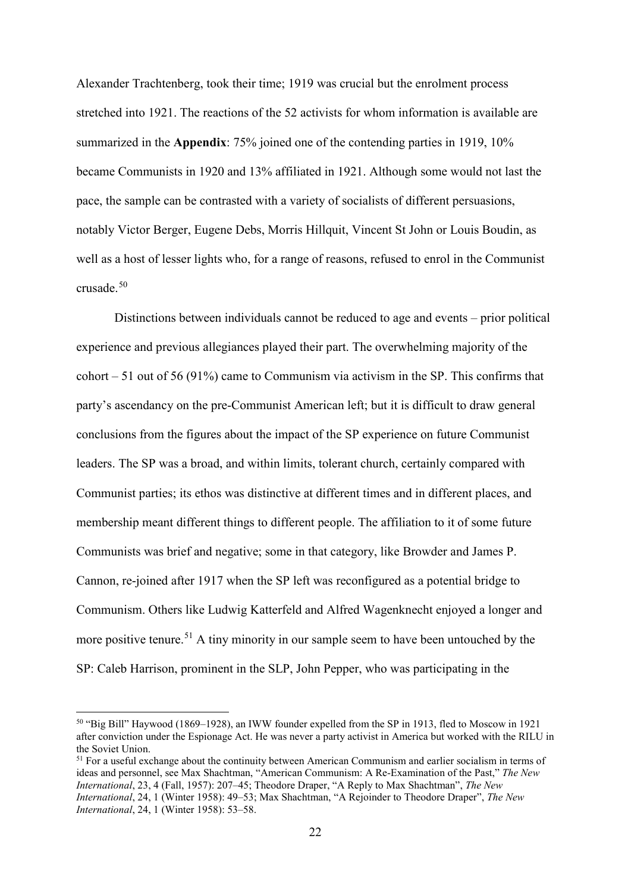Alexander Trachtenberg, took their time; 1919 was crucial but the enrolment process stretched into 1921. The reactions of the 52 activists for whom information is available are summarized in the **Appendix**: 75% joined one of the contending parties in 1919, 10% became Communists in 1920 and 13% affiliated in 1921. Although some would not last the pace, the sample can be contrasted with a variety of socialists of different persuasions, notably Victor Berger, Eugene Debs, Morris Hillquit, Vincent St John or Louis Boudin, as well as a host of lesser lights who, for a range of reasons, refused to enrol in the Communist crusade.[50](#page-22-0)

Distinctions between individuals cannot be reduced to age and events – prior political experience and previous allegiances played their part. The overwhelming majority of the cohort – 51 out of 56 (91%) came to Communism via activism in the SP. This confirms that party's ascendancy on the pre-Communist American left; but it is difficult to draw general conclusions from the figures about the impact of the SP experience on future Communist leaders. The SP was a broad, and within limits, tolerant church, certainly compared with Communist parties; its ethos was distinctive at different times and in different places, and membership meant different things to different people. The affiliation to it of some future Communists was brief and negative; some in that category, like Browder and James P. Cannon, re-joined after 1917 when the SP left was reconfigured as a potential bridge to Communism. Others like Ludwig Katterfeld and Alfred Wagenknecht enjoyed a longer and more positive tenure.<sup>[51](#page-22-1)</sup> A tiny minority in our sample seem to have been untouched by the SP: Caleb Harrison, prominent in the SLP, John Pepper, who was participating in the

<span id="page-22-0"></span> <sup>50</sup> "Big Bill" Haywood (1869–1928), an IWW founder expelled from the SP in 1913, fled to Moscow in 1921 after conviction under the Espionage Act. He was never a party activist in America but worked with the RILU in the Soviet Union.

<span id="page-22-1"></span><sup>&</sup>lt;sup>51</sup> For a useful exchange about the continuity between American Communism and earlier socialism in terms of ideas and personnel, see Max Shachtman, "American Communism: A Re-Examination of the Past," *The New International*, 23, 4 (Fall, 1957): 207–45; Theodore Draper, "A Reply to Max Shachtman", *The New International*, 24, 1 (Winter 1958): 49–53; Max Shachtman, "A Rejoinder to Theodore Draper", *The New International*, 24, 1 (Winter 1958): 53–58.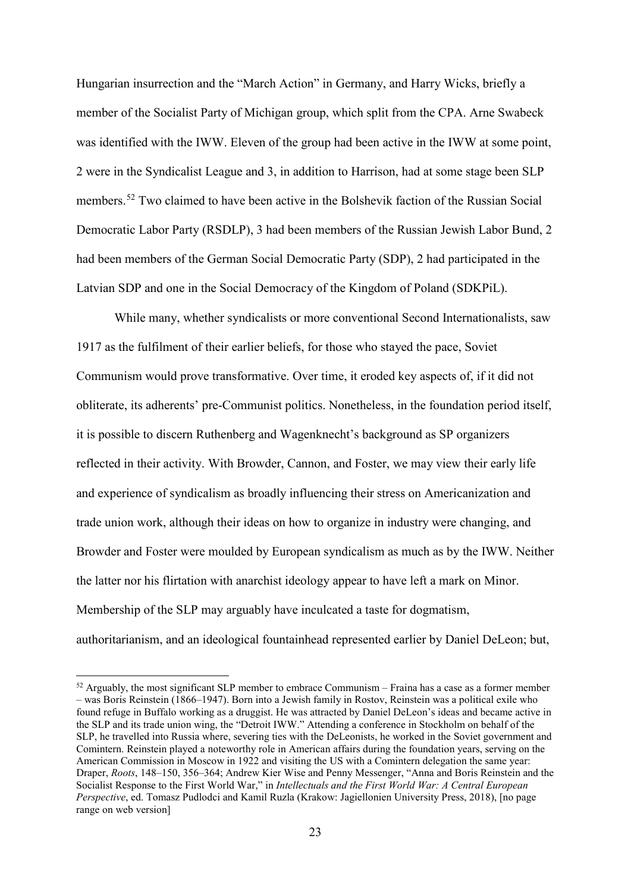Hungarian insurrection and the "March Action" in Germany, and Harry Wicks, briefly a member of the Socialist Party of Michigan group, which split from the CPA. Arne Swabeck was identified with the IWW. Eleven of the group had been active in the IWW at some point, 2 were in the Syndicalist League and 3, in addition to Harrison, had at some stage been SLP members. [52](#page-23-0) Two claimed to have been active in the Bolshevik faction of the Russian Social Democratic Labor Party (RSDLP), 3 had been members of the Russian Jewish Labor Bund, 2 had been members of the German Social Democratic Party (SDP), 2 had participated in the Latvian SDP and one in the Social Democracy of the Kingdom of Poland (SDKPiL).

While many, whether syndicalists or more conventional Second Internationalists, saw 1917 as the fulfilment of their earlier beliefs, for those who stayed the pace, Soviet Communism would prove transformative. Over time, it eroded key aspects of, if it did not obliterate, its adherents' pre-Communist politics. Nonetheless, in the foundation period itself, it is possible to discern Ruthenberg and Wagenknecht's background as SP organizers reflected in their activity. With Browder, Cannon, and Foster, we may view their early life and experience of syndicalism as broadly influencing their stress on Americanization and trade union work, although their ideas on how to organize in industry were changing, and Browder and Foster were moulded by European syndicalism as much as by the IWW. Neither the latter nor his flirtation with anarchist ideology appear to have left a mark on Minor. Membership of the SLP may arguably have inculcated a taste for dogmatism, authoritarianism, and an ideological fountainhead represented earlier by Daniel DeLeon; but,

<span id="page-23-0"></span> $52$  Arguably, the most significant SLP member to embrace Communism – Fraina has a case as a former member – was Boris Reinstein (1866–1947). Born into a Jewish family in Rostov, Reinstein was a political exile who found refuge in Buffalo working as a druggist. He was attracted by Daniel DeLeon's ideas and became active in the SLP and its trade union wing, the "Detroit IWW." Attending a conference in Stockholm on behalf of the SLP, he travelled into Russia where, severing ties with the DeLeonists, he worked in the Soviet government and Comintern. Reinstein played a noteworthy role in American affairs during the foundation years, serving on the American Commission in Moscow in 1922 and visiting the US with a Comintern delegation the same year: Draper, *Roots*, 148–150, 356–364; Andrew Kier Wise and Penny Messenger, "Anna and Boris Reinstein and the Socialist Response to the First World War," in *Intellectuals and the First World War: A Central European Perspective*, ed. Tomasz Pudlodci and Kamil Ruzla (Krakow: Jagiellonien University Press, 2018), [no page range on web version]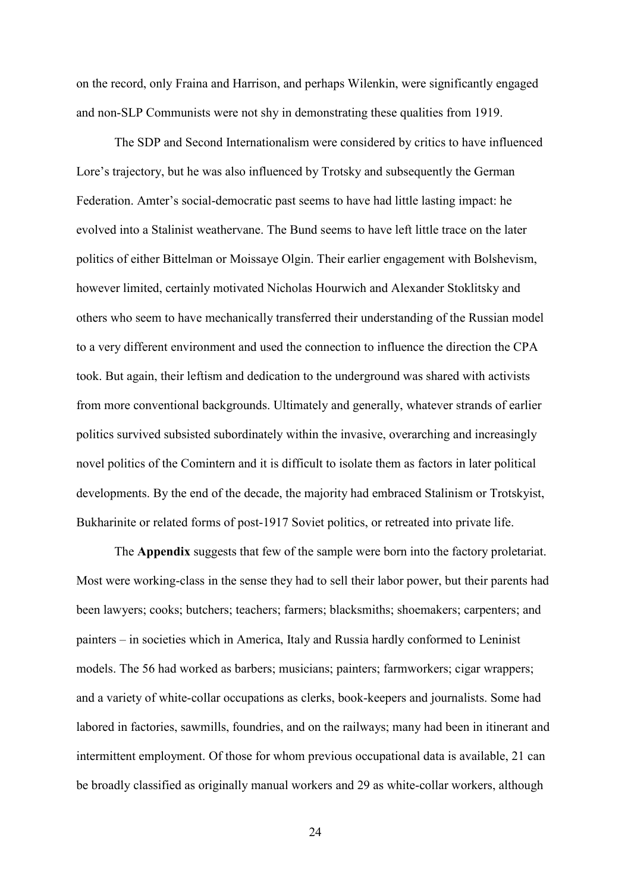on the record, only Fraina and Harrison, and perhaps Wilenkin, were significantly engaged and non-SLP Communists were not shy in demonstrating these qualities from 1919.

The SDP and Second Internationalism were considered by critics to have influenced Lore's trajectory, but he was also influenced by Trotsky and subsequently the German Federation. Amter's social-democratic past seems to have had little lasting impact: he evolved into a Stalinist weathervane. The Bund seems to have left little trace on the later politics of either Bittelman or Moissaye Olgin. Their earlier engagement with Bolshevism, however limited, certainly motivated Nicholas Hourwich and Alexander Stoklitsky and others who seem to have mechanically transferred their understanding of the Russian model to a very different environment and used the connection to influence the direction the CPA took. But again, their leftism and dedication to the underground was shared with activists from more conventional backgrounds. Ultimately and generally, whatever strands of earlier politics survived subsisted subordinately within the invasive, overarching and increasingly novel politics of the Comintern and it is difficult to isolate them as factors in later political developments. By the end of the decade, the majority had embraced Stalinism or Trotskyist, Bukharinite or related forms of post-1917 Soviet politics, or retreated into private life.

The **Appendix** suggests that few of the sample were born into the factory proletariat. Most were working-class in the sense they had to sell their labor power, but their parents had been lawyers; cooks; butchers; teachers; farmers; blacksmiths; shoemakers; carpenters; and painters – in societies which in America, Italy and Russia hardly conformed to Leninist models. The 56 had worked as barbers; musicians; painters; farmworkers; cigar wrappers; and a variety of white-collar occupations as clerks, book-keepers and journalists. Some had labored in factories, sawmills, foundries, and on the railways; many had been in itinerant and intermittent employment. Of those for whom previous occupational data is available, 21 can be broadly classified as originally manual workers and 29 as white-collar workers, although

24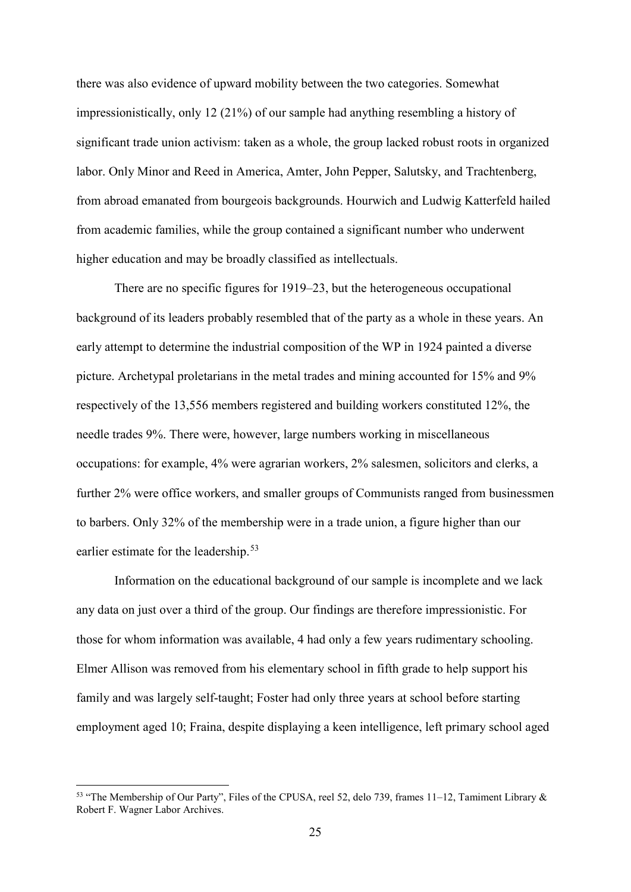there was also evidence of upward mobility between the two categories. Somewhat impressionistically, only 12 (21%) of our sample had anything resembling a history of significant trade union activism: taken as a whole, the group lacked robust roots in organized labor. Only Minor and Reed in America, Amter, John Pepper, Salutsky, and Trachtenberg, from abroad emanated from bourgeois backgrounds. Hourwich and Ludwig Katterfeld hailed from academic families, while the group contained a significant number who underwent higher education and may be broadly classified as intellectuals.

There are no specific figures for 1919–23, but the heterogeneous occupational background of its leaders probably resembled that of the party as a whole in these years. An early attempt to determine the industrial composition of the WP in 1924 painted a diverse picture. Archetypal proletarians in the metal trades and mining accounted for 15% and 9% respectively of the 13,556 members registered and building workers constituted 12%, the needle trades 9%. There were, however, large numbers working in miscellaneous occupations: for example, 4% were agrarian workers, 2% salesmen, solicitors and clerks, a further 2% were office workers, and smaller groups of Communists ranged from businessmen to barbers. Only 32% of the membership were in a trade union, a figure higher than our earlier estimate for the leadership.<sup>[53](#page-25-0)</sup>

Information on the educational background of our sample is incomplete and we lack any data on just over a third of the group. Our findings are therefore impressionistic. For those for whom information was available, 4 had only a few years rudimentary schooling. Elmer Allison was removed from his elementary school in fifth grade to help support his family and was largely self-taught; Foster had only three years at school before starting employment aged 10; Fraina, despite displaying a keen intelligence, left primary school aged

<span id="page-25-0"></span> <sup>53</sup> "The Membership of Our Party", Files of the CPUSA, reel 52, delo 739, frames 11–12, Tamiment Library & Robert F. Wagner Labor Archives.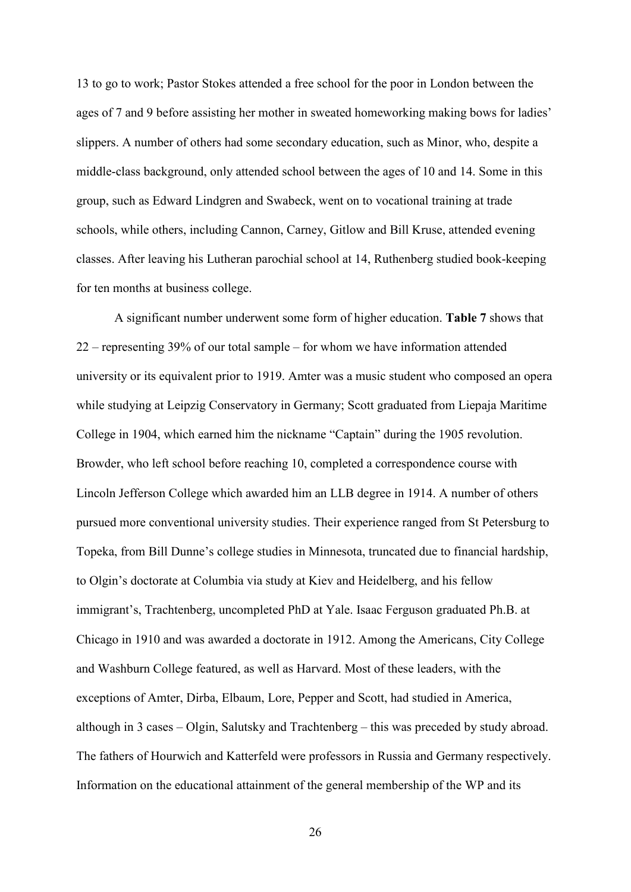13 to go to work; Pastor Stokes attended a free school for the poor in London between the ages of 7 and 9 before assisting her mother in sweated homeworking making bows for ladies' slippers. A number of others had some secondary education, such as Minor, who, despite a middle-class background, only attended school between the ages of 10 and 14. Some in this group, such as Edward Lindgren and Swabeck, went on to vocational training at trade schools, while others, including Cannon, Carney, Gitlow and Bill Kruse, attended evening classes. After leaving his Lutheran parochial school at 14, Ruthenberg studied book-keeping for ten months at business college.

A significant number underwent some form of higher education. **Table 7** shows that 22 – representing 39% of our total sample – for whom we have information attended university or its equivalent prior to 1919. Amter was a music student who composed an opera while studying at Leipzig Conservatory in Germany; Scott graduated from Liepaja Maritime College in 1904, which earned him the nickname "Captain" during the 1905 revolution. Browder, who left school before reaching 10, completed a correspondence course with Lincoln Jefferson College which awarded him an LLB degree in 1914. A number of others pursued more conventional university studies. Their experience ranged from St Petersburg to Topeka, from Bill Dunne's college studies in Minnesota, truncated due to financial hardship, to Olgin's doctorate at Columbia via study at Kiev and Heidelberg, and his fellow immigrant's, Trachtenberg, uncompleted PhD at Yale. Isaac Ferguson graduated Ph.B. at Chicago in 1910 and was awarded a doctorate in 1912. Among the Americans, City College and Washburn College featured, as well as Harvard. Most of these leaders, with the exceptions of Amter, Dirba, Elbaum, Lore, Pepper and Scott, had studied in America, although in 3 cases – Olgin, Salutsky and Trachtenberg – this was preceded by study abroad. The fathers of Hourwich and Katterfeld were professors in Russia and Germany respectively. Information on the educational attainment of the general membership of the WP and its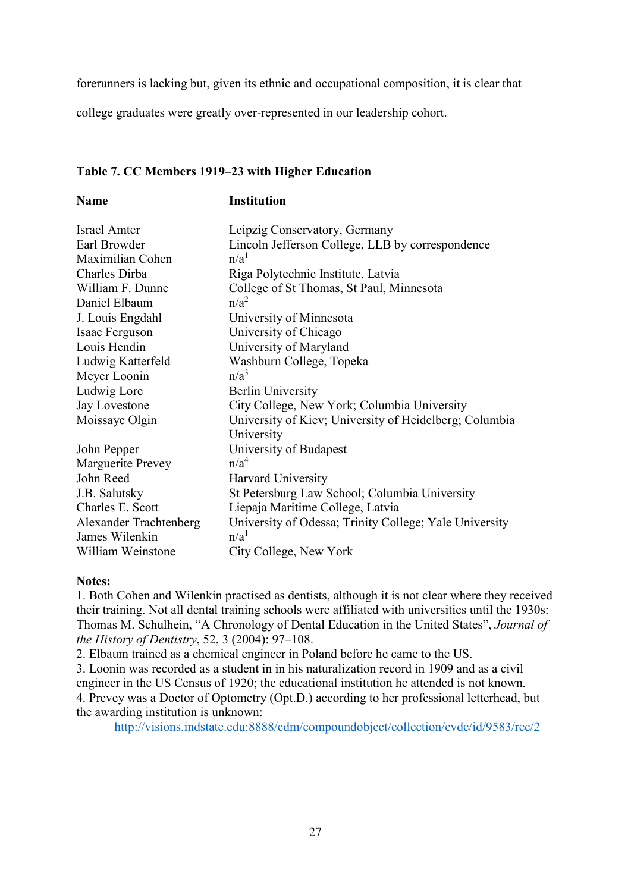forerunners is lacking but, given its ethnic and occupational composition, it is clear that

college graduates were greatly over-represented in our leadership cohort.

#### **Table 7. CC Members 1919–23 with Higher Education**

#### **Name Institution**

| <b>Israel Amter</b>    | Leipzig Conservatory, Germany                          |
|------------------------|--------------------------------------------------------|
| Earl Browder           | Lincoln Jefferson College, LLB by correspondence       |
| Maximilian Cohen       | n/a <sup>1</sup>                                       |
| Charles Dirba          | Riga Polytechnic Institute, Latvia                     |
| William F. Dunne       | College of St Thomas, St Paul, Minnesota               |
| Daniel Elbaum          | $n/a^2$                                                |
| J. Louis Engdahl       | University of Minnesota                                |
| Isaac Ferguson         | University of Chicago                                  |
| Louis Hendin           | University of Maryland                                 |
| Ludwig Katterfeld      | Washburn College, Topeka                               |
| Meyer Loonin           | n/a <sup>3</sup>                                       |
| Ludwig Lore            | <b>Berlin University</b>                               |
| Jay Lovestone          | City College, New York; Columbia University            |
| Moissaye Olgin         | University of Kiev; University of Heidelberg; Columbia |
|                        | University                                             |
| John Pepper            | University of Budapest                                 |
| Marguerite Prevey      | n/a <sup>4</sup>                                       |
| John Reed              | Harvard University                                     |
| J.B. Salutsky          | St Petersburg Law School; Columbia University          |
| Charles E. Scott       | Liepaja Maritime College, Latvia                       |
| Alexander Trachtenberg | University of Odessa; Trinity College; Yale University |
| James Wilenkin         | n/a <sup>1</sup>                                       |
| William Weinstone      | City College, New York                                 |

#### **Notes:**

1. Both Cohen and Wilenkin practised as dentists, although it is not clear where they received their training. Not all dental training schools were affiliated with universities until the 1930s: Thomas M. Schulhein, "A Chronology of Dental Education in the United States", *Journal of the History of Dentistry*, 52, 3 (2004): 97–108.

2. Elbaum trained as a chemical engineer in Poland before he came to the US.

3. Loonin was recorded as a student in in his naturalization record in 1909 and as a civil engineer in the US Census of 1920; the educational institution he attended is not known. 4. Prevey was a Doctor of Optometry (Opt.D.) according to her professional letterhead, but the awarding institution is unknown:

<http://visions.indstate.edu:8888/cdm/compoundobject/collection/evdc/id/9583/rec/2>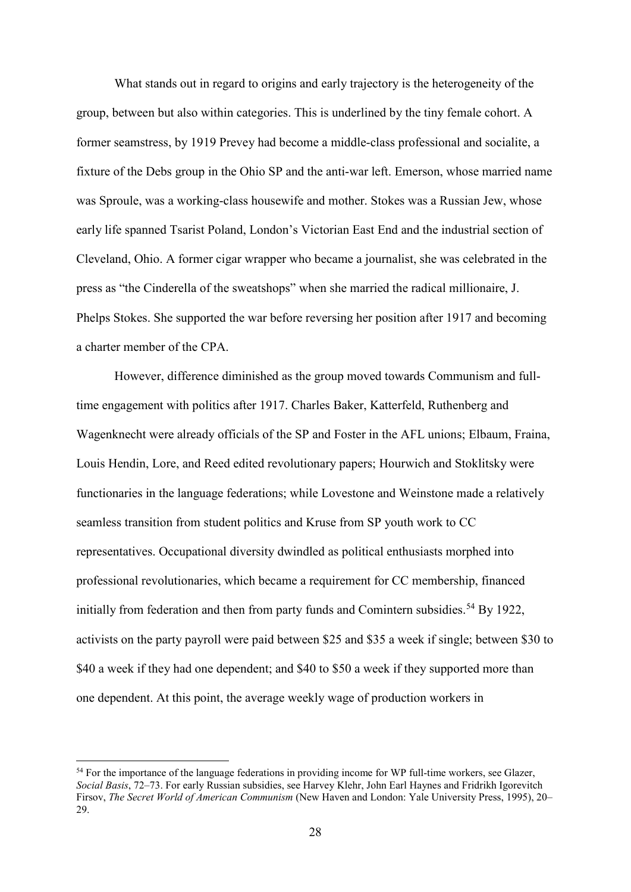What stands out in regard to origins and early trajectory is the heterogeneity of the group, between but also within categories. This is underlined by the tiny female cohort. A former seamstress, by 1919 Prevey had become a middle-class professional and socialite, a fixture of the Debs group in the Ohio SP and the anti-war left. Emerson, whose married name was Sproule, was a working-class housewife and mother. Stokes was a Russian Jew, whose early life spanned Tsarist Poland, London's Victorian East End and the industrial section of Cleveland, Ohio. A former cigar wrapper who became a journalist, she was celebrated in the press as "the Cinderella of the sweatshops" when she married the radical millionaire, J. Phelps Stokes. She supported the war before reversing her position after 1917 and becoming a charter member of the CPA.

However, difference diminished as the group moved towards Communism and fulltime engagement with politics after 1917. Charles Baker, Katterfeld, Ruthenberg and Wagenknecht were already officials of the SP and Foster in the AFL unions; Elbaum, Fraina, Louis Hendin, Lore, and Reed edited revolutionary papers; Hourwich and Stoklitsky were functionaries in the language federations; while Lovestone and Weinstone made a relatively seamless transition from student politics and Kruse from SP youth work to CC representatives. Occupational diversity dwindled as political enthusiasts morphed into professional revolutionaries, which became a requirement for CC membership, financed initially from federation and then from party funds and Comintern subsidies.<sup>[54](#page-28-0)</sup> By 1922, activists on the party payroll were paid between \$25 and \$35 a week if single; between \$30 to \$40 a week if they had one dependent; and \$40 to \$50 a week if they supported more than one dependent. At this point, the average weekly wage of production workers in

<span id="page-28-0"></span><sup>&</sup>lt;sup>54</sup> For the importance of the language federations in providing income for WP full-time workers, see Glazer, *Social Basis*, 72–73. For early Russian subsidies, see Harvey Klehr, John Earl Haynes and Fridrikh Igorevitch Firsov, *The Secret World of American Communism* (New Haven and London: Yale University Press, 1995), 20– 29.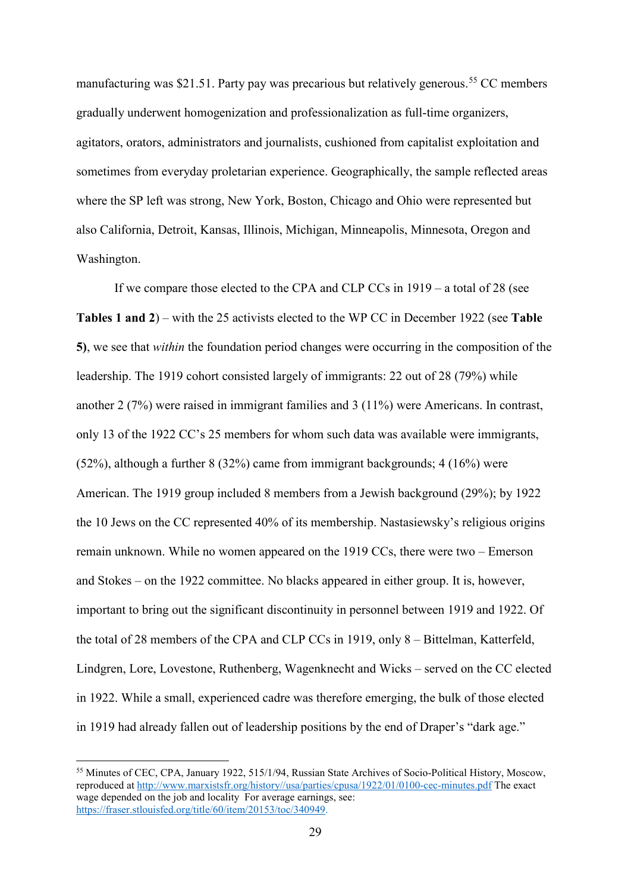manufacturing was \$21.51. Party pay was precarious but relatively generous.<sup>[55](#page-29-0)</sup> CC members gradually underwent homogenization and professionalization as full-time organizers, agitators, orators, administrators and journalists, cushioned from capitalist exploitation and sometimes from everyday proletarian experience. Geographically, the sample reflected areas where the SP left was strong, New York, Boston, Chicago and Ohio were represented but also California, Detroit, Kansas, Illinois, Michigan, Minneapolis, Minnesota, Oregon and Washington.

If we compare those elected to the CPA and CLP CCs in 1919 – a total of 28 (see **Tables 1 and 2**) – with the 25 activists elected to the WP CC in December 1922 (see **Table 5)**, we see that *within* the foundation period changes were occurring in the composition of the leadership. The 1919 cohort consisted largely of immigrants: 22 out of 28 (79%) while another 2 (7%) were raised in immigrant families and 3 (11%) were Americans. In contrast, only 13 of the 1922 CC's 25 members for whom such data was available were immigrants, (52%), although a further 8 (32%) came from immigrant backgrounds; 4 (16%) were American. The 1919 group included 8 members from a Jewish background (29%); by 1922 the 10 Jews on the CC represented 40% of its membership. Nastasiewsky's religious origins remain unknown. While no women appeared on the 1919 CCs, there were two – Emerson and Stokes – on the 1922 committee. No blacks appeared in either group. It is, however, important to bring out the significant discontinuity in personnel between 1919 and 1922. Of the total of 28 members of the CPA and CLP CCs in 1919, only 8 – Bittelman, Katterfeld, Lindgren, Lore, Lovestone, Ruthenberg, Wagenknecht and Wicks – served on the CC elected in 1922. While a small, experienced cadre was therefore emerging, the bulk of those elected in 1919 had already fallen out of leadership positions by the end of Draper's "dark age."

<span id="page-29-0"></span> <sup>55</sup> Minutes of CEC, CPA, January 1922, 515/1/94, Russian State Archives of Socio-Political History, Moscow, reproduced at [http://www.marxistsfr.org/history//usa/parties/cpusa/1922/01/0100-cec-minutes.pdf](http://www.marxistsfr.org/history/usa/parties/cpusa/1922/01/0100-cec-minutes.pdf) The exact wage depended on the job and locality For average earnings, see: [https://fraser.stlouisfed.org/title/60/item/20153/toc/340949.](https://fraser.stlouisfed.org/title/60/item/20153/toc/340949)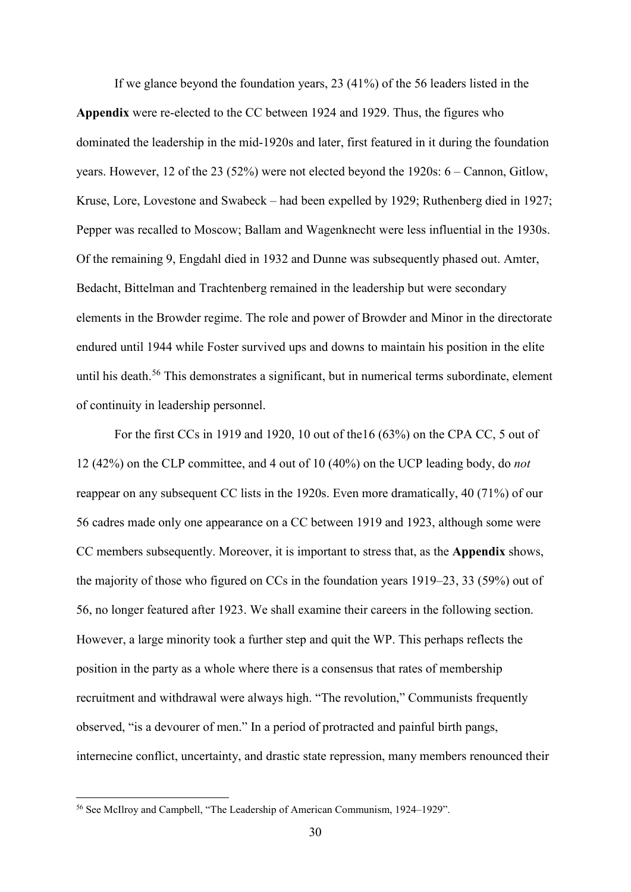If we glance beyond the foundation years, 23 (41%) of the 56 leaders listed in the **Appendix** were re-elected to the CC between 1924 and 1929. Thus, the figures who dominated the leadership in the mid-1920s and later, first featured in it during the foundation years. However, 12 of the 23 (52%) were not elected beyond the 1920s: 6 – Cannon, Gitlow, Kruse, Lore, Lovestone and Swabeck – had been expelled by 1929; Ruthenberg died in 1927; Pepper was recalled to Moscow; Ballam and Wagenknecht were less influential in the 1930s. Of the remaining 9, Engdahl died in 1932 and Dunne was subsequently phased out. Amter, Bedacht, Bittelman and Trachtenberg remained in the leadership but were secondary elements in the Browder regime. The role and power of Browder and Minor in the directorate endured until 1944 while Foster survived ups and downs to maintain his position in the elite until his death.<sup>[56](#page-30-0)</sup> This demonstrates a significant, but in numerical terms subordinate, element of continuity in leadership personnel.

For the first CCs in 1919 and 1920, 10 out of the16 (63%) on the CPA CC, 5 out of 12 (42%) on the CLP committee, and 4 out of 10 (40%) on the UCP leading body, do *not* reappear on any subsequent CC lists in the 1920s. Even more dramatically, 40 (71%) of our 56 cadres made only one appearance on a CC between 1919 and 1923, although some were CC members subsequently. Moreover, it is important to stress that, as the **Appendix** shows, the majority of those who figured on CCs in the foundation years 1919–23, 33 (59%) out of 56, no longer featured after 1923. We shall examine their careers in the following section. However, a large minority took a further step and quit the WP. This perhaps reflects the position in the party as a whole where there is a consensus that rates of membership recruitment and withdrawal were always high. "The revolution," Communists frequently observed, "is a devourer of men." In a period of protracted and painful birth pangs, internecine conflict, uncertainty, and drastic state repression, many members renounced their

<span id="page-30-0"></span> <sup>56</sup> See McIlroy and Campbell, "The Leadership of American Communism, 1924–1929".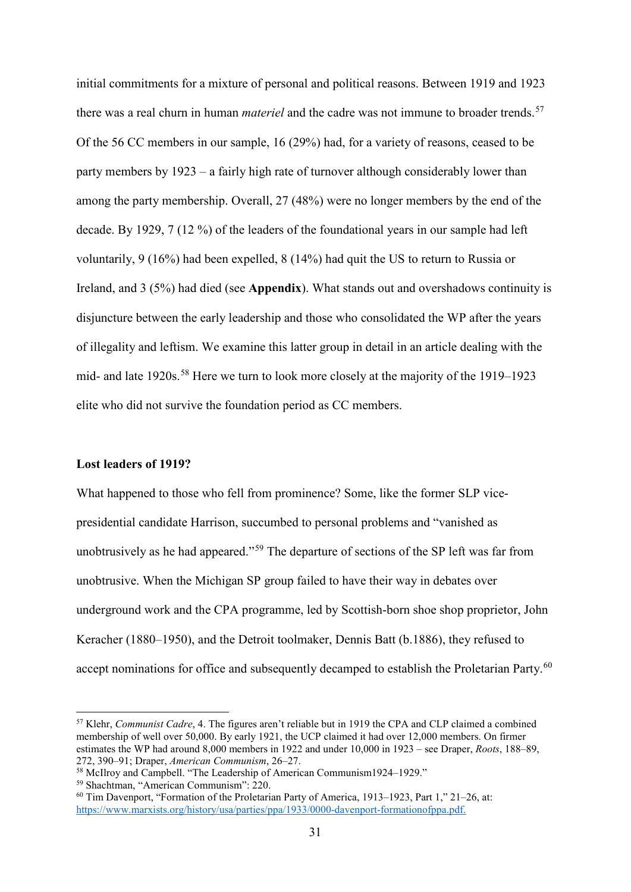initial commitments for a mixture of personal and political reasons. Between 1919 and 1923 there was a real churn in human *materiel* and the cadre was not immune to broader trends.<sup>[57](#page-31-0)</sup> Of the 56 CC members in our sample, 16 (29%) had, for a variety of reasons, ceased to be party members by 1923 – a fairly high rate of turnover although considerably lower than among the party membership. Overall, 27 (48%) were no longer members by the end of the decade. By 1929, 7 (12 %) of the leaders of the foundational years in our sample had left voluntarily, 9 (16%) had been expelled, 8 (14%) had quit the US to return to Russia or Ireland, and 3 (5%) had died (see **Appendix**). What stands out and overshadows continuity is disjuncture between the early leadership and those who consolidated the WP after the years of illegality and leftism. We examine this latter group in detail in an article dealing with the mid- and late 1920s. [58](#page-31-1) Here we turn to look more closely at the majority of the 1919–1923 elite who did not survive the foundation period as CC members.

#### **Lost leaders of 1919?**

What happened to those who fell from prominence? Some, like the former SLP vicepresidential candidate Harrison, succumbed to personal problems and "vanished as unobtrusively as he had appeared."<sup>[59](#page-31-2)</sup> The departure of sections of the SP left was far from unobtrusive. When the Michigan SP group failed to have their way in debates over underground work and the CPA programme, led by Scottish-born shoe shop proprietor, John Keracher (1880–1950), and the Detroit toolmaker, Dennis Batt (b.1886), they refused to accept nominations for office and subsequently decamped to establish the Proletarian Party.<sup>[60](#page-31-3)</sup>

<span id="page-31-0"></span> <sup>57</sup> Klehr, *Communist Cadre*, 4. The figures aren't reliable but in 1919 the CPA and CLP claimed a combined membership of well over 50,000. By early 1921, the UCP claimed it had over 12,000 members. On firmer estimates the WP had around 8,000 members in 1922 and under 10,000 in 1923 – see Draper, *Roots*, 188–89,

<span id="page-31-1"></span><sup>&</sup>lt;sup>58</sup> McIlroy and Campbell. "The Leadership of American Communism1924–1929."

<span id="page-31-2"></span><sup>59</sup> Shachtman, "American Communism": 220.

<span id="page-31-3"></span> $60$  Tim Davenport, "Formation of the Proletarian Party of America, 1913–1923, Part 1," 21–26, at: [https://www.marxists.org/history/usa/parties/ppa/1933/0000-davenport-formationofppa.pdf.](https://www.marxists.org/history/usa/parties/ppa/1933/0000-davenport-formationofppa.pdf)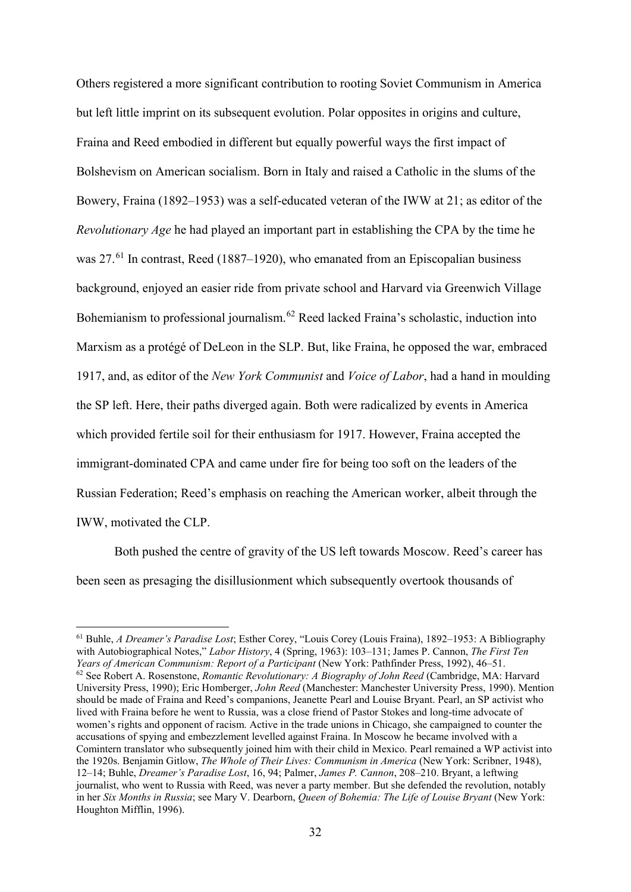Others registered a more significant contribution to rooting Soviet Communism in America but left little imprint on its subsequent evolution. Polar opposites in origins and culture, Fraina and Reed embodied in different but equally powerful ways the first impact of Bolshevism on American socialism. Born in Italy and raised a Catholic in the slums of the Bowery, Fraina (1892–1953) was a self-educated veteran of the IWW at 21; as editor of the *Revolutionary Age* he had played an important part in establishing the CPA by the time he was 27.<sup>[61](#page-32-0)</sup> In contrast, Reed (1887–1920), who emanated from an Episcopalian business background, enjoyed an easier ride from private school and Harvard via Greenwich Village Bohemianism to professional journalism.<sup>[62](#page-32-1)</sup> Reed lacked Fraina's scholastic, induction into Marxism as a protégé of DeLeon in the SLP. But, like Fraina, he opposed the war, embraced 1917, and, as editor of the *New York Communist* and *Voice of Labor*, had a hand in moulding the SP left. Here, their paths diverged again. Both were radicalized by events in America which provided fertile soil for their enthusiasm for 1917. However, Fraina accepted the immigrant-dominated CPA and came under fire for being too soft on the leaders of the Russian Federation; Reed's emphasis on reaching the American worker, albeit through the IWW, motivated the CLP.

Both pushed the centre of gravity of the US left towards Moscow. Reed's career has been seen as presaging the disillusionment which subsequently overtook thousands of

<span id="page-32-1"></span><span id="page-32-0"></span> <sup>61</sup> Buhle, *A Dreamer's Paradise Lost*; Esther Corey, "Louis Corey (Louis Fraina), 1892–1953: A Bibliography with Autobiographical Notes," *Labor History*, 4 (Spring, 1963): 103–131; James P. Cannon, *The First Ten Years of American Communism: Report of a Participant* (New York: Pathfinder Press, 1992), 46–51. <sup>62</sup> See Robert A. Rosenstone, *Romantic Revolutionary: A Biography of John Reed* (Cambridge, MA: Harvard University Press, 1990); Eric Homberger, *John Reed* (Manchester: Manchester University Press, 1990). Mention should be made of Fraina and Reed's companions, Jeanette Pearl and Louise Bryant. Pearl, an SP activist who lived with Fraina before he went to Russia, was a close friend of Pastor Stokes and long-time advocate of women's rights and opponent of racism. Active in the trade unions in Chicago, she campaigned to counter the accusations of spying and embezzlement levelled against Fraina. In Moscow he became involved with a Comintern translator who subsequently joined him with their child in Mexico. Pearl remained a WP activist into the 1920s. Benjamin Gitlow, *The Whole of Their Lives: Communism in America* (New York: Scribner, 1948), 12–14; Buhle, *Dreamer's Paradise Lost*, 16, 94; Palmer, *James P. Cannon*, 208–210. Bryant, a leftwing journalist, who went to Russia with Reed, was never a party member. But she defended the revolution, notably in her *Six Months in Russia*; see Mary V. Dearborn, *Queen of Bohemia: The Life of Louise Bryant* (New York: Houghton Mifflin, 1996).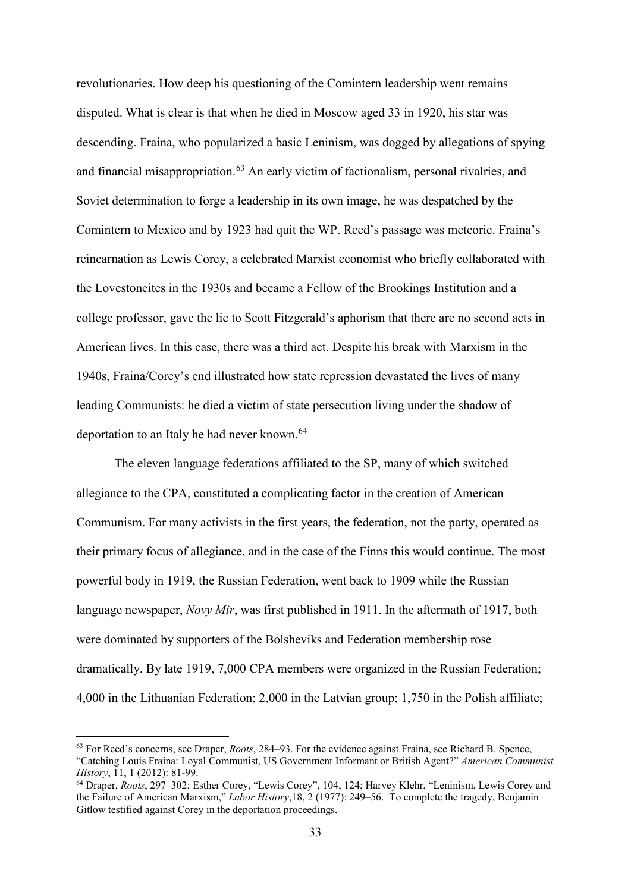revolutionaries. How deep his questioning of the Comintern leadership went remains disputed. What is clear is that when he died in Moscow aged 33 in 1920, his star was descending. Fraina, who popularized a basic Leninism, was dogged by allegations of spying and financial misappropriation. [63](#page-33-0) An early victim of factionalism, personal rivalries, and Soviet determination to forge a leadership in its own image, he was despatched by the Comintern to Mexico and by 1923 had quit the WP. Reed's passage was meteoric. Fraina's reincarnation as Lewis Corey, a celebrated Marxist economist who briefly collaborated with the Lovestoneites in the 1930s and became a Fellow of the Brookings Institution and a college professor, gave the lie to Scott Fitzgerald's aphorism that there are no second acts in American lives. In this case, there was a third act. Despite his break with Marxism in the 1940s, Fraina/Corey's end illustrated how state repression devastated the lives of many leading Communists: he died a victim of state persecution living under the shadow of deportation to an Italy he had never known. [64](#page-33-1)

The eleven language federations affiliated to the SP, many of which switched allegiance to the CPA, constituted a complicating factor in the creation of American Communism. For many activists in the first years, the federation, not the party, operated as their primary focus of allegiance, and in the case of the Finns this would continue. The most powerful body in 1919, the Russian Federation, went back to 1909 while the Russian language newspaper, *Novy Mir*, was first published in 1911. In the aftermath of 1917, both were dominated by supporters of the Bolsheviks and Federation membership rose dramatically. By late 1919, 7,000 CPA members were organized in the Russian Federation; 4,000 in the Lithuanian Federation; 2,000 in the Latvian group; 1,750 in the Polish affiliate;

<span id="page-33-0"></span> <sup>63</sup> For Reed's concerns, see Draper, *Roots*, 284–93. For the evidence against Fraina, see Richard B. Spence, "Catching Louis Fraina: Loyal Communist, US Government Informant or British Agent?" *American Communist History*, 11, 1 (2012): 81-99.

<span id="page-33-1"></span><sup>64</sup> Draper, *Roots*, 297–302; Esther Corey, "Lewis Corey", 104, 124; Harvey Klehr, "Leninism, Lewis Corey and the Failure of American Marxism," *Labor History*,18, 2 (1977): 249–56. To complete the tragedy, Benjamin Gitlow testified against Corey in the deportation proceedings.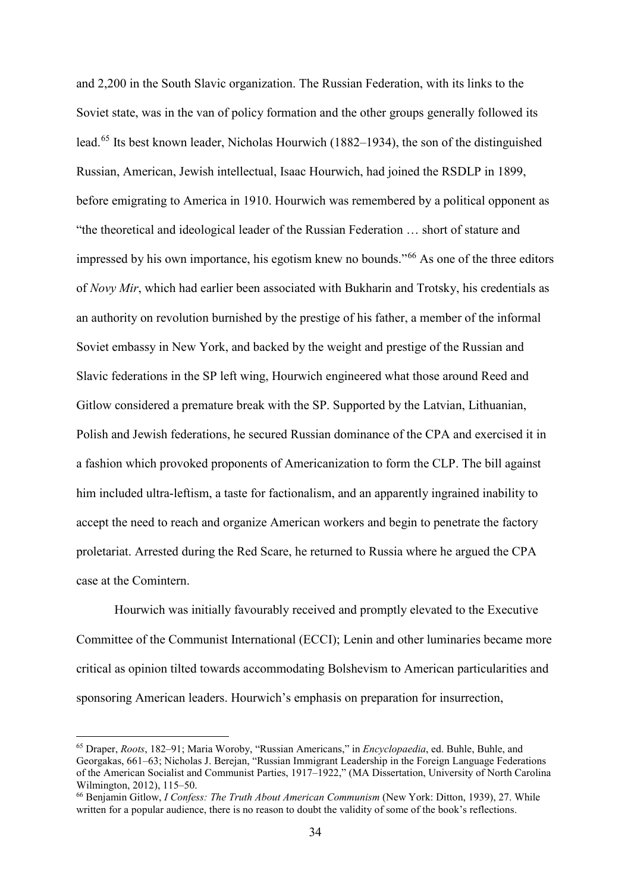and 2,200 in the South Slavic organization. The Russian Federation, with its links to the Soviet state, was in the van of policy formation and the other groups generally followed its lead.[65](#page-34-0) Its best known leader, Nicholas Hourwich (1882–1934), the son of the distinguished Russian, American, Jewish intellectual, Isaac Hourwich, had joined the RSDLP in 1899, before emigrating to America in 1910. Hourwich was remembered by a political opponent as "the theoretical and ideological leader of the Russian Federation … short of stature and impressed by his own importance, his egotism knew no bounds."[66](#page-34-1) As one of the three editors of *Novy Mir*, which had earlier been associated with Bukharin and Trotsky, his credentials as an authority on revolution burnished by the prestige of his father, a member of the informal Soviet embassy in New York, and backed by the weight and prestige of the Russian and Slavic federations in the SP left wing, Hourwich engineered what those around Reed and Gitlow considered a premature break with the SP. Supported by the Latvian, Lithuanian, Polish and Jewish federations, he secured Russian dominance of the CPA and exercised it in a fashion which provoked proponents of Americanization to form the CLP. The bill against him included ultra-leftism, a taste for factionalism, and an apparently ingrained inability to accept the need to reach and organize American workers and begin to penetrate the factory proletariat. Arrested during the Red Scare, he returned to Russia where he argued the CPA case at the Comintern.

Hourwich was initially favourably received and promptly elevated to the Executive Committee of the Communist International (ECCI); Lenin and other luminaries became more critical as opinion tilted towards accommodating Bolshevism to American particularities and sponsoring American leaders. Hourwich's emphasis on preparation for insurrection,

<span id="page-34-0"></span> <sup>65</sup> Draper, *Roots*, 182–91; Maria Woroby, "Russian Americans," in *Encyclopaedia*, ed. Buhle, Buhle, and Georgakas, 661–63; Nicholas J. Berejan, "Russian Immigrant Leadership in the Foreign Language Federations of the American Socialist and Communist Parties, 1917–1922," (MA Dissertation, University of North Carolina Wilmington, 2012), 115–50.<br><sup>66</sup> Benjamin Gitlow, *I Confess: The Truth About American Communism* (New York: Ditton, 1939), 27. While

<span id="page-34-1"></span>written for a popular audience, there is no reason to doubt the validity of some of the book's reflections.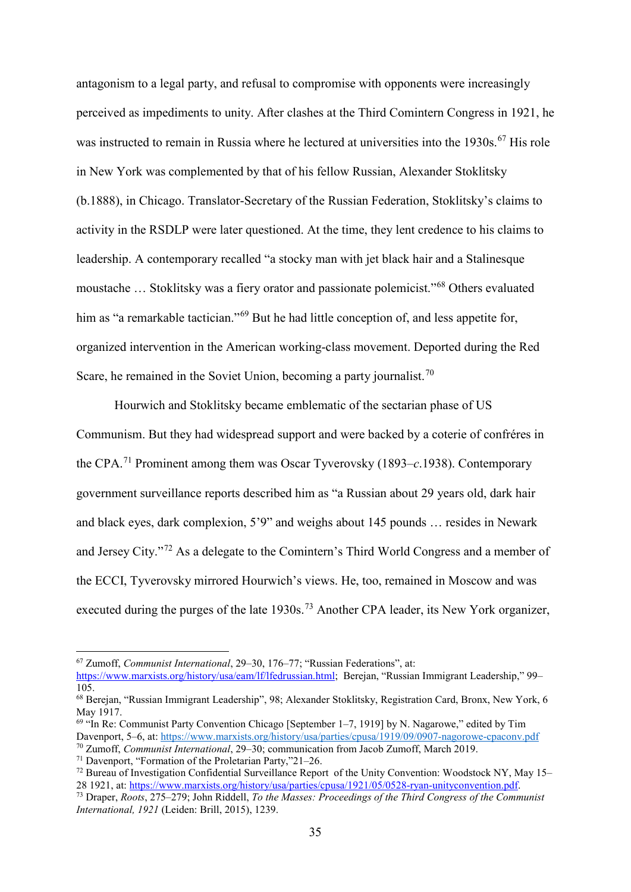antagonism to a legal party, and refusal to compromise with opponents were increasingly perceived as impediments to unity. After clashes at the Third Comintern Congress in 1921, he was instructed to remain in Russia where he lectured at universities into the 1930s.<sup>[67](#page-35-0)</sup> His role in New York was complemented by that of his fellow Russian, Alexander Stoklitsky (b.1888), in Chicago. Translator-Secretary of the Russian Federation, Stoklitsky's claims to activity in the RSDLP were later questioned. At the time, they lent credence to his claims to leadership. A contemporary recalled "a stocky man with jet black hair and a Stalinesque moustache … Stoklitsky was a fiery orator and passionate polemicist."[68](#page-35-1) Others evaluated him as "a remarkable tactician."<sup>[69](#page-35-2)</sup> But he had little conception of, and less appetite for, organized intervention in the American working-class movement. Deported during the Red Scare, he remained in the Soviet Union, becoming a party journalist.<sup>[70](#page-35-3)</sup>

Hourwich and Stoklitsky became emblematic of the sectarian phase of US Communism. But they had widespread support and were backed by a coterie of confréres in the CPA.[71](#page-35-4) Prominent among them was Oscar Tyverovsky (1893–*c*.1938). Contemporary government surveillance reports described him as "a Russian about 29 years old, dark hair and black eyes, dark complexion, 5'9" and weighs about 145 pounds … resides in Newark and Jersey City."[72](#page-35-5) As a delegate to the Comintern's Third World Congress and a member of the ECCI, Tyverovsky mirrored Hourwich's views. He, too, remained in Moscow and was executed during the purges of the late  $1930s$ .<sup>[73](#page-35-6)</sup> Another CPA leader, its New York organizer,

<span id="page-35-0"></span> <sup>67</sup> Zumoff, *Communist International*, 29–30, 176–77; "Russian Federations", at:

[https://www.marxists.org/history/usa/eam/lf/lfedrussian.html;](https://www.marxists.org/history/usa/eam/lf/lfedrussian.html) Berejan, "Russian Immigrant Leadership," 99– 105.

<span id="page-35-1"></span><sup>68</sup> Berejan, "Russian Immigrant Leadership", 98; Alexander Stoklitsky, Registration Card, Bronx, New York, 6 May 1917.

<span id="page-35-2"></span> $69$  "In Re: Communist Party Convention Chicago [September 1–7, 1919] by N. Nagarowe," edited by Tim Davenport, 5–6, at[: https://www.marxists.org/history/usa/parties/cpusa/1919/09/0907-nagorowe-cpaconv.pdf](https://www.marxists.org/history/usa/parties/cpusa/1919/09/0907-nagorowe-cpaconv.pdf)

<span id="page-35-3"></span><sup>70</sup> Zumoff, *Communist International*, 29–30; communication from Jacob Zumoff, March 2019.

<span id="page-35-4"></span><sup>71</sup> Davenport, "Formation of the Proletarian Party,"21–26.

<span id="page-35-5"></span> $^{72}$  Bureau of Investigation Confidential Surveillance Report of the Unity Convention: Woodstock NY, May 15– 28 1921, at: [https://www.marxists.org/history/usa/parties/cpusa/1921/05/0528-ryan-unityconvention.pdf.](https://www.marxists.org/history/usa/parties/cpusa/1921/05/0528-ryan-unityconvention.pdf)

<span id="page-35-6"></span><sup>73</sup> Draper, *Roots*, 275–279; John Riddell, *To the Masses: Proceedings of the Third Congress of the Communist International, 1921* (Leiden: Brill, 2015), 1239.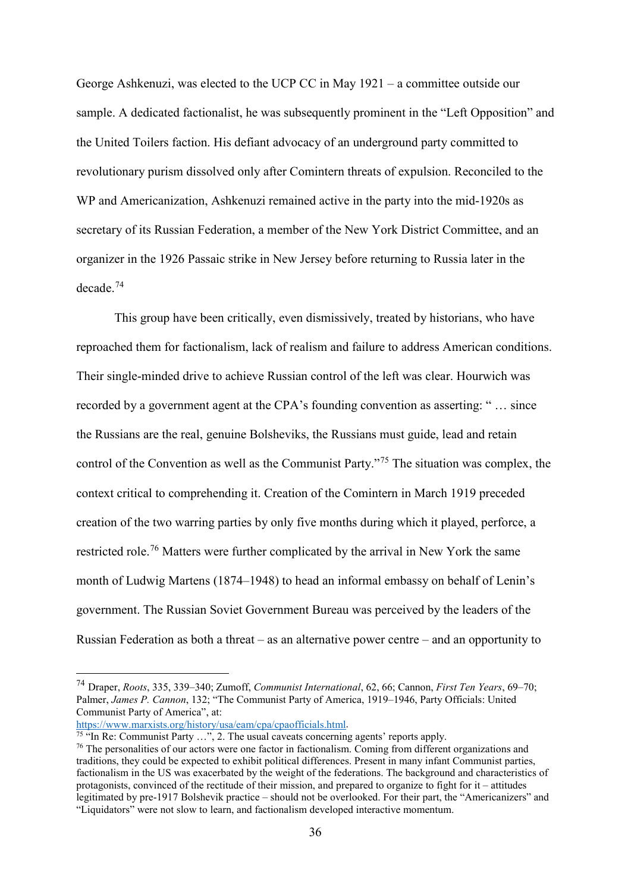George Ashkenuzi, was elected to the UCP CC in May 1921 – a committee outside our sample. A dedicated factionalist, he was subsequently prominent in the "Left Opposition" and the United Toilers faction. His defiant advocacy of an underground party committed to revolutionary purism dissolved only after Comintern threats of expulsion. Reconciled to the WP and Americanization, Ashkenuzi remained active in the party into the mid-1920s as secretary of its Russian Federation, a member of the New York District Committee, and an organizer in the 1926 Passaic strike in New Jersey before returning to Russia later in the decade.[74](#page-36-0)

This group have been critically, even dismissively, treated by historians, who have reproached them for factionalism, lack of realism and failure to address American conditions. Their single-minded drive to achieve Russian control of the left was clear. Hourwich was recorded by a government agent at the CPA's founding convention as asserting: " … since the Russians are the real, genuine Bolsheviks, the Russians must guide, lead and retain control of the Convention as well as the Communist Party."[75](#page-36-1) The situation was complex, the context critical to comprehending it. Creation of the Comintern in March 1919 preceded creation of the two warring parties by only five months during which it played, perforce, a restricted role.<sup>[76](#page-36-2)</sup> Matters were further complicated by the arrival in New York the same month of Ludwig Martens (1874–1948) to head an informal embassy on behalf of Lenin's government. The Russian Soviet Government Bureau was perceived by the leaders of the Russian Federation as both a threat – as an alternative power centre – and an opportunity to

[https://www.marxists.org/history/usa/eam/cpa/cpaofficials.html.](https://www.marxists.org/history/usa/eam/cpa/cpaofficials.html)

<span id="page-36-0"></span> <sup>74</sup> Draper, *Roots*, 335, 339–340; Zumoff, *Communist International*, 62, 66; Cannon, *First Ten Years*, 69–70; Palmer, *James P. Cannon*, 132; "The Communist Party of America, 1919–1946, Party Officials: United Communist Party of America", at:

<span id="page-36-1"></span> $\frac{75}{15}$  "In Re: Communist Party ...", 2. The usual caveats concerning agents' reports apply.

<span id="page-36-2"></span><sup>&</sup>lt;sup>76</sup> The personalities of our actors were one factor in factionalism. Coming from different organizations and traditions, they could be expected to exhibit political differences. Present in many infant Communist parties, factionalism in the US was exacerbated by the weight of the federations. The background and characteristics of protagonists, convinced of the rectitude of their mission, and prepared to organize to fight for it – attitudes legitimated by pre-1917 Bolshevik practice – should not be overlooked. For their part, the "Americanizers" and "Liquidators" were not slow to learn, and factionalism developed interactive momentum.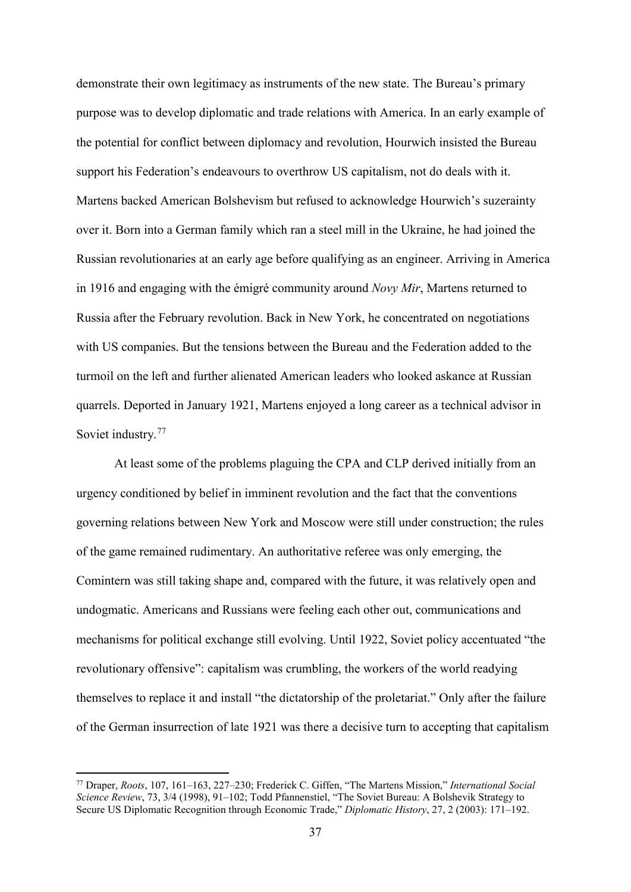demonstrate their own legitimacy as instruments of the new state. The Bureau's primary purpose was to develop diplomatic and trade relations with America. In an early example of the potential for conflict between diplomacy and revolution, Hourwich insisted the Bureau support his Federation's endeavours to overthrow US capitalism, not do deals with it. Martens backed American Bolshevism but refused to acknowledge Hourwich's suzerainty over it. Born into a German family which ran a steel mill in the Ukraine, he had joined the Russian revolutionaries at an early age before qualifying as an engineer. Arriving in America in 1916 and engaging with the émigré community around *Novy Mir*, Martens returned to Russia after the February revolution. Back in New York, he concentrated on negotiations with US companies. But the tensions between the Bureau and the Federation added to the turmoil on the left and further alienated American leaders who looked askance at Russian quarrels. Deported in January 1921, Martens enjoyed a long career as a technical advisor in Soviet industry.<sup>[77](#page-37-0)</sup>

At least some of the problems plaguing the CPA and CLP derived initially from an urgency conditioned by belief in imminent revolution and the fact that the conventions governing relations between New York and Moscow were still under construction; the rules of the game remained rudimentary. An authoritative referee was only emerging, the Comintern was still taking shape and, compared with the future, it was relatively open and undogmatic. Americans and Russians were feeling each other out, communications and mechanisms for political exchange still evolving. Until 1922, Soviet policy accentuated "the revolutionary offensive": capitalism was crumbling, the workers of the world readying themselves to replace it and install "the dictatorship of the proletariat." Only after the failure of the German insurrection of late 1921 was there a decisive turn to accepting that capitalism

<span id="page-37-0"></span> <sup>77</sup> Draper, *Roots*, 107, 161–163, 227–230; Frederick C. Giffen, "The Martens Mission," *International Social Science Review*, 73, 3/4 (1998), 91–102; Todd Pfannenstiel, "The Soviet Bureau: A Bolshevik Strategy to Secure US Diplomatic Recognition through Economic Trade," *Diplomatic History*, 27, 2 (2003): 171–192.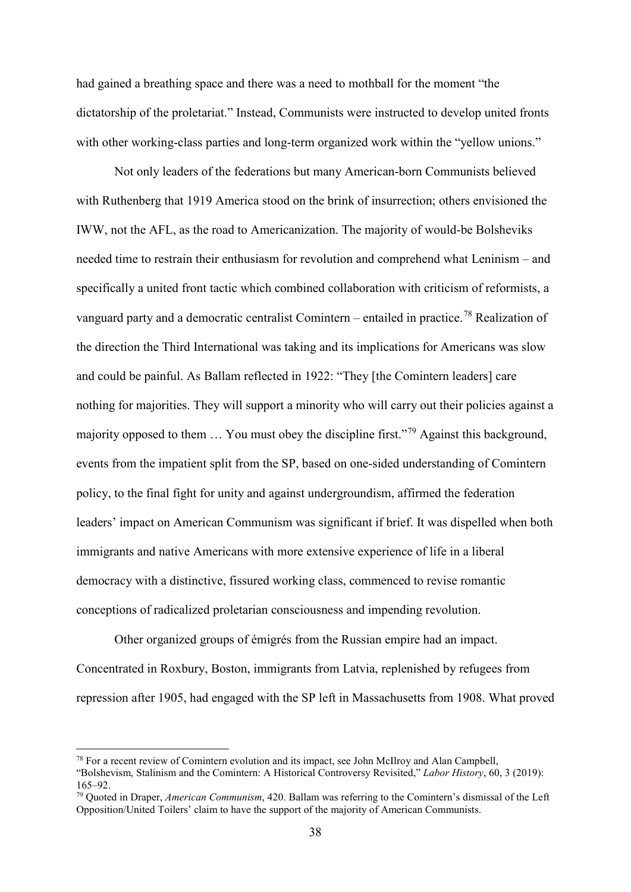had gained a breathing space and there was a need to mothball for the moment "the dictatorship of the proletariat." Instead, Communists were instructed to develop united fronts with other working-class parties and long-term organized work within the "yellow unions."

Not only leaders of the federations but many American-born Communists believed with Ruthenberg that 1919 America stood on the brink of insurrection; others envisioned the IWW, not the AFL, as the road to Americanization. The majority of would-be Bolsheviks needed time to restrain their enthusiasm for revolution and comprehend what Leninism – and specifically a united front tactic which combined collaboration with criticism of reformists, a vanguard party and a democratic centralist Comintern – entailed in practice.<sup>[78](#page-38-0)</sup> Realization of the direction the Third International was taking and its implications for Americans was slow and could be painful. As Ballam reflected in 1922: "They [the Comintern leaders] care nothing for majorities. They will support a minority who will carry out their policies against a majority opposed to them … You must obey the discipline first."[79](#page-38-1) Against this background, events from the impatient split from the SP, based on one-sided understanding of Comintern policy, to the final fight for unity and against undergroundism, affirmed the federation leaders' impact on American Communism was significant if brief. It was dispelled when both immigrants and native Americans with more extensive experience of life in a liberal democracy with a distinctive, fissured working class, commenced to revise romantic conceptions of radicalized proletarian consciousness and impending revolution.

Other organized groups of émigrés from the Russian empire had an impact. Concentrated in Roxbury, Boston, immigrants from Latvia, replenished by refugees from repression after 1905, had engaged with the SP left in Massachusetts from 1908. What proved

<span id="page-38-0"></span> <sup>78</sup> For a recent review of Comintern evolution and its impact, see John McIlroy and Alan Campbell,

<sup>&</sup>quot;Bolshevism, Stalinism and the Comintern: A Historical Controversy Revisited," *Labor History*, 60, 3 (2019): 165–92.

<span id="page-38-1"></span><sup>79</sup> Quoted in Draper, *American Communism*, 420. Ballam was referring to the Comintern's dismissal of the Left Opposition/United Toilers' claim to have the support of the majority of American Communists.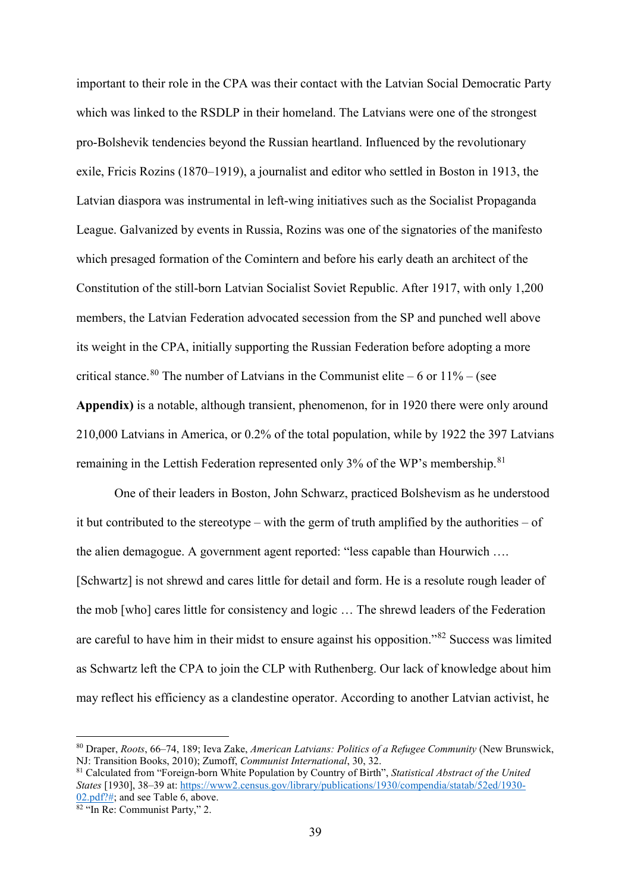important to their role in the CPA was their contact with the Latvian Social Democratic Party which was linked to the RSDLP in their homeland. The Latvians were one of the strongest pro-Bolshevik tendencies beyond the Russian heartland. Influenced by the revolutionary exile, Fricis Rozins (1870–1919), a journalist and editor who settled in Boston in 1913, the Latvian diaspora was instrumental in left-wing initiatives such as the Socialist Propaganda League. Galvanized by events in Russia, Rozins was one of the signatories of the manifesto which presaged formation of the Comintern and before his early death an architect of the Constitution of the still-born Latvian Socialist Soviet Republic. After 1917, with only 1,200 members, the Latvian Federation advocated secession from the SP and punched well above its weight in the CPA, initially supporting the Russian Federation before adopting a more critical stance.<sup>[80](#page-39-0)</sup> The number of Latvians in the Communist elite – 6 or  $11\%$  – (see **Appendix)** is a notable, although transient, phenomenon, for in 1920 there were only around 210,000 Latvians in America, or 0.2% of the total population, while by 1922 the 397 Latvians remaining in the Lettish Federation represented only 3% of the WP's membership.<sup>[81](#page-39-1)</sup>

One of their leaders in Boston, John Schwarz, practiced Bolshevism as he understood it but contributed to the stereotype – with the germ of truth amplified by the authorities – of the alien demagogue. A government agent reported: "less capable than Hourwich …. [Schwartz] is not shrewd and cares little for detail and form. He is a resolute rough leader of the mob [who] cares little for consistency and logic … The shrewd leaders of the Federation are careful to have him in their midst to ensure against his opposition."[82](#page-39-2) Success was limited as Schwartz left the CPA to join the CLP with Ruthenberg. Our lack of knowledge about him may reflect his efficiency as a clandestine operator. According to another Latvian activist, he

<span id="page-39-0"></span> <sup>80</sup> Draper, *Roots*, 66–74, 189; Ieva Zake, *American Latvians: Politics of a Refugee Community* (New Brunswick, NJ: Transition Books, 2010); Zumoff, *Communist International*, 30, 32.

<span id="page-39-1"></span><sup>81</sup> Calculated from "Foreign-born White Population by Country of Birth", *Statistical Abstract of the United States* [1930], 38–39 at: [https://www2.census.gov/library/publications/1930/compendia/statab/52ed/1930-](https://www2.census.gov/library/publications/1930/compendia/statab/52ed/1930-02.pdf?) [02.pdf?#;](https://www2.census.gov/library/publications/1930/compendia/statab/52ed/1930-02.pdf?) and see Table 6, above.

<span id="page-39-2"></span> $82 \cdot \text{In}$  Re: Communist Party," 2.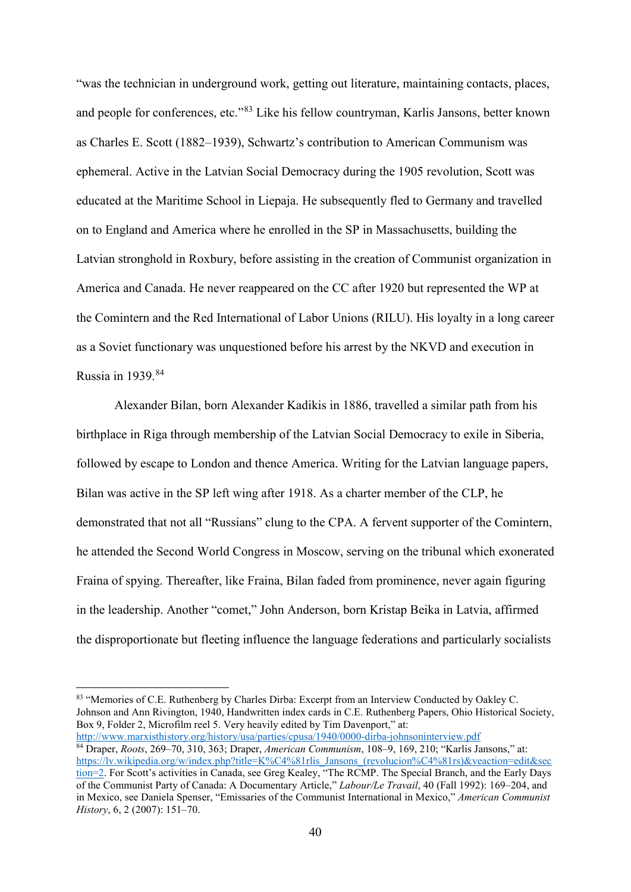"was the technician in underground work, getting out literature, maintaining contacts, places, and people for conferences, etc."<sup>[83](#page-40-0)</sup> Like his fellow countryman, Karlis Jansons, better known as Charles E. Scott (1882–1939), Schwartz's contribution to American Communism was ephemeral. Active in the Latvian Social Democracy during the 1905 revolution, Scott was educated at the Maritime School in Liepaja. He subsequently fled to Germany and travelled on to England and America where he enrolled in the SP in Massachusetts, building the Latvian stronghold in Roxbury, before assisting in the creation of Communist organization in America and Canada. He never reappeared on the CC after 1920 but represented the WP at the Comintern and the Red International of Labor Unions (RILU). His loyalty in a long career as a Soviet functionary was unquestioned before his arrest by the NKVD and execution in Russia in  $1939$ .<sup>[84](#page-40-1)</sup>

Alexander Bilan, born Alexander Kadikis in 1886, travelled a similar path from his birthplace in Riga through membership of the Latvian Social Democracy to exile in Siberia, followed by escape to London and thence America. Writing for the Latvian language papers, Bilan was active in the SP left wing after 1918. As a charter member of the CLP, he demonstrated that not all "Russians" clung to the CPA. A fervent supporter of the Comintern, he attended the Second World Congress in Moscow, serving on the tribunal which exonerated Fraina of spying. Thereafter, like Fraina, Bilan faded from prominence, never again figuring in the leadership. Another "comet," John Anderson, born Kristap Beika in Latvia, affirmed the disproportionate but fleeting influence the language federations and particularly socialists

<span id="page-40-0"></span>83 "Memories of C.E. Ruthenberg by Charles Dirba: Excerpt from an Interview Conducted by Oakley C. Johnson and Ann Rivington, 1940, Handwritten index cards in C.E. Ruthenberg Papers, Ohio Historical Society, Box 9, Folder 2, Microfilm reel 5. Very heavily edited by Tim Davenport," at: <http://www.marxisthistory.org/history/usa/parties/cpusa/1940/0000-dirba-johnsoninterview.pdf>

<span id="page-40-1"></span><sup>84</sup> Draper, *Roots*, 269–70, 310, 363; Draper, *American Communism*, 108–9, 169, 210; "Karlis Jansons," at: https://ly.wikipedia.org/w/index.php?title=K%C4%81rlis\_Jansons\_(revolucion%C4%81rs)&veaction=edit&sec [tion=2.](https://lv.wikipedia.org/w/index.php?title=K%C4%81rlis_Jansons_(revolucion%C4%81rs)&veaction=edit§ion=2) For Scott's activities in Canada, see Greg Kealey, "The RCMP. The Special Branch, and the Early Days of the Communist Party of Canada: A Documentary Article," *Labour/Le Travail*, 40 (Fall 1992): 169–204, and in Mexico, see Daniela Spenser, "Emissaries of the Communist International in Mexico," *American Communist History*, 6, 2 (2007): 151–70.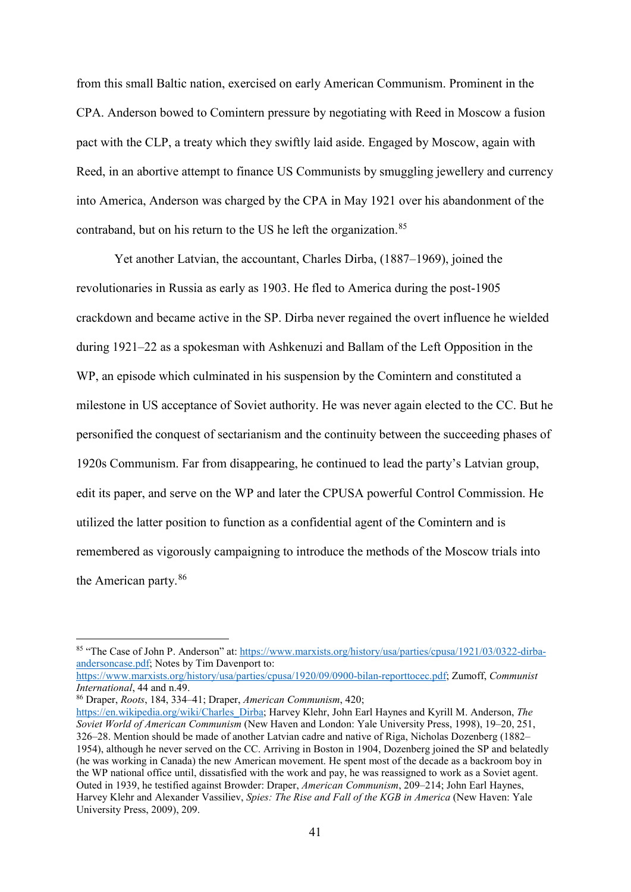from this small Baltic nation, exercised on early American Communism. Prominent in the CPA. Anderson bowed to Comintern pressure by negotiating with Reed in Moscow a fusion pact with the CLP, a treaty which they swiftly laid aside. Engaged by Moscow, again with Reed, in an abortive attempt to finance US Communists by smuggling jewellery and currency into America, Anderson was charged by the CPA in May 1921 over his abandonment of the contraband, but on his return to the US he left the organization.<sup>[85](#page-41-0)</sup>

Yet another Latvian, the accountant, Charles Dirba, (1887–1969), joined the revolutionaries in Russia as early as 1903. He fled to America during the post-1905 crackdown and became active in the SP. Dirba never regained the overt influence he wielded during 1921–22 as a spokesman with Ashkenuzi and Ballam of the Left Opposition in the WP, an episode which culminated in his suspension by the Comintern and constituted a milestone in US acceptance of Soviet authority. He was never again elected to the CC. But he personified the conquest of sectarianism and the continuity between the succeeding phases of 1920s Communism. Far from disappearing, he continued to lead the party's Latvian group, edit its paper, and serve on the WP and later the CPUSA powerful Control Commission. He utilized the latter position to function as a confidential agent of the Comintern and is remembered as vigorously campaigning to introduce the methods of the Moscow trials into the American party.[86](#page-41-1)

*International*, 44 and n.49.

<span id="page-41-1"></span><sup>86</sup> Draper, *Roots*, 184, 334–41; Draper, *American Communism*, 420;

<span id="page-41-0"></span><sup>85 &</sup>quot;The Case of John P. Anderson" at: [https://www.marxists.org/history/usa/parties/cpusa/1921/03/0322-dirba](https://www.marxists.org/history/usa/parties/cpusa/1921/03/0322-dirba-andersoncase.pdf)[andersoncase.pdf;](https://www.marxists.org/history/usa/parties/cpusa/1921/03/0322-dirba-andersoncase.pdf) Notes by Tim Davenport to: [https://www.marxists.org/history/usa/parties/cpusa/1920/09/0900-bilan-reporttocec.pdf;](https://www.marxists.org/history/usa/parties/cpusa/1920/09/0900-bilan-reporttocec.pdf) Zumoff, *Communist* 

[https://en.wikipedia.org/wiki/Charles\\_Dirba;](https://en.wikipedia.org/wiki/Charles_Dirba) Harvey Klehr, John Earl Haynes and Kyrill M. Anderson, *The Soviet World of American Communism* (New Haven and London: Yale University Press, 1998), 19–20, 251, 326–28. Mention should be made of another Latvian cadre and native of Riga, Nicholas Dozenberg (1882– 1954), although he never served on the CC. Arriving in Boston in 1904, Dozenberg joined the SP and belatedly (he was working in Canada) the new American movement. He spent most of the decade as a backroom boy in the WP national office until, dissatisfied with the work and pay, he was reassigned to work as a Soviet agent. Outed in 1939, he testified against Browder: Draper, *American Communism*, 209–214; John Earl Haynes, Harvey Klehr and Alexander Vassiliev, *Spies: The Rise and Fall of the KGB in America* (New Haven: Yale University Press, 2009), 209.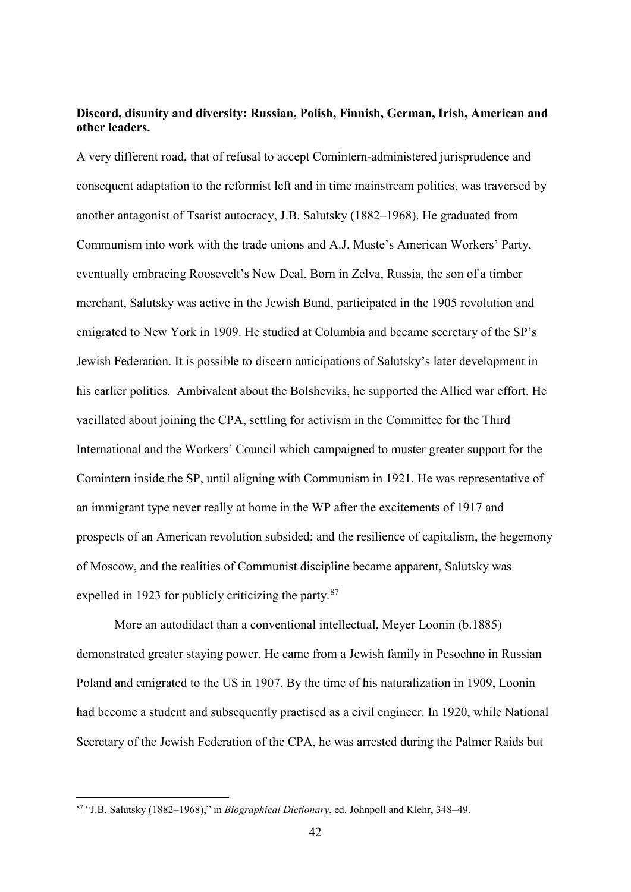## **Discord, disunity and diversity: Russian, Polish, Finnish, German, Irish, American and other leaders.**

A very different road, that of refusal to accept Comintern-administered jurisprudence and consequent adaptation to the reformist left and in time mainstream politics, was traversed by another antagonist of Tsarist autocracy, J.B. Salutsky (1882–1968). He graduated from Communism into work with the trade unions and A.J. Muste's American Workers' Party, eventually embracing Roosevelt's New Deal. Born in Zelva, Russia, the son of a timber merchant, Salutsky was active in the Jewish Bund, participated in the 1905 revolution and emigrated to New York in 1909. He studied at Columbia and became secretary of the SP's Jewish Federation. It is possible to discern anticipations of Salutsky's later development in his earlier politics. Ambivalent about the Bolsheviks, he supported the Allied war effort. He vacillated about joining the CPA, settling for activism in the Committee for the Third International and the Workers' Council which campaigned to muster greater support for the Comintern inside the SP, until aligning with Communism in 1921. He was representative of an immigrant type never really at home in the WP after the excitements of 1917 and prospects of an American revolution subsided; and the resilience of capitalism, the hegemony of Moscow, and the realities of Communist discipline became apparent, Salutsky was expelled in 1923 for publicly criticizing the party.<sup>[87](#page-42-0)</sup>

More an autodidact than a conventional intellectual, Meyer Loonin (b.1885) demonstrated greater staying power. He came from a Jewish family in Pesochno in Russian Poland and emigrated to the US in 1907. By the time of his naturalization in 1909, Loonin had become a student and subsequently practised as a civil engineer. In 1920, while National Secretary of the Jewish Federation of the CPA, he was arrested during the Palmer Raids but

<span id="page-42-0"></span> <sup>87</sup> "J.B. Salutsky (1882–1968)," in *Biographical Dictionary*, ed. Johnpoll and Klehr, 348–49.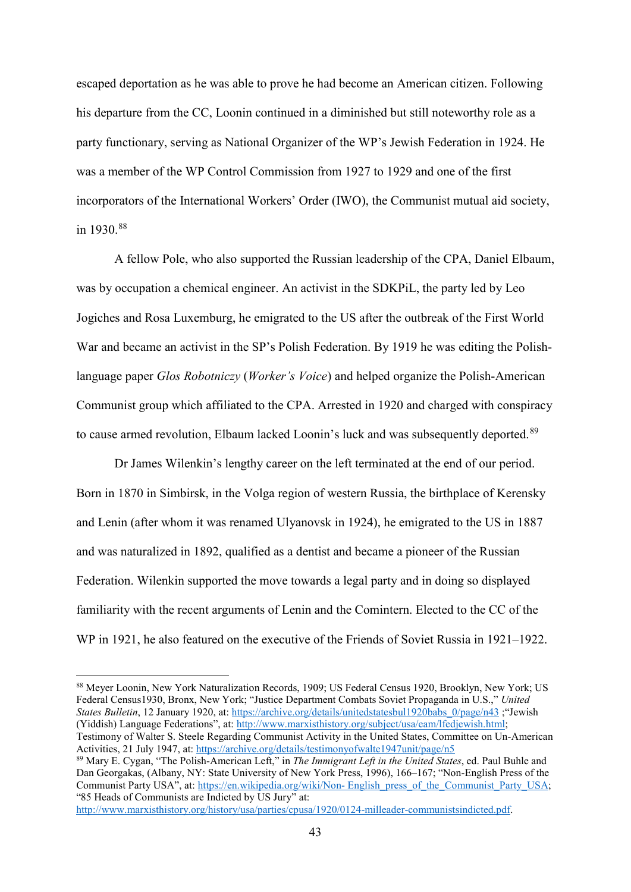escaped deportation as he was able to prove he had become an American citizen. Following his departure from the CC, Loonin continued in a diminished but still noteworthy role as a party functionary, serving as National Organizer of the WP's Jewish Federation in 1924. He was a member of the WP Control Commission from 1927 to 1929 and one of the first incorporators of the International Workers' Order (IWO), the Communist mutual aid society, in 1930.<sup>[88](#page-43-0)</sup>

A fellow Pole, who also supported the Russian leadership of the CPA, Daniel Elbaum, was by occupation a chemical engineer. An activist in the SDKPiL, the party led by Leo Jogiches and Rosa Luxemburg, he emigrated to the US after the outbreak of the First World War and became an activist in the SP's Polish Federation. By 1919 he was editing the Polishlanguage paper *Glos Robotniczy* (*Worker's Voice*) and helped organize the Polish-American Communist group which affiliated to the CPA. Arrested in 1920 and charged with conspiracy to cause armed revolution, Elbaum lacked Loonin's luck and was subsequently deported.<sup>[89](#page-43-1)</sup>

Dr James Wilenkin's lengthy career on the left terminated at the end of our period. Born in 1870 in Simbirsk, in the Volga region of western Russia, the birthplace of Kerensky and Lenin (after whom it was renamed Ulyanovsk in 1924), he emigrated to the US in 1887 and was naturalized in 1892, qualified as a dentist and became a pioneer of the Russian Federation. Wilenkin supported the move towards a legal party and in doing so displayed familiarity with the recent arguments of Lenin and the Comintern. Elected to the CC of the WP in 1921, he also featured on the executive of the Friends of Soviet Russia in 1921–1922.

[http://www.marxisthistory.org/history/usa/parties/cpusa/1920/0124-milleader-communistsindicted.pdf.](http://www.marxisthistory.org/history/usa/parties/cpusa/1920/0124-milleader-communistsindicted.pdf)

<span id="page-43-0"></span><sup>88</sup> Meyer Loonin, New York Naturalization Records, 1909; US Federal Census 1920, Brooklyn, New York; US Federal Census1930, Bronx, New York; "Justice Department Combats Soviet Propaganda in U.S.," *United States Bulletin*, 12 January 1920, at[: https://archive.org/details/unitedstatesbul1920babs\\_0/page/n43](https://archive.org/details/unitedstatesbul1920babs_0/page/n43) ;"Jewish (Yiddish) Language Federations", at: [http://www.marxisthistory.org/subject/usa/eam/lfedjewish.html;](http://www.marxisthistory.org/subject/usa/eam/lfedjewish.html)

Testimony of Walter S. Steele Regarding Communist Activity in the United States, Committee on Un-American Activities, 21 July 1947, at:<https://archive.org/details/testimonyofwalte1947unit/page/n5>

<span id="page-43-1"></span><sup>89</sup> Mary E. Cygan, "The Polish-American Left," in *The Immigrant Left in the United States*, ed. Paul Buhle and Dan Georgakas, (Albany, NY: State University of New York Press, 1996), 166–167; "Non-English Press of the Communist Party USA", at: https://en.wikipedia.org/wiki/Non- [English\\_press\\_of\\_the\\_Communist\\_Party\\_USA;](https://en.wikipedia.org/wiki/Non-%20English_press_of_the_Communist_Party_USA) "85 Heads of Communists are Indicted by US Jury" at: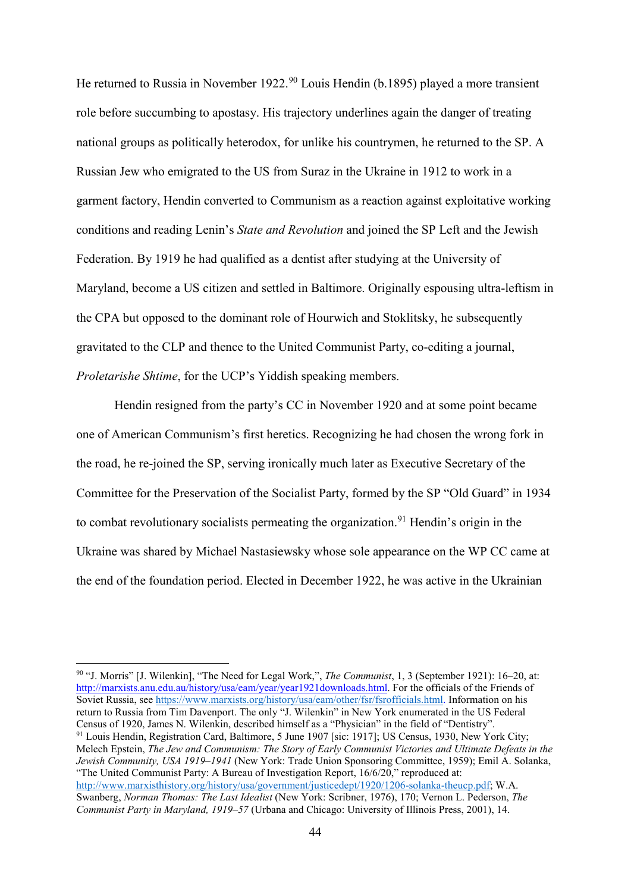He returned to Russia in November 1922.<sup>[90](#page-44-0)</sup> Louis Hendin (b.1895) played a more transient role before succumbing to apostasy. His trajectory underlines again the danger of treating national groups as politically heterodox, for unlike his countrymen, he returned to the SP. A Russian Jew who emigrated to the US from Suraz in the Ukraine in 1912 to work in a garment factory, Hendin converted to Communism as a reaction against exploitative working conditions and reading Lenin's *State and Revolution* and joined the SP Left and the Jewish Federation. By 1919 he had qualified as a dentist after studying at the University of Maryland, become a US citizen and settled in Baltimore. Originally espousing ultra-leftism in the CPA but opposed to the dominant role of Hourwich and Stoklitsky, he subsequently gravitated to the CLP and thence to the United Communist Party, co-editing a journal, *Proletarishe Shtime*, for the UCP's Yiddish speaking members.

Hendin resigned from the party's CC in November 1920 and at some point became one of American Communism's first heretics. Recognizing he had chosen the wrong fork in the road, he re-joined the SP, serving ironically much later as Executive Secretary of the Committee for the Preservation of the Socialist Party, formed by the SP "Old Guard" in 1934 to combat revolutionary socialists permeating the organization.<sup>[91](#page-44-1)</sup> Hendin's origin in the Ukraine was shared by Michael Nastasiewsky whose sole appearance on the WP CC came at the end of the foundation period. Elected in December 1922, he was active in the Ukrainian

<span id="page-44-0"></span> 90 "J. Morris" [J. Wilenkin], "The Need for Legal Work,", *The Communist*, 1, 3 (September 1921): 16–20, at: [http://marxists.anu.edu.au/history/usa/eam/year/year1921downloads.html.](http://marxists.anu.edu.au/history/usa/eam/year/year1921downloads.html) For the officials of the Friends of Soviet Russia, see [https://www.marxists.org/history/usa/eam/other/fsr/fsrofficials.html.](https://www.marxists.org/history/usa/eam/other/fsr/fsrofficials.html) Information on his return to Russia from Tim Davenport. The only "J. Wilenkin" in New York enumerated in the US Federal Census of 1920, James N. Wilenkin, described himself as a "Physician" in the field of "Dentistry".

<span id="page-44-1"></span><sup>91</sup> Louis Hendin, Registration Card, Baltimore, 5 June 1907 [sic: 1917]; US Census, 1930, New York City; Melech Epstein, *The Jew and Communism: The Story of Early Communist Victories and Ultimate Defeats in the Jewish Community, USA 1919–1941* (New York: Trade Union Sponsoring Committee, 1959); Emil A. Solanka, "The United Communist Party: A Bureau of Investigation Report, 16/6/20," reproduced at: [http://www.marxisthistory.org/history/usa/government/justicedept/1920/1206-solanka-theucp.pdf;](http://www.marxisthistory.org/history/usa/government/justicedept/1920/1206-solanka-theucp.pdf) W.A. Swanberg, *Norman Thomas: The Last Idealist* (New York: Scribner, 1976), 170; Vernon L. Pederson, *The Communist Party in Maryland, 1919–57* (Urbana and Chicago: University of Illinois Press, 2001), 14.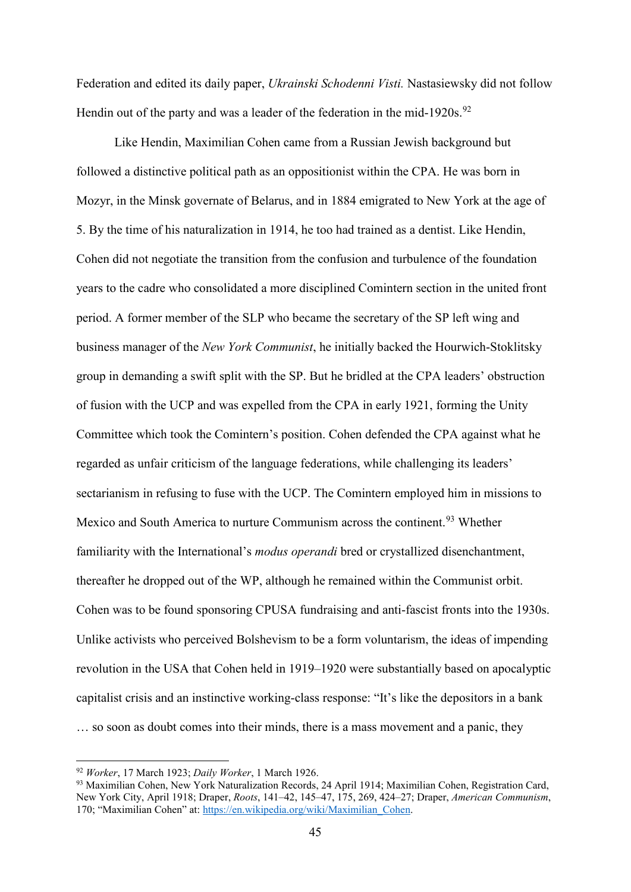Federation and edited its daily paper, *Ukrainski Schodenni Visti.* Nastasiewsky did not follow Hendin out of the party and was a leader of the federation in the mid-1[92](#page-45-0)0s.<sup>92</sup>

Like Hendin, Maximilian Cohen came from a Russian Jewish background but followed a distinctive political path as an oppositionist within the CPA. He was born in Mozyr, in the Minsk governate of Belarus, and in 1884 emigrated to New York at the age of 5. By the time of his naturalization in 1914, he too had trained as a dentist. Like Hendin, Cohen did not negotiate the transition from the confusion and turbulence of the foundation years to the cadre who consolidated a more disciplined Comintern section in the united front period. A former member of the SLP who became the secretary of the SP left wing and business manager of the *New York Communist*, he initially backed the Hourwich-Stoklitsky group in demanding a swift split with the SP. But he bridled at the CPA leaders' obstruction of fusion with the UCP and was expelled from the CPA in early 1921, forming the Unity Committee which took the Comintern's position. Cohen defended the CPA against what he regarded as unfair criticism of the language federations, while challenging its leaders' sectarianism in refusing to fuse with the UCP. The Comintern employed him in missions to Mexico and South America to nurture Communism across the continent.<sup>[93](#page-45-1)</sup> Whether familiarity with the International's *modus operandi* bred or crystallized disenchantment, thereafter he dropped out of the WP, although he remained within the Communist orbit. Cohen was to be found sponsoring CPUSA fundraising and anti-fascist fronts into the 1930s. Unlike activists who perceived Bolshevism to be a form voluntarism, the ideas of impending revolution in the USA that Cohen held in 1919–1920 were substantially based on apocalyptic capitalist crisis and an instinctive working-class response: "It's like the depositors in a bank … so soon as doubt comes into their minds, there is a mass movement and a panic, they

<span id="page-45-0"></span> <sup>92</sup> *Worker*, 17 March 1923; *Daily Worker*, 1 March 1926.

<span id="page-45-1"></span><sup>93</sup> Maximilian Cohen, New York Naturalization Records, 24 April 1914; Maximilian Cohen, Registration Card, New York City, April 1918; Draper, *Roots*, 141–42, 145–47, 175, 269, 424–27; Draper, *American Communism*, 170; "Maximilian Cohen" at: [https://en.wikipedia.org/wiki/Maximilian\\_Cohen.](https://en.wikipedia.org/wiki/Maximilian_Cohen)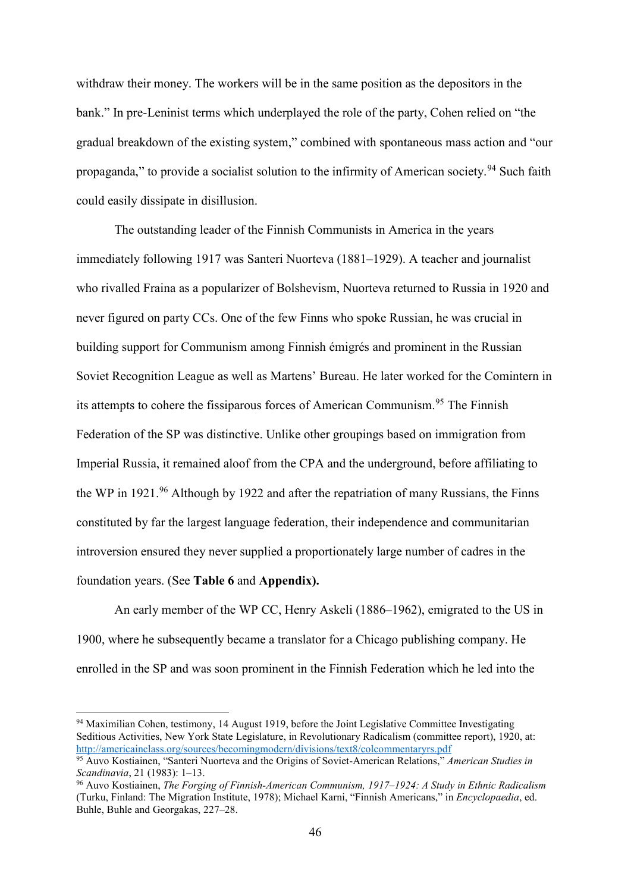withdraw their money. The workers will be in the same position as the depositors in the bank." In pre-Leninist terms which underplayed the role of the party, Cohen relied on "the gradual breakdown of the existing system," combined with spontaneous mass action and "our propaganda," to provide a socialist solution to the infirmity of American society.<sup>[94](#page-46-0)</sup> Such faith could easily dissipate in disillusion.

The outstanding leader of the Finnish Communists in America in the years immediately following 1917 was Santeri Nuorteva (1881–1929). A teacher and journalist who rivalled Fraina as a popularizer of Bolshevism, Nuorteva returned to Russia in 1920 and never figured on party CCs. One of the few Finns who spoke Russian, he was crucial in building support for Communism among Finnish émigrés and prominent in the Russian Soviet Recognition League as well as Martens' Bureau. He later worked for the Comintern in its attempts to cohere the fissiparous forces of American Communism.<sup>[95](#page-46-1)</sup> The Finnish Federation of the SP was distinctive. Unlike other groupings based on immigration from Imperial Russia, it remained aloof from the CPA and the underground, before affiliating to the WP in 1921.<sup>[96](#page-46-2)</sup> Although by 1922 and after the repatriation of many Russians, the Finns constituted by far the largest language federation, their independence and communitarian introversion ensured they never supplied a proportionately large number of cadres in the foundation years. (See **Table 6** and **Appendix).**

An early member of the WP CC, Henry Askeli (1886–1962), emigrated to the US in 1900, where he subsequently became a translator for a Chicago publishing company. He enrolled in the SP and was soon prominent in the Finnish Federation which he led into the

<span id="page-46-0"></span><sup>&</sup>lt;sup>94</sup> Maximilian Cohen, testimony, 14 August 1919, before the Joint Legislative Committee Investigating Seditious Activities, New York State Legislature, in Revolutionary Radicalism (committee report), 1920, at: <http://americainclass.org/sources/becomingmodern/divisions/text8/colcommentaryrs.pdf>

<span id="page-46-1"></span><sup>95</sup> Auvo Kostiainen, "Santeri Nuorteva and the Origins of Soviet-American Relations," *American Studies in Scandinavia*, 21 (1983): 1–13.

<span id="page-46-2"></span><sup>96</sup> Auvo Kostiainen, *The Forging of Finnish-American Communism, 1917–1924: A Study in Ethnic Radicalism* (Turku, Finland: The Migration Institute, 1978); Michael Karni, "Finnish Americans," in *Encyclopaedia*, ed. Buhle, Buhle and Georgakas, 227–28.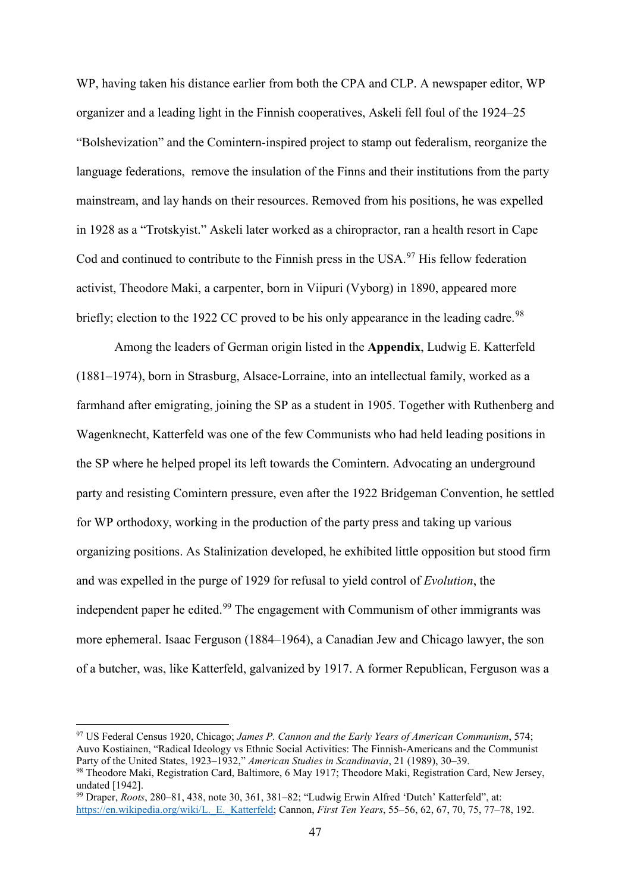WP, having taken his distance earlier from both the CPA and CLP. A newspaper editor, WP organizer and a leading light in the Finnish cooperatives, Askeli fell foul of the 1924–25 "Bolshevization" and the Comintern-inspired project to stamp out federalism, reorganize the language federations, remove the insulation of the Finns and their institutions from the party mainstream, and lay hands on their resources. Removed from his positions, he was expelled in 1928 as a "Trotskyist." Askeli later worked as a chiropractor, ran a health resort in Cape Cod and continued to contribute to the Finnish press in the USA.<sup>[97](#page-47-0)</sup> His fellow federation activist, Theodore Maki, a carpenter, born in Viipuri (Vyborg) in 1890, appeared more briefly; election to the 1922 CC proved to be his only appearance in the leading cadre.<sup>[98](#page-47-1)</sup>

Among the leaders of German origin listed in the **Appendix**, Ludwig E. Katterfeld (1881–1974), born in Strasburg, Alsace-Lorraine, into an intellectual family, worked as a farmhand after emigrating, joining the SP as a student in 1905. Together with Ruthenberg and Wagenknecht, Katterfeld was one of the few Communists who had held leading positions in the SP where he helped propel its left towards the Comintern. Advocating an underground party and resisting Comintern pressure, even after the 1922 Bridgeman Convention, he settled for WP orthodoxy, working in the production of the party press and taking up various organizing positions. As Stalinization developed, he exhibited little opposition but stood firm and was expelled in the purge of 1929 for refusal to yield control of *Evolution*, the independent paper he edited.<sup>[99](#page-47-2)</sup> The engagement with Communism of other immigrants was more ephemeral. Isaac Ferguson (1884–1964), a Canadian Jew and Chicago lawyer, the son of a butcher, was, like Katterfeld, galvanized by 1917. A former Republican, Ferguson was a

<span id="page-47-0"></span> <sup>97</sup> US Federal Census 1920, Chicago; *James P. Cannon and the Early Years of American Communism*, 574; Auvo Kostiainen, "Radical Ideology vs Ethnic Social Activities: The Finnish-Americans and the Communist Party of the United States, 1923–1932," *American Studies in Scandinavia*, 21 (1989), 30–39.

<span id="page-47-1"></span><sup>98</sup> Theodore Maki, Registration Card, Baltimore, 6 May 1917; Theodore Maki, Registration Card, New Jersey, undated [1942].

<span id="page-47-2"></span><sup>99</sup> Draper, *Roots*, 280–81, 438, note 30, 361, 381–82; "Ludwig Erwin Alfred 'Dutch' Katterfeld", at: [https://en.wikipedia.org/wiki/L.\\_E.\\_Katterfeld;](https://en.wikipedia.org/wiki/L._E._Katterfeld) Cannon, *First Ten Years*, 55–56, 62, 67, 70, 75, 77–78, 192.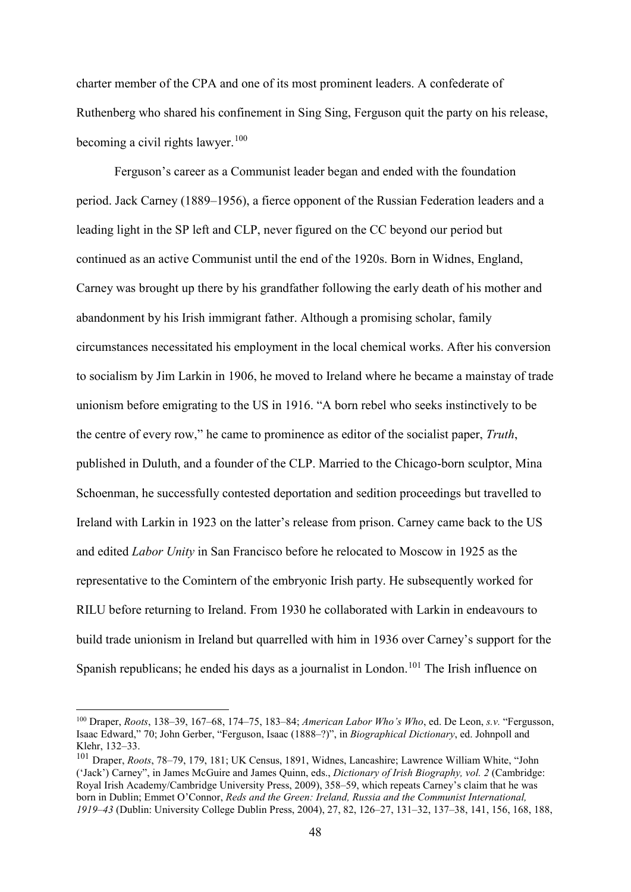charter member of the CPA and one of its most prominent leaders. A confederate of Ruthenberg who shared his confinement in Sing Sing, Ferguson quit the party on his release, becoming a civil rights lawyer.<sup>[100](#page-48-0)</sup>

Ferguson's career as a Communist leader began and ended with the foundation period. Jack Carney (1889–1956), a fierce opponent of the Russian Federation leaders and a leading light in the SP left and CLP, never figured on the CC beyond our period but continued as an active Communist until the end of the 1920s. Born in Widnes, England, Carney was brought up there by his grandfather following the early death of his mother and abandonment by his Irish immigrant father. Although a promising scholar, family circumstances necessitated his employment in the local chemical works. After his conversion to socialism by Jim Larkin in 1906, he moved to Ireland where he became a mainstay of trade unionism before emigrating to the US in 1916. "A born rebel who seeks instinctively to be the centre of every row," he came to prominence as editor of the socialist paper, *Truth*, published in Duluth, and a founder of the CLP. Married to the Chicago-born sculptor, Mina Schoenman, he successfully contested deportation and sedition proceedings but travelled to Ireland with Larkin in 1923 on the latter's release from prison. Carney came back to the US and edited *Labor Unity* in San Francisco before he relocated to Moscow in 1925 as the representative to the Comintern of the embryonic Irish party. He subsequently worked for RILU before returning to Ireland. From 1930 he collaborated with Larkin in endeavours to build trade unionism in Ireland but quarrelled with him in 1936 over Carney's support for the Spanish republicans; he ended his days as a journalist in London.<sup>[101](#page-48-1)</sup> The Irish influence on

<span id="page-48-0"></span> <sup>100</sup> Draper, *Roots*, 138–39, 167–68, 174–75, 183–84; *American Labor Who's Who*, ed. De Leon, *s.v.* "Fergusson, Isaac Edward," 70; John Gerber, "Ferguson, Isaac (1888–?)", in *Biographical Dictionary*, ed. Johnpoll and Klehr, 132–33.

<span id="page-48-1"></span><sup>101</sup> Draper, *Roots*, 78–79, 179, 181; UK Census, 1891, Widnes, Lancashire; Lawrence William White, "John ('Jack') Carney", in James McGuire and James Quinn, eds., *Dictionary of Irish Biography, vol. 2* (Cambridge: Royal Irish Academy/Cambridge University Press, 2009), 358–59, which repeats Carney's claim that he was born in Dublin; Emmet O'Connor, *Reds and the Green: Ireland, Russia and the Communist International, 1919–43* (Dublin: University College Dublin Press, 2004), 27, 82, 126–27, 131–32, 137–38, 141, 156, 168, 188,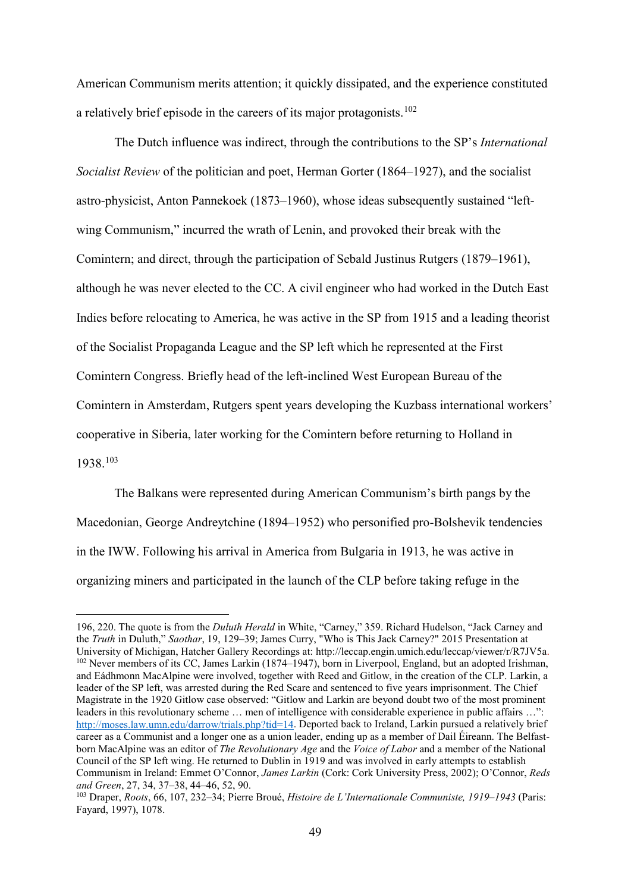American Communism merits attention; it quickly dissipated, and the experience constituted a relatively brief episode in the careers of its major protagonists.[102](#page-49-0)

The Dutch influence was indirect, through the contributions to the SP's *International Socialist Review* of the politician and poet, Herman Gorter (1864–1927), and the socialist astro-physicist, Anton Pannekoek (1873–1960), whose ideas subsequently sustained "leftwing Communism," incurred the wrath of Lenin, and provoked their break with the Comintern; and direct, through the participation of Sebald Justinus Rutgers (1879–1961), although he was never elected to the CC. A civil engineer who had worked in the Dutch East Indies before relocating to America, he was active in the SP from 1915 and a leading theorist of the Socialist Propaganda League and the SP left which he represented at the First Comintern Congress. Briefly head of the left-inclined West European Bureau of the Comintern in Amsterdam, Rutgers spent years developing the Kuzbass international workers' cooperative in Siberia, later working for the Comintern before returning to Holland in 1938.[103](#page-49-1)

The Balkans were represented during American Communism's birth pangs by the Macedonian, George Andreytchine (1894–1952) who personified pro-Bolshevik tendencies in the IWW. Following his arrival in America from Bulgaria in 1913, he was active in organizing miners and participated in the launch of the CLP before taking refuge in the

<span id="page-49-0"></span> <sup>196, 220.</sup> The quote is from the *Duluth Herald* in White, "Carney," 359. Richard Hudelson, "Jack Carney and the *Truth* in Duluth," *Saothar*, 19, 129–39; James Curry, "Who is This Jack Carney?" 2015 Presentation at University of Michigan, Hatcher Gallery Recordings at: http://leccap.engin.umich.edu/leccap/viewer/r/R7JV5a. <sup>102</sup> Never members of its CC, James Larkin (1874–1947), born in Liverpool, England, but an adopted Irishman, and Eádhmonn MacAlpine were involved, together with Reed and Gitlow, in the creation of the CLP. Larkin, a leader of the SP left, was arrested during the Red Scare and sentenced to five years imprisonment. The Chief Magistrate in the 1920 Gitlow case observed: "Gitlow and Larkin are beyond doubt two of the most prominent leaders in this revolutionary scheme … men of intelligence with considerable experience in public affairs …": [http://moses.law.umn.edu/darrow/trials.php?tid=14.](http://moses.law.umn.edu/darrow/trials.php?tid=14) Deported back to Ireland, Larkin pursued a relatively brief career as a Communist and a longer one as a union leader, ending up as a member of Dail Éireann. The Belfastborn MacAlpine was an editor of *The Revolutionary Age* and the *Voice of Labor* and a member of the National Council of the SP left wing. He returned to Dublin in 1919 and was involved in early attempts to establish Communism in Ireland: Emmet O'Connor, *James Larkin* (Cork: Cork University Press, 2002); O'Connor, *Reds and Green*, 27, 34, 37–38, 44–46, 52, 90.

<span id="page-49-1"></span><sup>103</sup> Draper, *Roots*, 66, 107, 232–34; Pierre Broué, *Histoire de L'Internationale Communiste, 1919–1943* (Paris: Fayard, 1997), 1078.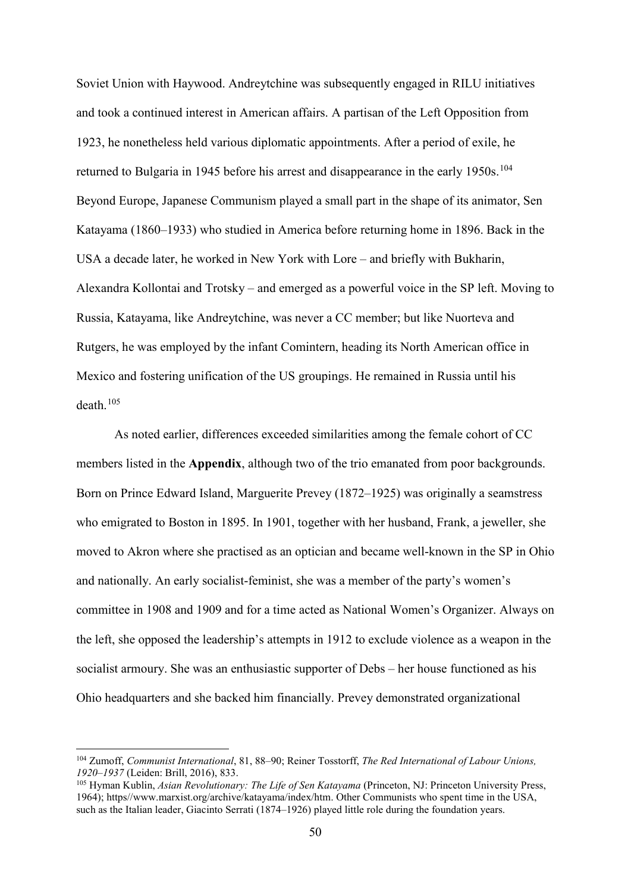Soviet Union with Haywood. Andreytchine was subsequently engaged in RILU initiatives and took a continued interest in American affairs. A partisan of the Left Opposition from 1923, he nonetheless held various diplomatic appointments. After a period of exile, he returned to Bulgaria in 1945 before his arrest and disappearance in the early 1950s.<sup>[104](#page-50-0)</sup> Beyond Europe, Japanese Communism played a small part in the shape of its animator, Sen Katayama (1860–1933) who studied in America before returning home in 1896. Back in the USA a decade later, he worked in New York with Lore – and briefly with Bukharin, Alexandra Kollontai and Trotsky – and emerged as a powerful voice in the SP left. Moving to Russia, Katayama, like Andreytchine, was never a CC member; but like Nuorteva and Rutgers, he was employed by the infant Comintern, heading its North American office in Mexico and fostering unification of the US groupings. He remained in Russia until his death.[105](#page-50-1)

As noted earlier, differences exceeded similarities among the female cohort of CC members listed in the **Appendix**, although two of the trio emanated from poor backgrounds. Born on Prince Edward Island, Marguerite Prevey (1872–1925) was originally a seamstress who emigrated to Boston in 1895. In 1901, together with her husband, Frank, a jeweller, she moved to Akron where she practised as an optician and became well-known in the SP in Ohio and nationally. An early socialist-feminist, she was a member of the party's women's committee in 1908 and 1909 and for a time acted as National Women's Organizer. Always on the left, she opposed the leadership's attempts in 1912 to exclude violence as a weapon in the socialist armoury. She was an enthusiastic supporter of Debs – her house functioned as his Ohio headquarters and she backed him financially. Prevey demonstrated organizational

<span id="page-50-0"></span> <sup>104</sup> Zumoff, *Communist International*, 81, 88–90; Reiner Tosstorff, *The Red International of Labour Unions, 1920–1937* (Leiden: Brill, 2016), 833.

<span id="page-50-1"></span><sup>105</sup> Hyman Kublin, *Asian Revolutionary: The Life of Sen Katayama* (Princeton, NJ: Princeton University Press, 1964); https//www.marxist.org/archive/katayama/index/htm. Other Communists who spent time in the USA, such as the Italian leader, Giacinto Serrati (1874–1926) played little role during the foundation years.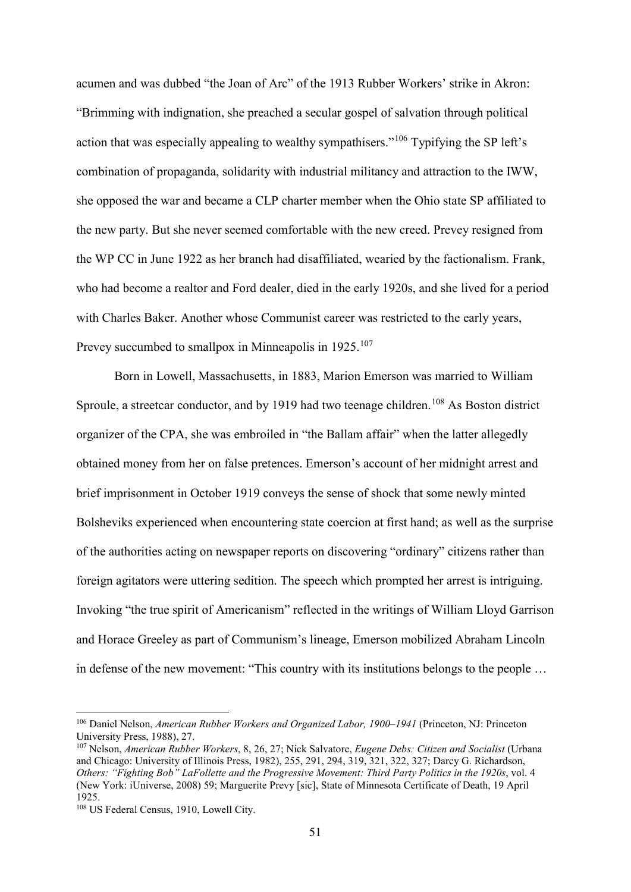acumen and was dubbed "the Joan of Arc" of the 1913 Rubber Workers' strike in Akron: "Brimming with indignation, she preached a secular gospel of salvation through political action that was especially appealing to wealthy sympathisers."[106](#page-51-0) Typifying the SP left's combination of propaganda, solidarity with industrial militancy and attraction to the IWW, she opposed the war and became a CLP charter member when the Ohio state SP affiliated to the new party. But she never seemed comfortable with the new creed. Prevey resigned from the WP CC in June 1922 as her branch had disaffiliated, wearied by the factionalism. Frank, who had become a realtor and Ford dealer, died in the early 1920s, and she lived for a period with Charles Baker. Another whose Communist career was restricted to the early years, Prevey succumbed to smallpox in Minneapolis in 1925.<sup>[107](#page-51-1)</sup>

Born in Lowell, Massachusetts, in 1883, Marion Emerson was married to William Sproule, a streetcar conductor, and by 1919 had two teenage children.<sup>[108](#page-51-2)</sup> As Boston district organizer of the CPA, she was embroiled in "the Ballam affair" when the latter allegedly obtained money from her on false pretences. Emerson's account of her midnight arrest and brief imprisonment in October 1919 conveys the sense of shock that some newly minted Bolsheviks experienced when encountering state coercion at first hand; as well as the surprise of the authorities acting on newspaper reports on discovering "ordinary" citizens rather than foreign agitators were uttering sedition. The speech which prompted her arrest is intriguing. Invoking "the true spirit of Americanism" reflected in the writings of William Lloyd Garrison and Horace Greeley as part of Communism's lineage, Emerson mobilized Abraham Lincoln in defense of the new movement: "This country with its institutions belongs to the people …

<span id="page-51-0"></span> <sup>106</sup> Daniel Nelson, *American Rubber Workers and Organized Labor, 1900–1941* (Princeton, NJ: Princeton University Press, 1988), 27.

<span id="page-51-1"></span><sup>107</sup> Nelson, *American Rubber Workers*, 8, 26, 27; Nick Salvatore, *Eugene Debs: Citizen and Socialist* (Urbana and Chicago: University of Illinois Press, 1982), 255, 291, 294, 319, 321, 322, 327; Darcy G. Richardson, *Others: "Fighting Bob" LaFollette and the Progressive Movement: Third Party Politics in the 1920s*, vol. 4 (New York: iUniverse, 2008) 59; Marguerite Prevy [sic], State of Minnesota Certificate of Death, 19 April 1925.

<span id="page-51-2"></span><sup>&</sup>lt;sup>108</sup> US Federal Census, 1910, Lowell City.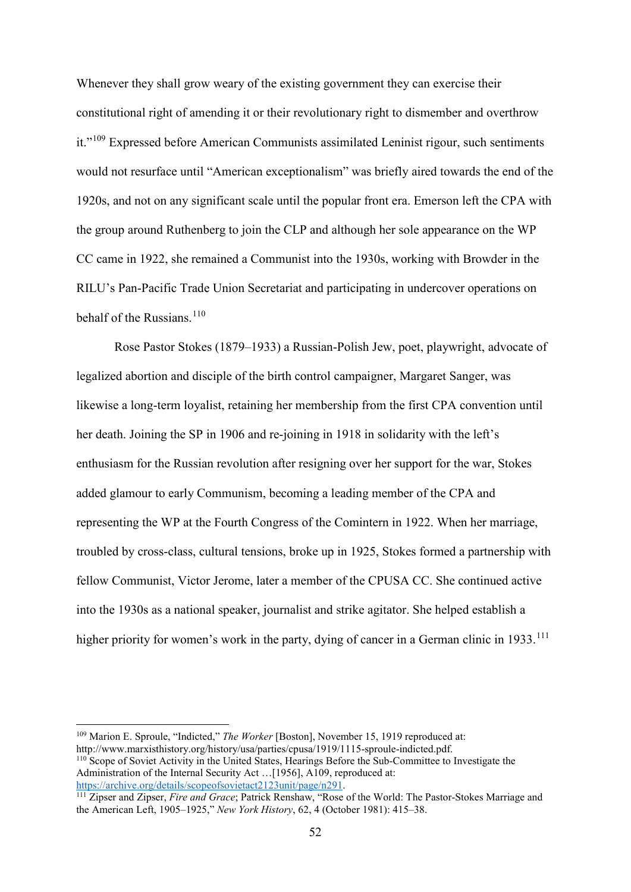Whenever they shall grow weary of the existing government they can exercise their constitutional right of amending it or their revolutionary right to dismember and overthrow it."<sup>[109](#page-52-0)</sup> Expressed before American Communists assimilated Leninist rigour, such sentiments would not resurface until "American exceptionalism" was briefly aired towards the end of the 1920s, and not on any significant scale until the popular front era. Emerson left the CPA with the group around Ruthenberg to join the CLP and although her sole appearance on the WP CC came in 1922, she remained a Communist into the 1930s, working with Browder in the RILU's Pan-Pacific Trade Union Secretariat and participating in undercover operations on behalf of the Russians. $110$ 

Rose Pastor Stokes (1879–1933) a Russian-Polish Jew, poet, playwright, advocate of legalized abortion and disciple of the birth control campaigner, Margaret Sanger, was likewise a long-term loyalist, retaining her membership from the first CPA convention until her death. Joining the SP in 1906 and re-joining in 1918 in solidarity with the left's enthusiasm for the Russian revolution after resigning over her support for the war, Stokes added glamour to early Communism, becoming a leading member of the CPA and representing the WP at the Fourth Congress of the Comintern in 1922. When her marriage, troubled by cross-class, cultural tensions, broke up in 1925, Stokes formed a partnership with fellow Communist, Victor Jerome, later a member of the CPUSA CC. She continued active into the 1930s as a national speaker, journalist and strike agitator. She helped establish a higher priority for women's work in the party, dying of cancer in a German clinic in 1933.<sup>[111](#page-52-2)</sup>

<span id="page-52-1"></span><span id="page-52-0"></span> 109 Marion E. Sproule, "Indicted," *The Worker* [Boston], November 15, 1919 reproduced at: http://www.marxisthistory.org/history/usa/parties/cpusa/1919/1115-sproule-indicted.pdf. <sup>110</sup> Scope of Soviet Activity in the United States, Hearings Before the Sub-Committee to Investigate the Administration of the Internal Security Act ...<sup>[1956]</sup>, A109, reproduced at: [https://archive.org/details/scopeofsovietact2123unit/page/n291.](https://archive.org/details/scopeofsovietact2123unit/page/n291)

<span id="page-52-2"></span><sup>111</sup> Zipser and Zipser, *Fire and Grace*; Patrick Renshaw, "Rose of the World: The Pastor-Stokes Marriage and the American Left, 1905–1925," *New York History*, 62, 4 (October 1981): 415–38.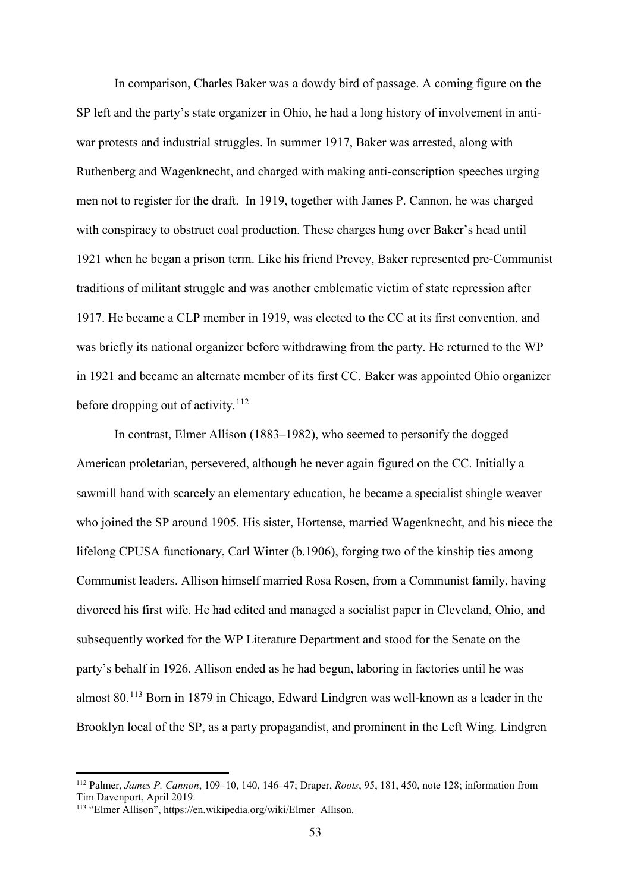In comparison, Charles Baker was a dowdy bird of passage. A coming figure on the SP left and the party's state organizer in Ohio, he had a long history of involvement in antiwar protests and industrial struggles. In summer 1917, Baker was arrested, along with Ruthenberg and Wagenknecht, and charged with making anti-conscription speeches urging men not to register for the draft. In 1919, together with James P. Cannon, he was charged with conspiracy to obstruct coal production. These charges hung over Baker's head until 1921 when he began a prison term. Like his friend Prevey, Baker represented pre-Communist traditions of militant struggle and was another emblematic victim of state repression after 1917. He became a CLP member in 1919, was elected to the CC at its first convention, and was briefly its national organizer before withdrawing from the party. He returned to the WP in 1921 and became an alternate member of its first CC. Baker was appointed Ohio organizer before dropping out of activity.<sup>[112](#page-53-0)</sup>

In contrast, Elmer Allison (1883–1982), who seemed to personify the dogged American proletarian, persevered, although he never again figured on the CC. Initially a sawmill hand with scarcely an elementary education, he became a specialist shingle weaver who joined the SP around 1905. His sister, Hortense, married Wagenknecht, and his niece the lifelong CPUSA functionary, Carl Winter (b.1906), forging two of the kinship ties among Communist leaders. Allison himself married Rosa Rosen, from a Communist family, having divorced his first wife. He had edited and managed a socialist paper in Cleveland, Ohio, and subsequently worked for the WP Literature Department and stood for the Senate on the party's behalf in 1926. Allison ended as he had begun, laboring in factories until he was almost 80.[113](#page-53-1) Born in 1879 in Chicago, Edward Lindgren was well-known as a leader in the Brooklyn local of the SP, as a party propagandist, and prominent in the Left Wing. Lindgren

<span id="page-53-0"></span> <sup>112</sup> Palmer, *James P. Cannon*, 109–10, 140, 146–47; Draper, *Roots*, 95, 181, 450, note 128; information from Tim Davenport, April 2019.

<span id="page-53-1"></span><sup>&</sup>lt;sup>113</sup> "Elmer Allison", https://en.wikipedia.org/wiki/Elmer\_Allison.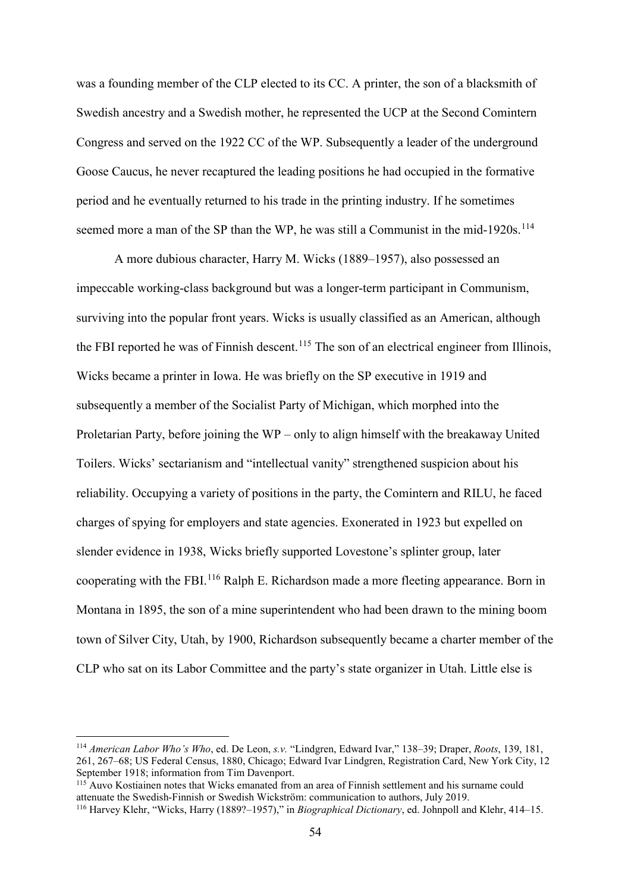was a founding member of the CLP elected to its CC. A printer, the son of a blacksmith of Swedish ancestry and a Swedish mother, he represented the UCP at the Second Comintern Congress and served on the 1922 CC of the WP. Subsequently a leader of the underground Goose Caucus, he never recaptured the leading positions he had occupied in the formative period and he eventually returned to his trade in the printing industry. If he sometimes seemed more a man of the SP than the WP, he was still a Communist in the mid-1920s.<sup>[114](#page-54-0)</sup>

A more dubious character, Harry M. Wicks (1889–1957), also possessed an impeccable working-class background but was a longer-term participant in Communism, surviving into the popular front years. Wicks is usually classified as an American, although the FBI reported he was of Finnish descent.<sup>[115](#page-54-1)</sup> The son of an electrical engineer from Illinois, Wicks became a printer in Iowa. He was briefly on the SP executive in 1919 and subsequently a member of the Socialist Party of Michigan, which morphed into the Proletarian Party, before joining the WP – only to align himself with the breakaway United Toilers. Wicks' sectarianism and "intellectual vanity" strengthened suspicion about his reliability. Occupying a variety of positions in the party, the Comintern and RILU, he faced charges of spying for employers and state agencies. Exonerated in 1923 but expelled on slender evidence in 1938, Wicks briefly supported Lovestone's splinter group, later cooperating with the FBI.[116](#page-54-2) Ralph E. Richardson made a more fleeting appearance. Born in Montana in 1895, the son of a mine superintendent who had been drawn to the mining boom town of Silver City, Utah, by 1900, Richardson subsequently became a charter member of the CLP who sat on its Labor Committee and the party's state organizer in Utah. Little else is

<span id="page-54-0"></span> <sup>114</sup> *American Labor Who's Who*, ed. De Leon, *s.v.* "Lindgren, Edward Ivar," 138–39; Draper, *Roots*, 139, 181, 261, 267–68; US Federal Census, 1880, Chicago; Edward Ivar Lindgren, Registration Card, New York City, 12 September 1918; information from Tim Davenport.

<span id="page-54-1"></span><sup>&</sup>lt;sup>115</sup> Auvo Kostiainen notes that Wicks emanated from an area of Finnish settlement and his surname could attenuate the Swedish-Finnish or Swedish Wickström: communication to authors, July 2019.

<span id="page-54-2"></span><sup>116</sup> Harvey Klehr, "Wicks, Harry (1889?–1957)," in *Biographical Dictionary*, ed. Johnpoll and Klehr, 414–15.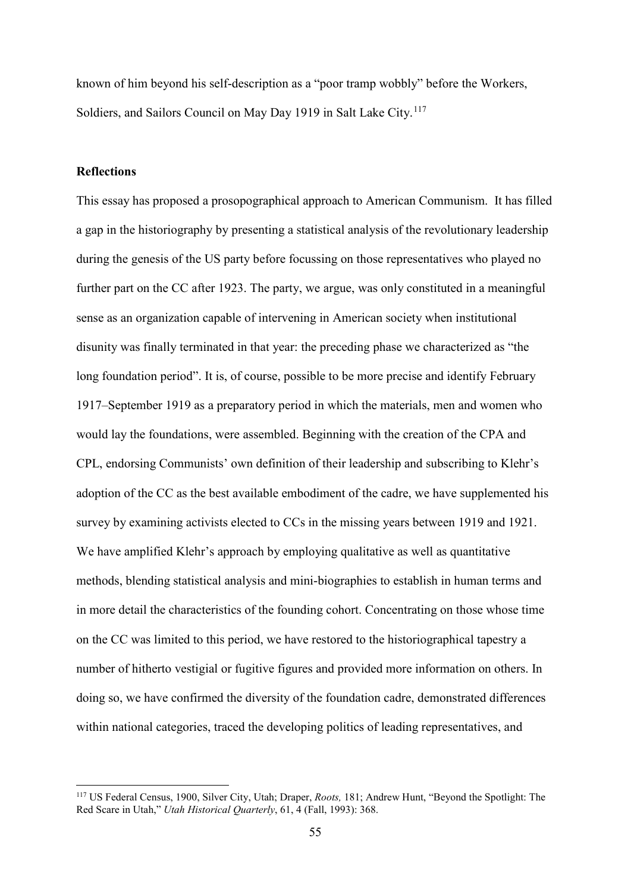known of him beyond his self-description as a "poor tramp wobbly" before the Workers, Soldiers, and Sailors Council on May Day 1919 in Salt Lake City.<sup>[117](#page-55-0)</sup>

### **Reflections**

This essay has proposed a prosopographical approach to American Communism. It has filled a gap in the historiography by presenting a statistical analysis of the revolutionary leadership during the genesis of the US party before focussing on those representatives who played no further part on the CC after 1923. The party, we argue, was only constituted in a meaningful sense as an organization capable of intervening in American society when institutional disunity was finally terminated in that year: the preceding phase we characterized as "the long foundation period". It is, of course, possible to be more precise and identify February 1917–September 1919 as a preparatory period in which the materials, men and women who would lay the foundations, were assembled. Beginning with the creation of the CPA and CPL, endorsing Communists' own definition of their leadership and subscribing to Klehr's adoption of the CC as the best available embodiment of the cadre, we have supplemented his survey by examining activists elected to CCs in the missing years between 1919 and 1921. We have amplified Klehr's approach by employing qualitative as well as quantitative methods, blending statistical analysis and mini-biographies to establish in human terms and in more detail the characteristics of the founding cohort. Concentrating on those whose time on the CC was limited to this period, we have restored to the historiographical tapestry a number of hitherto vestigial or fugitive figures and provided more information on others. In doing so, we have confirmed the diversity of the foundation cadre, demonstrated differences within national categories, traced the developing politics of leading representatives, and

<span id="page-55-0"></span> <sup>117</sup> US Federal Census, 1900, Silver City, Utah; Draper, *Roots,* 181; Andrew Hunt, "Beyond the Spotlight: The Red Scare in Utah," *Utah Historical Quarterly*, 61, 4 (Fall, 1993): 368.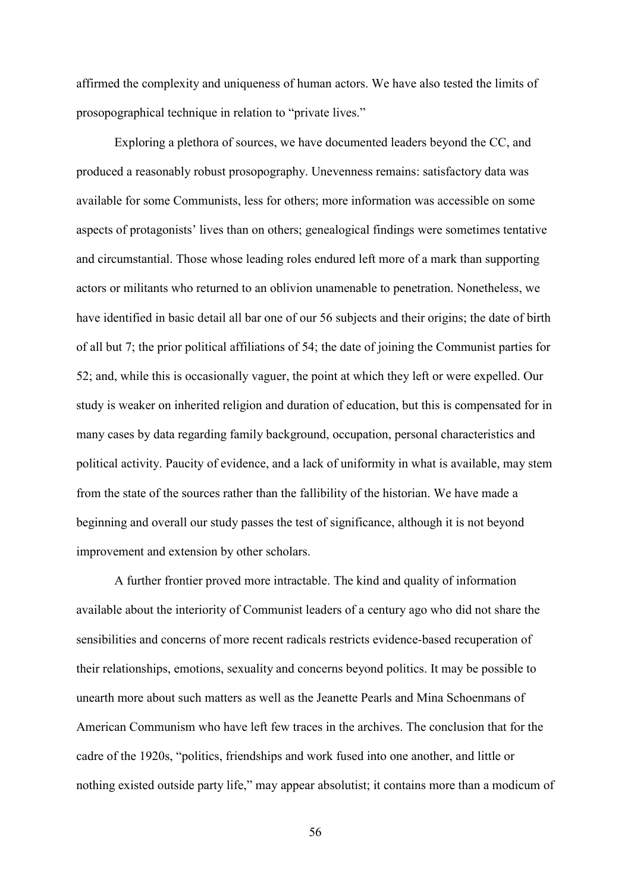affirmed the complexity and uniqueness of human actors. We have also tested the limits of prosopographical technique in relation to "private lives."

Exploring a plethora of sources, we have documented leaders beyond the CC, and produced a reasonably robust prosopography. Unevenness remains: satisfactory data was available for some Communists, less for others; more information was accessible on some aspects of protagonists' lives than on others; genealogical findings were sometimes tentative and circumstantial. Those whose leading roles endured left more of a mark than supporting actors or militants who returned to an oblivion unamenable to penetration. Nonetheless, we have identified in basic detail all bar one of our 56 subjects and their origins; the date of birth of all but 7; the prior political affiliations of 54; the date of joining the Communist parties for 52; and, while this is occasionally vaguer, the point at which they left or were expelled. Our study is weaker on inherited religion and duration of education, but this is compensated for in many cases by data regarding family background, occupation, personal characteristics and political activity. Paucity of evidence, and a lack of uniformity in what is available, may stem from the state of the sources rather than the fallibility of the historian. We have made a beginning and overall our study passes the test of significance, although it is not beyond improvement and extension by other scholars.

A further frontier proved more intractable. The kind and quality of information available about the interiority of Communist leaders of a century ago who did not share the sensibilities and concerns of more recent radicals restricts evidence-based recuperation of their relationships, emotions, sexuality and concerns beyond politics. It may be possible to unearth more about such matters as well as the Jeanette Pearls and Mina Schoenmans of American Communism who have left few traces in the archives. The conclusion that for the cadre of the 1920s, "politics, friendships and work fused into one another, and little or nothing existed outside party life," may appear absolutist; it contains more than a modicum of

56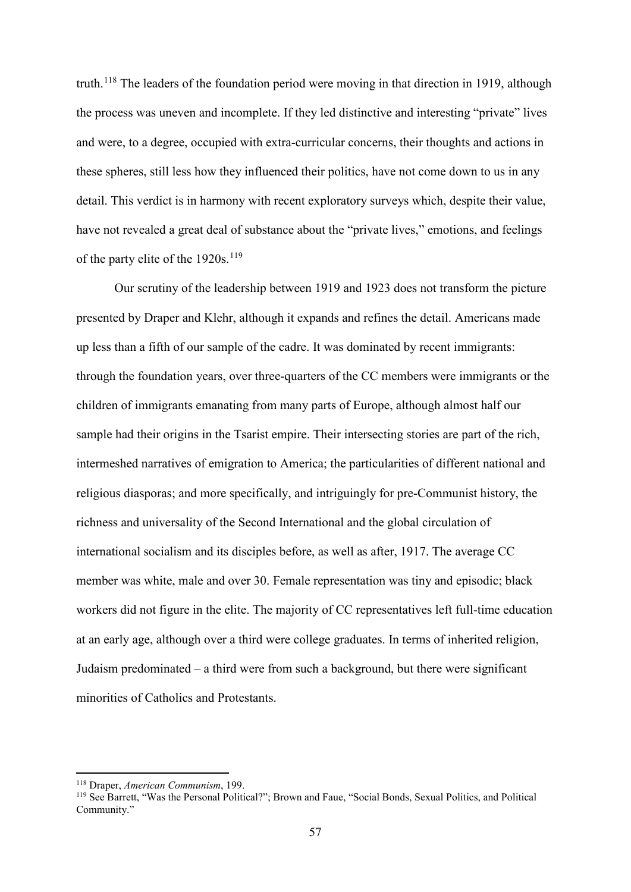truth.<sup>[118](#page-57-0)</sup> The leaders of the foundation period were moving in that direction in 1919, although the process was uneven and incomplete. If they led distinctive and interesting "private" lives and were, to a degree, occupied with extra-curricular concerns, their thoughts and actions in these spheres, still less how they influenced their politics, have not come down to us in any detail. This verdict is in harmony with recent exploratory surveys which, despite their value, have not revealed a great deal of substance about the "private lives," emotions, and feelings of the party elite of the  $1920s$ .<sup>[119](#page-57-1)</sup>

Our scrutiny of the leadership between 1919 and 1923 does not transform the picture presented by Draper and Klehr, although it expands and refines the detail. Americans made up less than a fifth of our sample of the cadre. It was dominated by recent immigrants: through the foundation years, over three-quarters of the CC members were immigrants or the children of immigrants emanating from many parts of Europe, although almost half our sample had their origins in the Tsarist empire. Their intersecting stories are part of the rich, intermeshed narratives of emigration to America; the particularities of different national and religious diasporas; and more specifically, and intriguingly for pre-Communist history, the richness and universality of the Second International and the global circulation of international socialism and its disciples before, as well as after, 1917. The average CC member was white, male and over 30. Female representation was tiny and episodic; black workers did not figure in the elite. The majority of CC representatives left full-time education at an early age, although over a third were college graduates. In terms of inherited religion, Judaism predominated – a third were from such a background, but there were significant minorities of Catholics and Protestants.

 <sup>118</sup> Draper, *American Communism*, 199.

<span id="page-57-1"></span><span id="page-57-0"></span><sup>119</sup> See Barrett, "Was the Personal Political?"; Brown and Faue, "Social Bonds, Sexual Politics, and Political Community."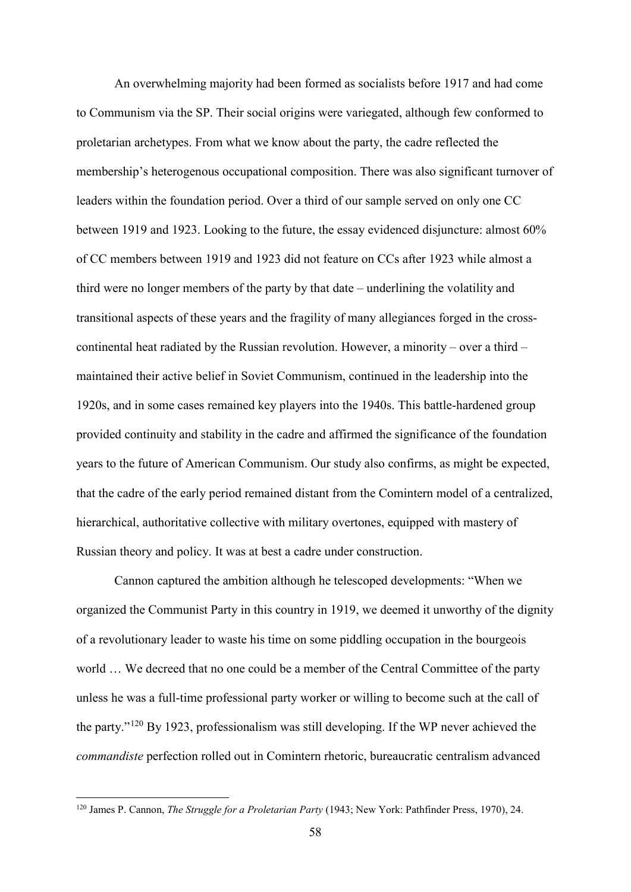An overwhelming majority had been formed as socialists before 1917 and had come to Communism via the SP. Their social origins were variegated, although few conformed to proletarian archetypes. From what we know about the party, the cadre reflected the membership's heterogenous occupational composition. There was also significant turnover of leaders within the foundation period. Over a third of our sample served on only one CC between 1919 and 1923. Looking to the future, the essay evidenced disjuncture: almost 60% of CC members between 1919 and 1923 did not feature on CCs after 1923 while almost a third were no longer members of the party by that date – underlining the volatility and transitional aspects of these years and the fragility of many allegiances forged in the crosscontinental heat radiated by the Russian revolution. However, a minority – over a third – maintained their active belief in Soviet Communism, continued in the leadership into the 1920s, and in some cases remained key players into the 1940s. This battle-hardened group provided continuity and stability in the cadre and affirmed the significance of the foundation years to the future of American Communism. Our study also confirms, as might be expected, that the cadre of the early period remained distant from the Comintern model of a centralized, hierarchical, authoritative collective with military overtones, equipped with mastery of Russian theory and policy. It was at best a cadre under construction.

Cannon captured the ambition although he telescoped developments: "When we organized the Communist Party in this country in 1919, we deemed it unworthy of the dignity of a revolutionary leader to waste his time on some piddling occupation in the bourgeois world … We decreed that no one could be a member of the Central Committee of the party unless he was a full-time professional party worker or willing to become such at the call of the party."[120](#page-58-0) By 1923, professionalism was still developing. If the WP never achieved the *commandiste* perfection rolled out in Comintern rhetoric, bureaucratic centralism advanced

<span id="page-58-0"></span> <sup>120</sup> James P. Cannon, *The Struggle for a Proletarian Party* (1943; New York: Pathfinder Press, 1970), 24.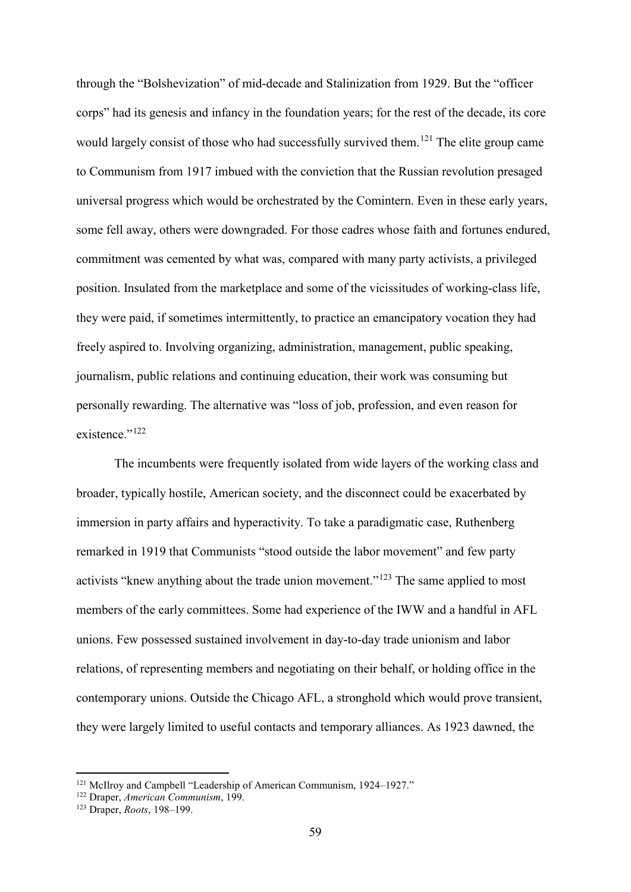through the "Bolshevization" of mid-decade and Stalinization from 1929. But the "officer corps" had its genesis and infancy in the foundation years; for the rest of the decade, its core would largely consist of those who had successfully survived them.<sup>[121](#page-59-0)</sup> The elite group came to Communism from 1917 imbued with the conviction that the Russian revolution presaged universal progress which would be orchestrated by the Comintern. Even in these early years, some fell away, others were downgraded. For those cadres whose faith and fortunes endured, commitment was cemented by what was, compared with many party activists, a privileged position. Insulated from the marketplace and some of the vicissitudes of working-class life, they were paid, if sometimes intermittently, to practice an emancipatory vocation they had freely aspired to. Involving organizing, administration, management, public speaking, journalism, public relations and continuing education, their work was consuming but personally rewarding. The alternative was "loss of job, profession, and even reason for existence." $^{122}$  $^{122}$  $^{122}$ 

The incumbents were frequently isolated from wide layers of the working class and broader, typically hostile, American society, and the disconnect could be exacerbated by immersion in party affairs and hyperactivity. To take a paradigmatic case, Ruthenberg remarked in 1919 that Communists "stood outside the labor movement" and few party activists "knew anything about the trade union movement."<sup>[123](#page-59-2)</sup> The same applied to most members of the early committees. Some had experience of the IWW and a handful in AFL unions. Few possessed sustained involvement in day-to-day trade unionism and labor relations, of representing members and negotiating on their behalf, or holding office in the contemporary unions. Outside the Chicago AFL, a stronghold which would prove transient, they were largely limited to useful contacts and temporary alliances. As 1923 dawned, the

<span id="page-59-0"></span><sup>&</sup>lt;sup>121</sup> McIlroy and Campbell "Leadership of American Communism, 1924–1927."

<span id="page-59-1"></span><sup>122</sup> Draper, *American Communism*, 199.

<span id="page-59-2"></span><sup>123</sup> Draper, *Roots*, 198–199.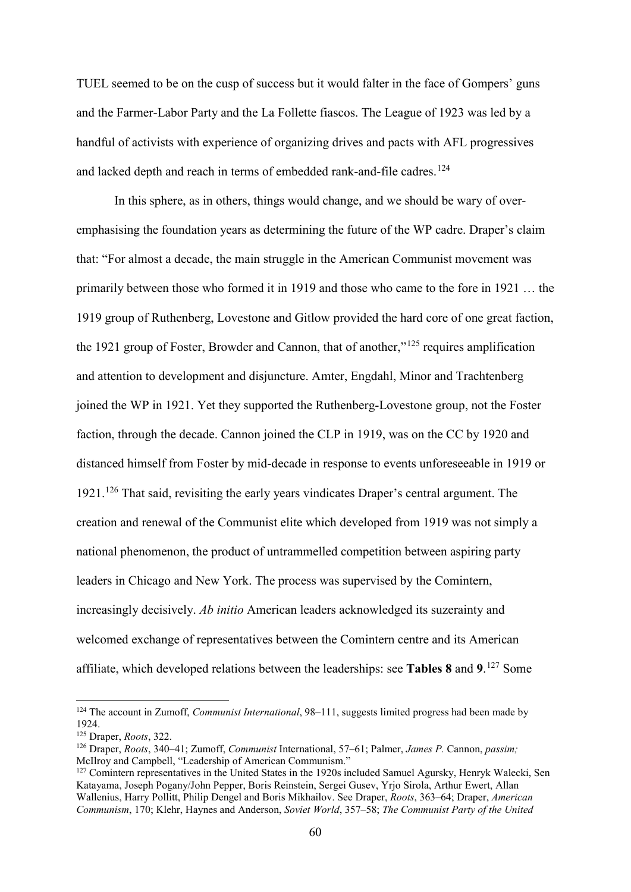TUEL seemed to be on the cusp of success but it would falter in the face of Gompers' guns and the Farmer-Labor Party and the La Follette fiascos. The League of 1923 was led by a handful of activists with experience of organizing drives and pacts with AFL progressives and lacked depth and reach in terms of embedded rank-and-file cadres.<sup>[124](#page-60-0)</sup>

In this sphere, as in others, things would change, and we should be wary of overemphasising the foundation years as determining the future of the WP cadre. Draper's claim that: "For almost a decade, the main struggle in the American Communist movement was primarily between those who formed it in 1919 and those who came to the fore in 1921 … the 1919 group of Ruthenberg, Lovestone and Gitlow provided the hard core of one great faction, the 1921 group of Foster, Browder and Cannon, that of another," $125$  requires amplification and attention to development and disjuncture. Amter, Engdahl, Minor and Trachtenberg joined the WP in 1921. Yet they supported the Ruthenberg-Lovestone group, not the Foster faction, through the decade. Cannon joined the CLP in 1919, was on the CC by 1920 and distanced himself from Foster by mid-decade in response to events unforeseeable in 1919 or 1921.[126](#page-60-2) That said, revisiting the early years vindicates Draper's central argument. The creation and renewal of the Communist elite which developed from 1919 was not simply a national phenomenon, the product of untrammelled competition between aspiring party leaders in Chicago and New York. The process was supervised by the Comintern, increasingly decisively. *Ab initio* American leaders acknowledged its suzerainty and welcomed exchange of representatives between the Comintern centre and its American affiliate, which developed relations between the leaderships: see **Tables 8** and **9**. [127](#page-60-3) Some

<span id="page-60-0"></span> <sup>124</sup> The account in Zumoff, *Communist International*, 98–111, suggests limited progress had been made by 1924.

<sup>125</sup> Draper, *Roots*, 322.

<span id="page-60-2"></span><span id="page-60-1"></span><sup>126</sup> Draper, *Roots*, 340–41; Zumoff, *Communist* International, 57–61; Palmer, *James P.* Cannon, *passim;* 

<span id="page-60-3"></span> $^{127}$  Comintern representatives in the United States in the 1920s included Samuel Agursky, Henryk Walecki, Sen Katayama, Joseph Pogany/John Pepper, Boris Reinstein, Sergei Gusev, Yrjo Sirola, Arthur Ewert, Allan Wallenius, Harry Pollitt, Philip Dengel and Boris Mikhailov. See Draper, *Roots*, 363–64; Draper, *American Communism*, 170; Klehr, Haynes and Anderson, *Soviet World*, 357–58; *The Communist Party of the United*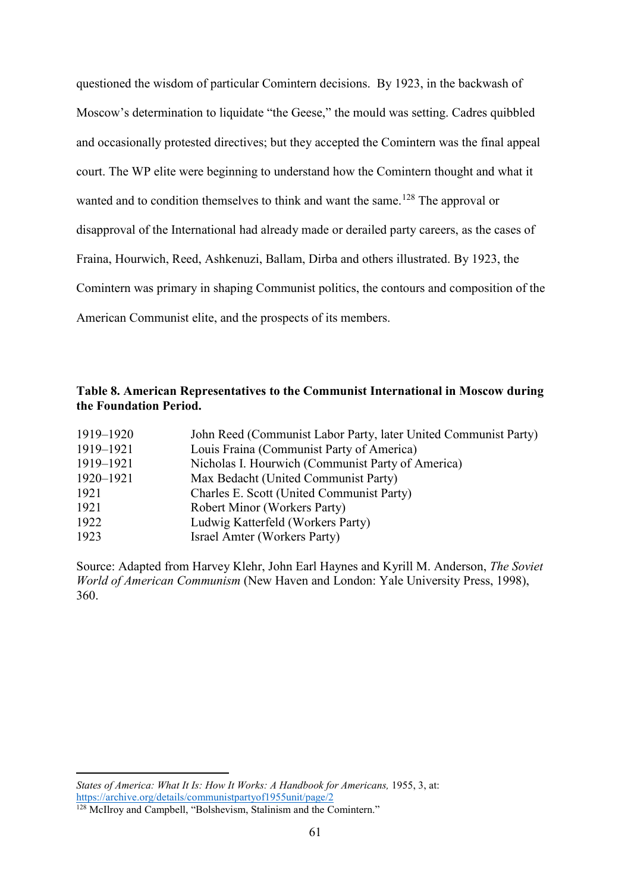questioned the wisdom of particular Comintern decisions. By 1923, in the backwash of Moscow's determination to liquidate "the Geese," the mould was setting. Cadres quibbled and occasionally protested directives; but they accepted the Comintern was the final appeal court. The WP elite were beginning to understand how the Comintern thought and what it wanted and to condition themselves to think and want the same.<sup>[128](#page-61-0)</sup> The approval or disapproval of the International had already made or derailed party careers, as the cases of Fraina, Hourwich, Reed, Ashkenuzi, Ballam, Dirba and others illustrated. By 1923, the Comintern was primary in shaping Communist politics, the contours and composition of the American Communist elite, and the prospects of its members.

## **Table 8. American Representatives to the Communist International in Moscow during the Foundation Period.**

| 1919–1920 | John Reed (Communist Labor Party, later United Communist Party) |
|-----------|-----------------------------------------------------------------|
| 1919–1921 | Louis Fraina (Communist Party of America)                       |
| 1919-1921 | Nicholas I. Hourwich (Communist Party of America)               |
| 1920–1921 | Max Bedacht (United Communist Party)                            |
| 1921      | Charles E. Scott (United Communist Party)                       |
| 1921      | <b>Robert Minor (Workers Party)</b>                             |
| 1922      | Ludwig Katterfeld (Workers Party)                               |
| 1923      | Israel Amter (Workers Party)                                    |

Source: Adapted from Harvey Klehr, John Earl Haynes and Kyrill M. Anderson, *The Soviet World of American Communism* (New Haven and London: Yale University Press, 1998), 360.

<u>.</u>

*States of America: What It Is: How It Works: A Handbook for Americans, 1955, 3, at:* <https://archive.org/details/communistpartyof1955unit/page/2>

<span id="page-61-0"></span><sup>&</sup>lt;sup>128</sup> McIlroy and Campbell, "Bolshevism, Stalinism and the Comintern."